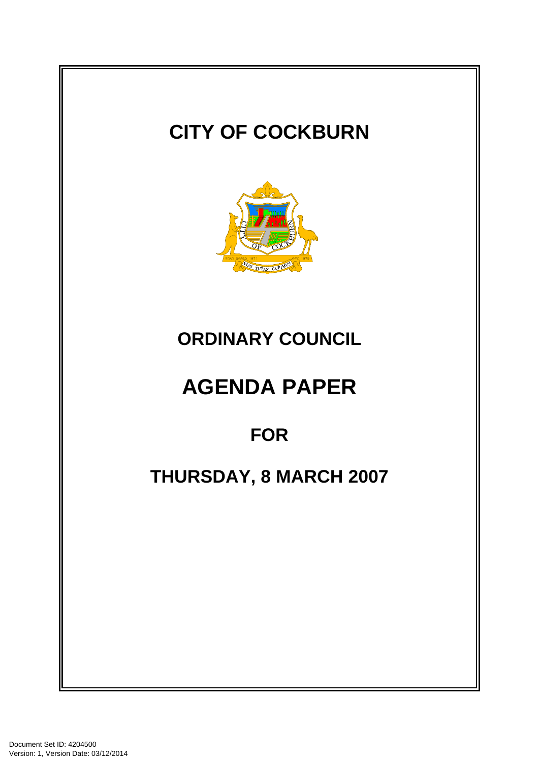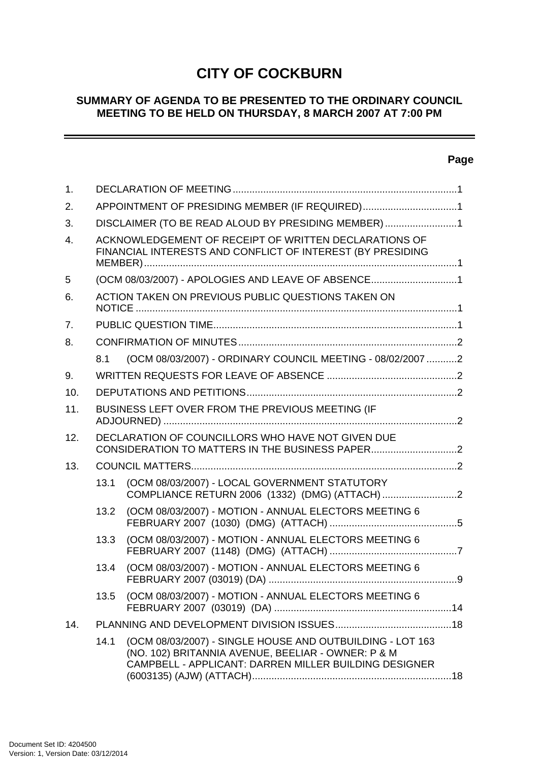# **CITY OF COCKBURN**

# **SUMMARY OF AGENDA TO BE PRESENTED TO THE ORDINARY COUNCIL MEETING TO BE HELD ON THURSDAY, 8 MARCH 2007 AT 7:00 PM**

# **Page**

-

| 1.               |                                                                                                                     |                                                                                                                                                                          |  |
|------------------|---------------------------------------------------------------------------------------------------------------------|--------------------------------------------------------------------------------------------------------------------------------------------------------------------------|--|
| 2.               | APPOINTMENT OF PRESIDING MEMBER (IF REQUIRED)1                                                                      |                                                                                                                                                                          |  |
| 3.               | DISCLAIMER (TO BE READ ALOUD BY PRESIDING MEMBER) 1                                                                 |                                                                                                                                                                          |  |
| $\overline{4}$ . | ACKNOWLEDGEMENT OF RECEIPT OF WRITTEN DECLARATIONS OF<br>FINANCIAL INTERESTS AND CONFLICT OF INTEREST (BY PRESIDING |                                                                                                                                                                          |  |
| 5                | (OCM 08/03/2007) - APOLOGIES AND LEAVE OF ABSENCE1                                                                  |                                                                                                                                                                          |  |
| 6.               | ACTION TAKEN ON PREVIOUS PUBLIC QUESTIONS TAKEN ON                                                                  |                                                                                                                                                                          |  |
| 7 <sub>1</sub>   |                                                                                                                     |                                                                                                                                                                          |  |
| 8.               |                                                                                                                     |                                                                                                                                                                          |  |
|                  | 8.1                                                                                                                 | (OCM 08/03/2007) - ORDINARY COUNCIL MEETING - 08/02/2007 2                                                                                                               |  |
| 9.               |                                                                                                                     |                                                                                                                                                                          |  |
| 10.              |                                                                                                                     |                                                                                                                                                                          |  |
| 11.              | BUSINESS LEFT OVER FROM THE PREVIOUS MEETING (IF                                                                    |                                                                                                                                                                          |  |
| 12.              | DECLARATION OF COUNCILLORS WHO HAVE NOT GIVEN DUE                                                                   |                                                                                                                                                                          |  |
| 13.              |                                                                                                                     |                                                                                                                                                                          |  |
|                  | 13.1                                                                                                                | (OCM 08/03/2007) - LOCAL GOVERNMENT STATUTORY                                                                                                                            |  |
|                  | 13.2                                                                                                                | (OCM 08/03/2007) - MOTION - ANNUAL ELECTORS MEETING 6                                                                                                                    |  |
|                  | 13.3                                                                                                                | (OCM 08/03/2007) - MOTION - ANNUAL ELECTORS MEETING 6                                                                                                                    |  |
|                  | 13.4                                                                                                                | (OCM 08/03/2007) - MOTION - ANNUAL ELECTORS MEETING 6                                                                                                                    |  |
|                  | 13.5                                                                                                                | (OCM 08/03/2007) - MOTION - ANNUAL ELECTORS MEETING 6                                                                                                                    |  |
| 14.              |                                                                                                                     |                                                                                                                                                                          |  |
|                  | 14.1                                                                                                                | (OCM 08/03/2007) - SINGLE HOUSE AND OUTBUILDING - LOT 163<br>(NO. 102) BRITANNIA AVENUE, BEELIAR - OWNER: P & M<br>CAMPBELL - APPLICANT: DARREN MILLER BUILDING DESIGNER |  |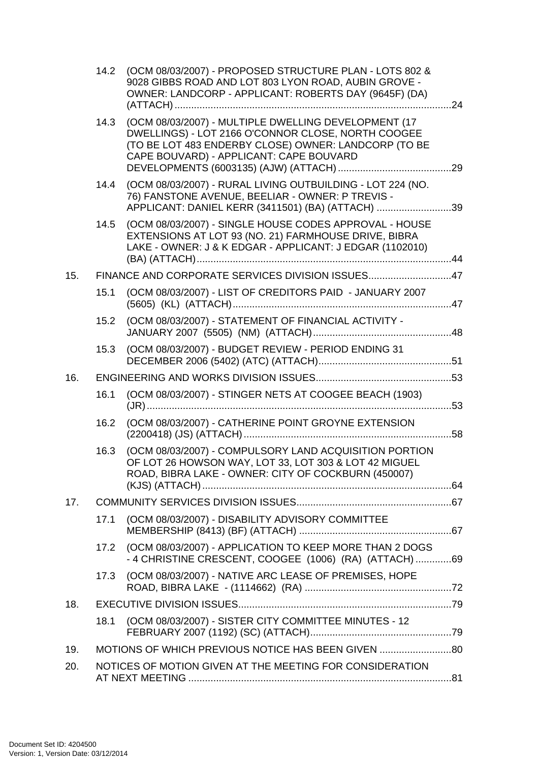|     | 14.2 | (OCM 08/03/2007) - PROPOSED STRUCTURE PLAN - LOTS 802 &<br>9028 GIBBS ROAD AND LOT 803 LYON ROAD, AUBIN GROVE -<br>OWNER: LANDCORP - APPLICANT: ROBERTS DAY (9645F) (DA)                                      |  |
|-----|------|---------------------------------------------------------------------------------------------------------------------------------------------------------------------------------------------------------------|--|
|     | 14.3 | (OCM 08/03/2007) - MULTIPLE DWELLING DEVELOPMENT (17<br>DWELLINGS) - LOT 2166 O'CONNOR CLOSE, NORTH COOGEE<br>(TO BE LOT 483 ENDERBY CLOSE) OWNER: LANDCORP (TO BE<br>CAPE BOUVARD) - APPLICANT: CAPE BOUVARD |  |
|     | 14.4 | (OCM 08/03/2007) - RURAL LIVING OUTBUILDING - LOT 224 (NO.<br>76) FANSTONE AVENUE, BEELIAR - OWNER: P TREVIS -<br>APPLICANT: DANIEL KERR (3411501) (BA) (ATTACH) 39                                           |  |
|     | 14.5 | (OCM 08/03/2007) - SINGLE HOUSE CODES APPROVAL - HOUSE<br>EXTENSIONS AT LOT 93 (NO. 21) FARMHOUSE DRIVE, BIBRA<br>LAKE - OWNER: J & K EDGAR - APPLICANT: J EDGAR (1102010)                                    |  |
| 15. |      | FINANCE AND CORPORATE SERVICES DIVISION ISSUES47                                                                                                                                                              |  |
|     | 15.1 | (OCM 08/03/2007) - LIST OF CREDITORS PAID - JANUARY 2007                                                                                                                                                      |  |
|     | 15.2 | (OCM 08/03/2007) - STATEMENT OF FINANCIAL ACTIVITY -                                                                                                                                                          |  |
|     | 15.3 | (OCM 08/03/2007) - BUDGET REVIEW - PERIOD ENDING 31                                                                                                                                                           |  |
| 16. |      |                                                                                                                                                                                                               |  |
|     | 16.1 | (OCM 08/03/2007) - STINGER NETS AT COOGEE BEACH (1903)                                                                                                                                                        |  |
|     | 16.2 | (OCM 08/03/2007) - CATHERINE POINT GROYNE EXTENSION                                                                                                                                                           |  |
|     | 16.3 | (OCM 08/03/2007) - COMPULSORY LAND ACQUISITION PORTION<br>OF LOT 26 HOWSON WAY, LOT 33, LOT 303 & LOT 42 MIGUEL<br>ROAD, BIBRA LAKE - OWNER: CITY OF COCKBURN (450007)                                        |  |
| 17. |      |                                                                                                                                                                                                               |  |
|     | 17.1 | (OCM 08/03/2007) - DISABILITY ADVISORY COMMITTEE                                                                                                                                                              |  |
|     | 17.2 | (OCM 08/03/2007) - APPLICATION TO KEEP MORE THAN 2 DOGS<br>- 4 CHRISTINE CRESCENT, COOGEE (1006) (RA) (ATTACH) 69                                                                                             |  |
|     | 17.3 | (OCM 08/03/2007) - NATIVE ARC LEASE OF PREMISES, HOPE                                                                                                                                                         |  |
| 18. |      |                                                                                                                                                                                                               |  |
|     | 18.1 | (OCM 08/03/2007) - SISTER CITY COMMITTEE MINUTES - 12                                                                                                                                                         |  |
| 19. |      | MOTIONS OF WHICH PREVIOUS NOTICE HAS BEEN GIVEN                                                                                                                                                               |  |
| 20. |      | NOTICES OF MOTION GIVEN AT THE MEETING FOR CONSIDERATION                                                                                                                                                      |  |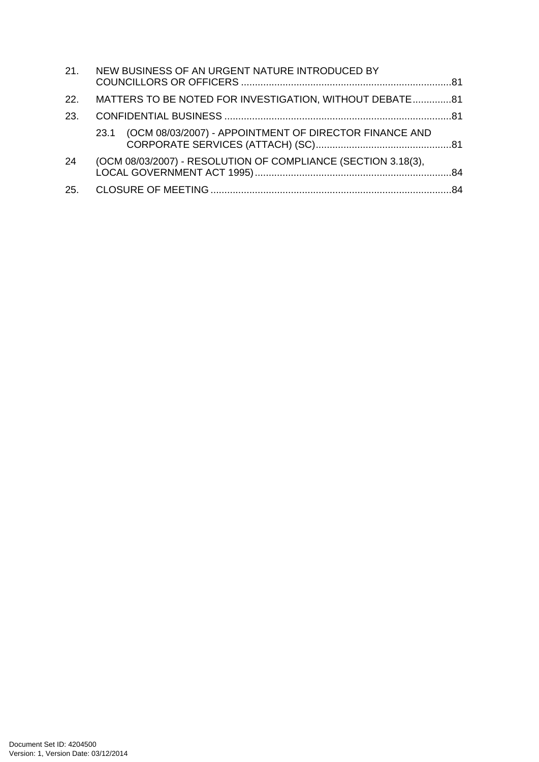| MATTERS TO BE NOTED FOR INVESTIGATION, WITHOUT DEBATE81<br>22.<br>23.<br>23.1 (OCM 08/03/2007) - APPOINTMENT OF DIRECTOR FINANCE AND<br>(OCM 08/03/2007) - RESOLUTION OF COMPLIANCE (SECTION 3.18(3),<br>24 | 21. NEW BUSINESS OF AN URGENT NATURE INTRODUCED BY |  |
|-------------------------------------------------------------------------------------------------------------------------------------------------------------------------------------------------------------|----------------------------------------------------|--|
|                                                                                                                                                                                                             |                                                    |  |
|                                                                                                                                                                                                             |                                                    |  |
|                                                                                                                                                                                                             |                                                    |  |
|                                                                                                                                                                                                             |                                                    |  |
|                                                                                                                                                                                                             |                                                    |  |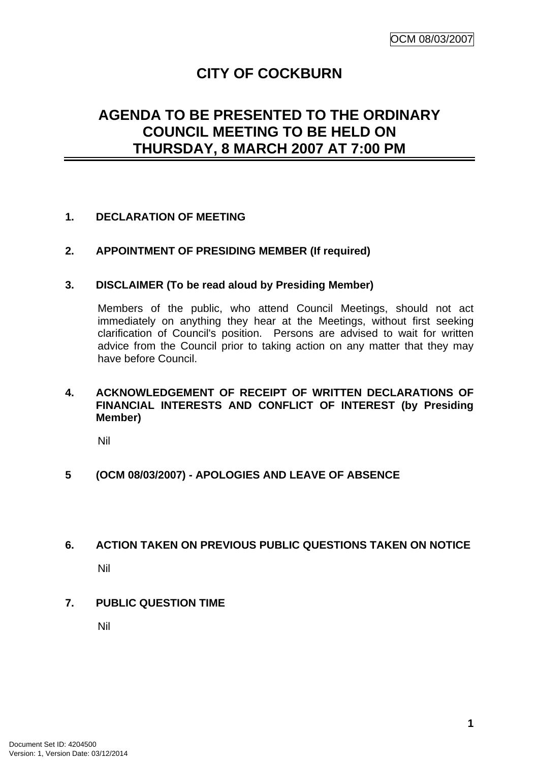# **CITY OF COCKBURN**

# **AGENDA TO BE PRESENTED TO THE ORDINARY COUNCIL MEETING TO BE HELD ON THURSDAY, 8 MARCH 2007 AT 7:00 PM**

# **1. DECLARATION OF MEETING**

# **2. APPOINTMENT OF PRESIDING MEMBER (If required)**

## **3. DISCLAIMER (To be read aloud by Presiding Member)**

Members of the public, who attend Council Meetings, should not act immediately on anything they hear at the Meetings, without first seeking clarification of Council's position. Persons are advised to wait for written advice from the Council prior to taking action on any matter that they may have before Council.

# **4. ACKNOWLEDGEMENT OF RECEIPT OF WRITTEN DECLARATIONS OF FINANCIAL INTERESTS AND CONFLICT OF INTEREST (by Presiding Member)**

Nil

## **5 (OCM 08/03/2007) - APOLOGIES AND LEAVE OF ABSENCE**

## **6. ACTION TAKEN ON PREVIOUS PUBLIC QUESTIONS TAKEN ON NOTICE**

Nil

## **7. PUBLIC QUESTION TIME**

Nil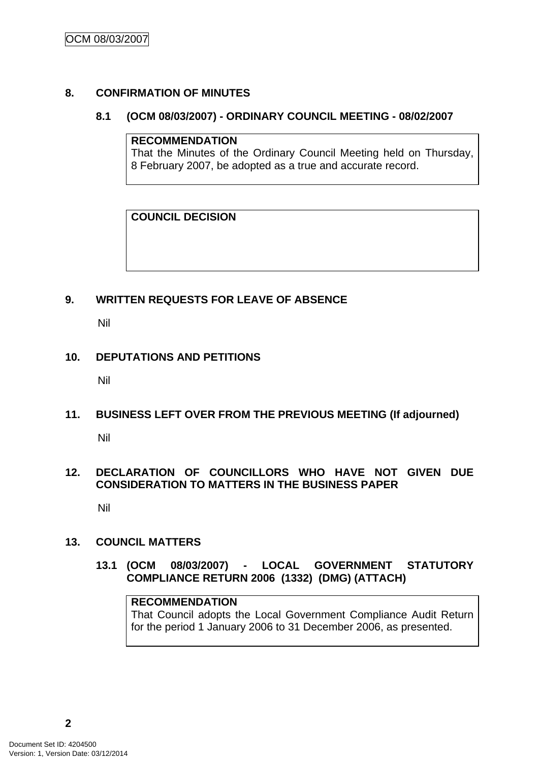# **8. CONFIRMATION OF MINUTES**

### **8.1 (OCM 08/03/2007) - ORDINARY COUNCIL MEETING - 08/02/2007**

#### **RECOMMENDATION**

That the Minutes of the Ordinary Council Meeting held on Thursday, 8 February 2007, be adopted as a true and accurate record.

# **COUNCIL DECISION**

# **9. WRITTEN REQUESTS FOR LEAVE OF ABSENCE**

Nil

# **10. DEPUTATIONS AND PETITIONS**

Nil

# **11. BUSINESS LEFT OVER FROM THE PREVIOUS MEETING (If adjourned)**

Nil

# **12. DECLARATION OF COUNCILLORS WHO HAVE NOT GIVEN DUE CONSIDERATION TO MATTERS IN THE BUSINESS PAPER**

Nil

# **13. COUNCIL MATTERS**

**13.1 (OCM 08/03/2007) - LOCAL GOVERNMENT STATUTORY COMPLIANCE RETURN 2006 (1332) (DMG) (ATTACH)** 

# **RECOMMENDATION**

That Council adopts the Local Government Compliance Audit Return for the period 1 January 2006 to 31 December 2006, as presented.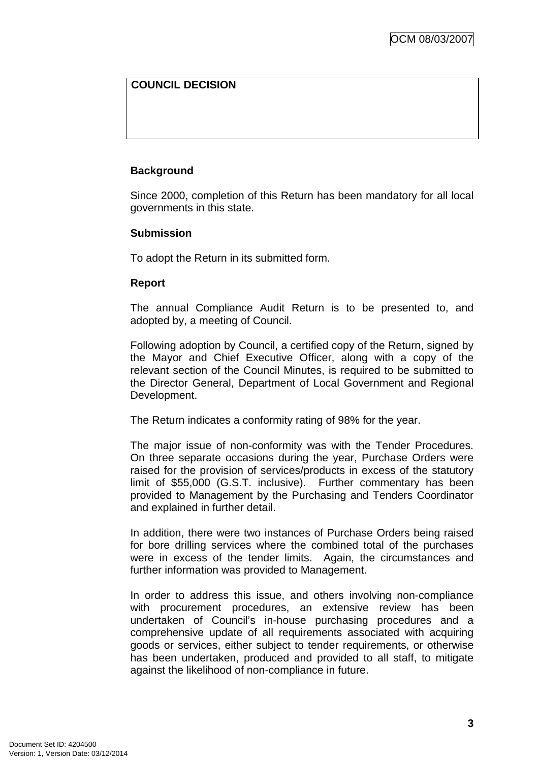# **COUNCIL DECISION**

# **Background**

Since 2000, completion of this Return has been mandatory for all local governments in this state.

## **Submission**

To adopt the Return in its submitted form.

## **Report**

The annual Compliance Audit Return is to be presented to, and adopted by, a meeting of Council.

Following adoption by Council, a certified copy of the Return, signed by the Mayor and Chief Executive Officer, along with a copy of the relevant section of the Council Minutes, is required to be submitted to the Director General, Department of Local Government and Regional Development.

The Return indicates a conformity rating of 98% for the year.

The major issue of non-conformity was with the Tender Procedures. On three separate occasions during the year, Purchase Orders were raised for the provision of services/products in excess of the statutory limit of \$55,000 (G.S.T. inclusive). Further commentary has been provided to Management by the Purchasing and Tenders Coordinator and explained in further detail.

In addition, there were two instances of Purchase Orders being raised for bore drilling services where the combined total of the purchases were in excess of the tender limits. Again, the circumstances and further information was provided to Management.

In order to address this issue, and others involving non-compliance with procurement procedures, an extensive review has been undertaken of Council's in-house purchasing procedures and a comprehensive update of all requirements associated with acquiring goods or services, either subject to tender requirements, or otherwise has been undertaken, produced and provided to all staff, to mitigate against the likelihood of non-compliance in future.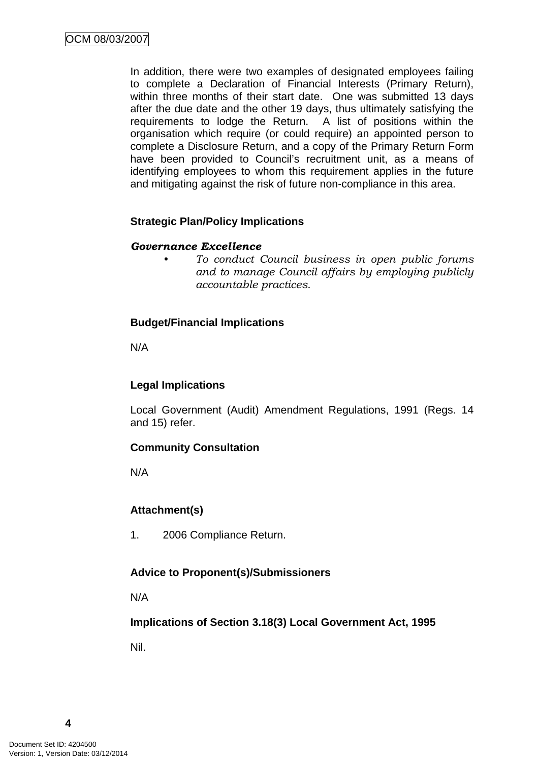In addition, there were two examples of designated employees failing to complete a Declaration of Financial Interests (Primary Return), within three months of their start date. One was submitted 13 days after the due date and the other 19 days, thus ultimately satisfying the requirements to lodge the Return. A list of positions within the organisation which require (or could require) an appointed person to complete a Disclosure Return, and a copy of the Primary Return Form have been provided to Council's recruitment unit, as a means of identifying employees to whom this requirement applies in the future and mitigating against the risk of future non-compliance in this area.

## **Strategic Plan/Policy Implications**

## *Governance Excellence*

*• To conduct Council business in open public forums and to manage Council affairs by employing publicly accountable practices.* 

## **Budget/Financial Implications**

N/A

# **Legal Implications**

Local Government (Audit) Amendment Regulations, 1991 (Regs. 14 and 15) refer.

## **Community Consultation**

N/A

## **Attachment(s)**

1. 2006 Compliance Return.

## **Advice to Proponent(s)/Submissioners**

N/A

**Implications of Section 3.18(3) Local Government Act, 1995**

Nil.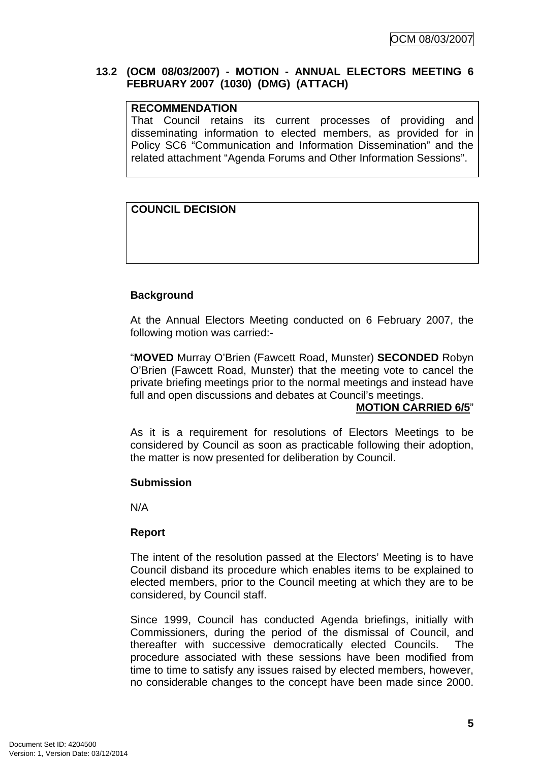# **13.2 (OCM 08/03/2007) - MOTION - ANNUAL ELECTORS MEETING 6 FEBRUARY 2007 (1030) (DMG) (ATTACH)**

### **RECOMMENDATION**

That Council retains its current processes of providing and disseminating information to elected members, as provided for in Policy SC6 "Communication and Information Dissemination" and the related attachment "Agenda Forums and Other Information Sessions".

# **COUNCIL DECISION**

# **Background**

At the Annual Electors Meeting conducted on 6 February 2007, the following motion was carried:-

"**MOVED** Murray O'Brien (Fawcett Road, Munster) **SECONDED** Robyn O'Brien (Fawcett Road, Munster) that the meeting vote to cancel the private briefing meetings prior to the normal meetings and instead have full and open discussions and debates at Council's meetings.

## **MOTION CARRIED 6/5**"

As it is a requirement for resolutions of Electors Meetings to be considered by Council as soon as practicable following their adoption, the matter is now presented for deliberation by Council.

## **Submission**

N/A

## **Report**

The intent of the resolution passed at the Electors' Meeting is to have Council disband its procedure which enables items to be explained to elected members, prior to the Council meeting at which they are to be considered, by Council staff.

Since 1999, Council has conducted Agenda briefings, initially with Commissioners, during the period of the dismissal of Council, and thereafter with successive democratically elected Councils. The procedure associated with these sessions have been modified from time to time to satisfy any issues raised by elected members, however, no considerable changes to the concept have been made since 2000.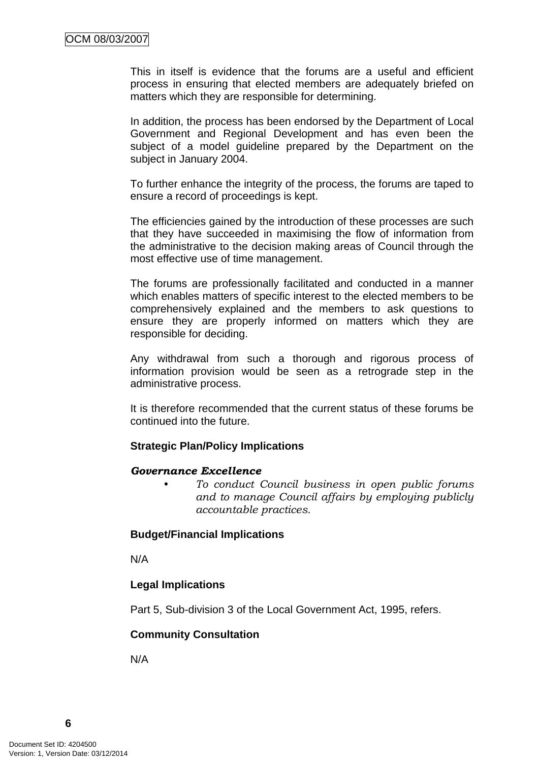This in itself is evidence that the forums are a useful and efficient process in ensuring that elected members are adequately briefed on matters which they are responsible for determining.

In addition, the process has been endorsed by the Department of Local Government and Regional Development and has even been the subject of a model quideline prepared by the Department on the subject in January 2004.

To further enhance the integrity of the process, the forums are taped to ensure a record of proceedings is kept.

The efficiencies gained by the introduction of these processes are such that they have succeeded in maximising the flow of information from the administrative to the decision making areas of Council through the most effective use of time management.

The forums are professionally facilitated and conducted in a manner which enables matters of specific interest to the elected members to be comprehensively explained and the members to ask questions to ensure they are properly informed on matters which they are responsible for deciding.

Any withdrawal from such a thorough and rigorous process of information provision would be seen as a retrograde step in the administrative process.

It is therefore recommended that the current status of these forums be continued into the future.

## **Strategic Plan/Policy Implications**

#### *Governance Excellence*

*• To conduct Council business in open public forums and to manage Council affairs by employing publicly accountable practices.* 

## **Budget/Financial Implications**

N/A

## **Legal Implications**

Part 5, Sub-division 3 of the Local Government Act, 1995, refers.

## **Community Consultation**

N/A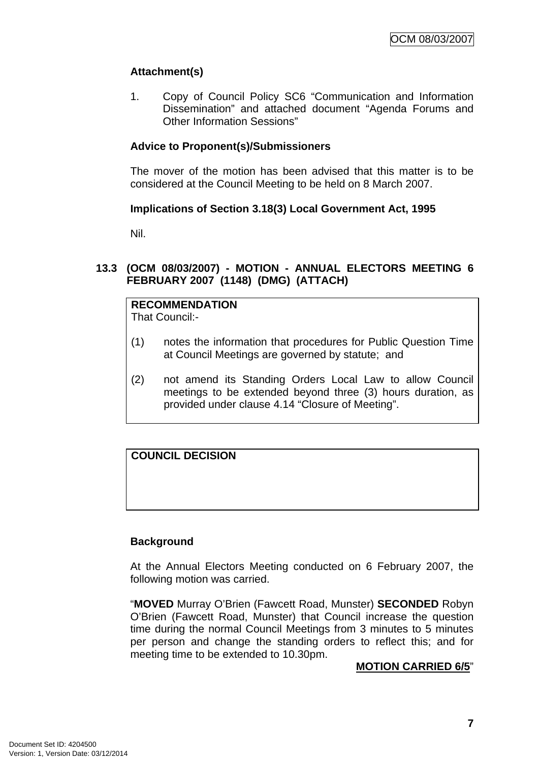# **Attachment(s)**

1. Copy of Council Policy SC6 "Communication and Information Dissemination" and attached document "Agenda Forums and Other Information Sessions"

# **Advice to Proponent(s)/Submissioners**

The mover of the motion has been advised that this matter is to be considered at the Council Meeting to be held on 8 March 2007.

## **Implications of Section 3.18(3) Local Government Act, 1995**

Nil.

# **13.3 (OCM 08/03/2007) - MOTION - ANNUAL ELECTORS MEETING 6 FEBRUARY 2007 (1148) (DMG) (ATTACH)**

# **RECOMMENDATION**

That Council:-

- (1) notes the information that procedures for Public Question Time at Council Meetings are governed by statute; and
- (2) not amend its Standing Orders Local Law to allow Council meetings to be extended beyond three (3) hours duration, as provided under clause 4.14 "Closure of Meeting".

# **COUNCIL DECISION**

## **Background**

At the Annual Electors Meeting conducted on 6 February 2007, the following motion was carried.

"**MOVED** Murray O'Brien (Fawcett Road, Munster) **SECONDED** Robyn O'Brien (Fawcett Road, Munster) that Council increase the question time during the normal Council Meetings from 3 minutes to 5 minutes per person and change the standing orders to reflect this; and for meeting time to be extended to 10.30pm.

#### **MOTION CARRIED 6/5**"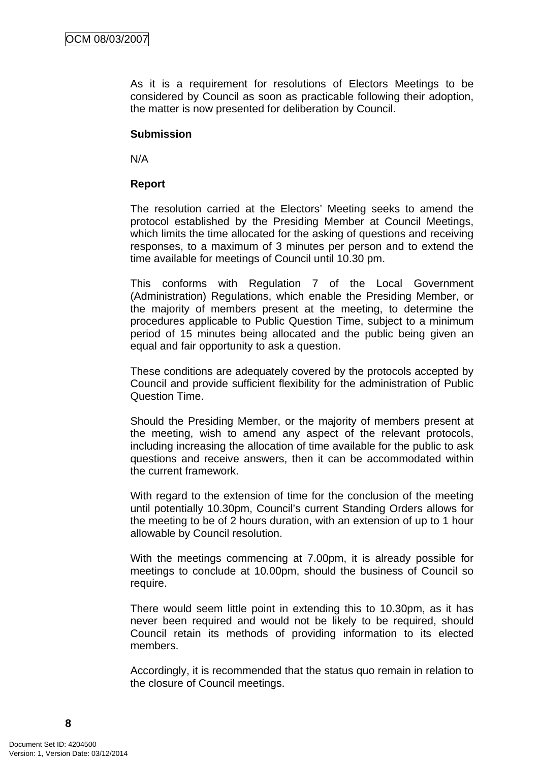As it is a requirement for resolutions of Electors Meetings to be considered by Council as soon as practicable following their adoption, the matter is now presented for deliberation by Council.

#### **Submission**

N/A

### **Report**

The resolution carried at the Electors' Meeting seeks to amend the protocol established by the Presiding Member at Council Meetings, which limits the time allocated for the asking of questions and receiving responses, to a maximum of 3 minutes per person and to extend the time available for meetings of Council until 10.30 pm.

This conforms with Regulation 7 of the Local Government (Administration) Regulations, which enable the Presiding Member, or the majority of members present at the meeting, to determine the procedures applicable to Public Question Time, subject to a minimum period of 15 minutes being allocated and the public being given an equal and fair opportunity to ask a question.

These conditions are adequately covered by the protocols accepted by Council and provide sufficient flexibility for the administration of Public Question Time.

Should the Presiding Member, or the majority of members present at the meeting, wish to amend any aspect of the relevant protocols, including increasing the allocation of time available for the public to ask questions and receive answers, then it can be accommodated within the current framework.

With regard to the extension of time for the conclusion of the meeting until potentially 10.30pm, Council's current Standing Orders allows for the meeting to be of 2 hours duration, with an extension of up to 1 hour allowable by Council resolution.

With the meetings commencing at 7.00pm, it is already possible for meetings to conclude at 10.00pm, should the business of Council so require.

There would seem little point in extending this to 10.30pm, as it has never been required and would not be likely to be required, should Council retain its methods of providing information to its elected members.

Accordingly, it is recommended that the status quo remain in relation to the closure of Council meetings.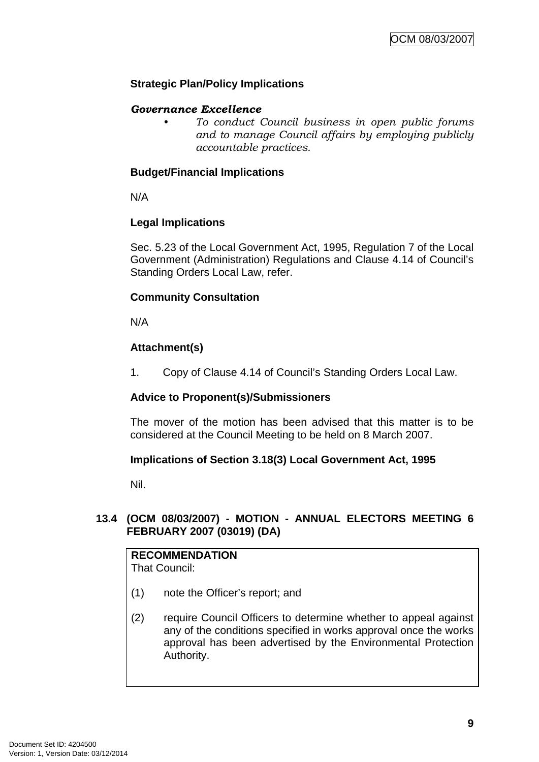# **Strategic Plan/Policy Implications**

# *Governance Excellence*

*• To conduct Council business in open public forums and to manage Council affairs by employing publicly accountable practices.* 

# **Budget/Financial Implications**

N/A

# **Legal Implications**

Sec. 5.23 of the Local Government Act, 1995, Regulation 7 of the Local Government (Administration) Regulations and Clause 4.14 of Council's Standing Orders Local Law, refer.

# **Community Consultation**

N/A

# **Attachment(s)**

1. Copy of Clause 4.14 of Council's Standing Orders Local Law.

## **Advice to Proponent(s)/Submissioners**

The mover of the motion has been advised that this matter is to be considered at the Council Meeting to be held on 8 March 2007.

## **Implications of Section 3.18(3) Local Government Act, 1995**

Nil.

# **13.4 (OCM 08/03/2007) - MOTION - ANNUAL ELECTORS MEETING 6 FEBRUARY 2007 (03019) (DA)**

# **RECOMMENDATION**

That Council:

- (1) note the Officer's report; and
- (2) require Council Officers to determine whether to appeal against any of the conditions specified in works approval once the works approval has been advertised by the Environmental Protection Authority.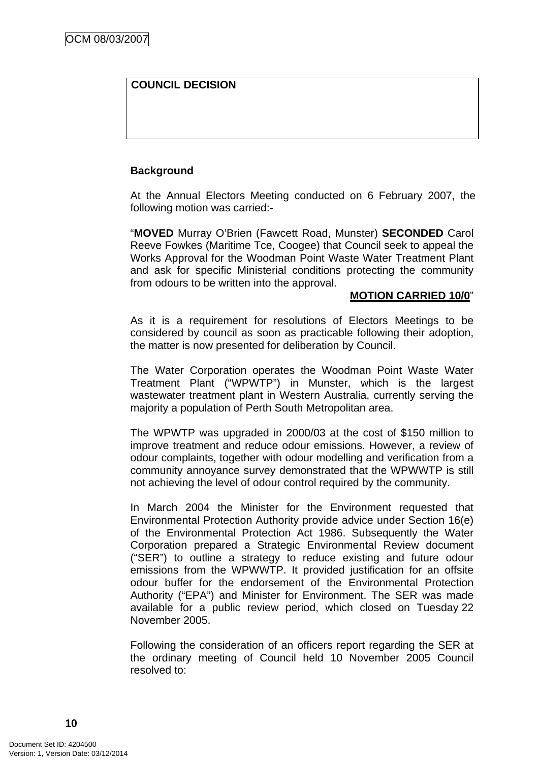# **COUNCIL DECISION**

# **Background**

At the Annual Electors Meeting conducted on 6 February 2007, the following motion was carried:-

"**MOVED** Murray O'Brien (Fawcett Road, Munster) **SECONDED** Carol Reeve Fowkes (Maritime Tce, Coogee) that Council seek to appeal the Works Approval for the Woodman Point Waste Water Treatment Plant and ask for specific Ministerial conditions protecting the community from odours to be written into the approval.

#### **MOTION CARRIED 10/0**"

As it is a requirement for resolutions of Electors Meetings to be considered by council as soon as practicable following their adoption, the matter is now presented for deliberation by Council.

The Water Corporation operates the Woodman Point Waste Water Treatment Plant ("WPWTP") in Munster, which is the largest wastewater treatment plant in Western Australia, currently serving the majority a population of Perth South Metropolitan area.

The WPWTP was upgraded in 2000/03 at the cost of \$150 million to improve treatment and reduce odour emissions. However, a review of odour complaints, together with odour modelling and verification from a community annoyance survey demonstrated that the WPWWTP is still not achieving the level of odour control required by the community.

In March 2004 the Minister for the Environment requested that Environmental Protection Authority provide advice under Section 16(e) of the Environmental Protection Act 1986. Subsequently the Water Corporation prepared a Strategic Environmental Review document ("SER") to outline a strategy to reduce existing and future odour emissions from the WPWWTP. It provided justification for an offsite odour buffer for the endorsement of the Environmental Protection Authority ("EPA") and Minister for Environment. The SER was made available for a public review period, which closed on Tuesday 22 November 2005.

Following the consideration of an officers report regarding the SER at the ordinary meeting of Council held 10 November 2005 Council resolved to: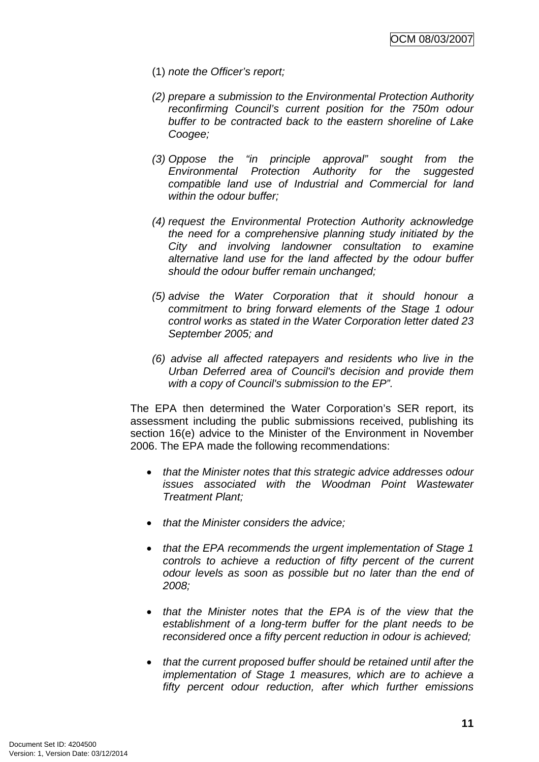- (1) *note the Officer's report;*
- *(2) prepare a submission to the Environmental Protection Authority reconfirming Council's current position for the 750m odour buffer to be contracted back to the eastern shoreline of Lake Coogee;*
- *(3) Oppose the "in principle approval" sought from the Environmental Protection Authority for the suggested compatible land use of Industrial and Commercial for land within the odour buffer;*
- *(4) request the Environmental Protection Authority acknowledge the need for a comprehensive planning study initiated by the City and involving landowner consultation to examine alternative land use for the land affected by the odour buffer should the odour buffer remain unchanged;*
- *(5) advise the Water Corporation that it should honour a commitment to bring forward elements of the Stage 1 odour control works as stated in the Water Corporation letter dated 23 September 2005; and*
- *(6) advise all affected ratepayers and residents who live in the Urban Deferred area of Council's decision and provide them with a copy of Council's submission to the EP".*

The EPA then determined the Water Corporation's SER report, its assessment including the public submissions received, publishing its section 16(e) advice to the Minister of the Environment in November 2006. The EPA made the following recommendations:

- *that the Minister notes that this strategic advice addresses odour issues associated with the Woodman Point Wastewater Treatment Plant;*
- *that the Minister considers the advice;*
- *that the EPA recommends the urgent implementation of Stage 1 controls to achieve a reduction of fifty percent of the current odour levels as soon as possible but no later than the end of 2008;*
- *that the Minister notes that the EPA is of the view that the establishment of a long-term buffer for the plant needs to be reconsidered once a fifty percent reduction in odour is achieved;*
- *that the current proposed buffer should be retained until after the implementation of Stage 1 measures, which are to achieve a fifty percent odour reduction, after which further emissions*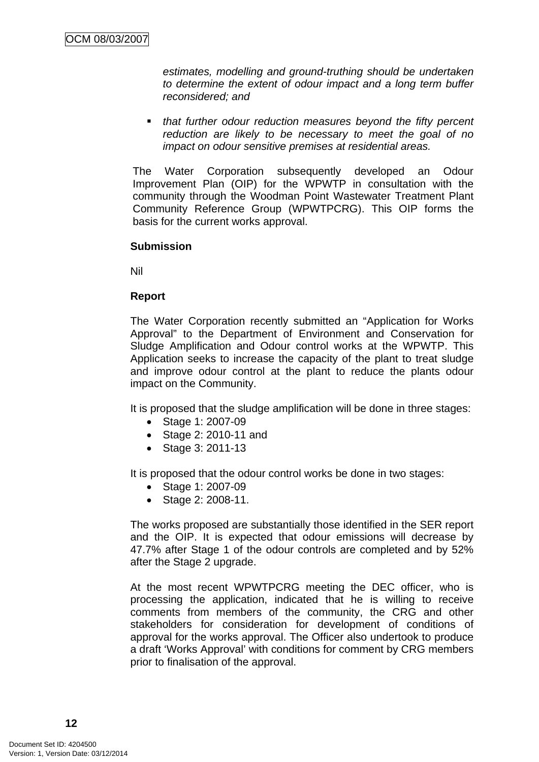*estimates, modelling and ground-truthing should be undertaken to determine the extent of odour impact and a long term buffer reconsidered; and* 

 *that further odour reduction measures beyond the fifty percent reduction are likely to be necessary to meet the goal of no impact on odour sensitive premises at residential areas.*

The Water Corporation subsequently developed an Odour Improvement Plan (OIP) for the WPWTP in consultation with the community through the Woodman Point Wastewater Treatment Plant Community Reference Group (WPWTPCRG). This OIP forms the basis for the current works approval.

#### **Submission**

Nil

## **Report**

The Water Corporation recently submitted an "Application for Works Approval" to the Department of Environment and Conservation for Sludge Amplification and Odour control works at the WPWTP. This Application seeks to increase the capacity of the plant to treat sludge and improve odour control at the plant to reduce the plants odour impact on the Community.

It is proposed that the sludge amplification will be done in three stages:

- Stage 1: 2007-09
- Stage 2: 2010-11 and
- Stage 3: 2011-13

It is proposed that the odour control works be done in two stages:

- Stage 1: 2007-09
- Stage 2: 2008-11.

The works proposed are substantially those identified in the SER report and the OIP. It is expected that odour emissions will decrease by 47.7% after Stage 1 of the odour controls are completed and by 52% after the Stage 2 upgrade.

At the most recent WPWTPCRG meeting the DEC officer, who is processing the application, indicated that he is willing to receive comments from members of the community, the CRG and other stakeholders for consideration for development of conditions of approval for the works approval. The Officer also undertook to produce a draft 'Works Approval' with conditions for comment by CRG members prior to finalisation of the approval.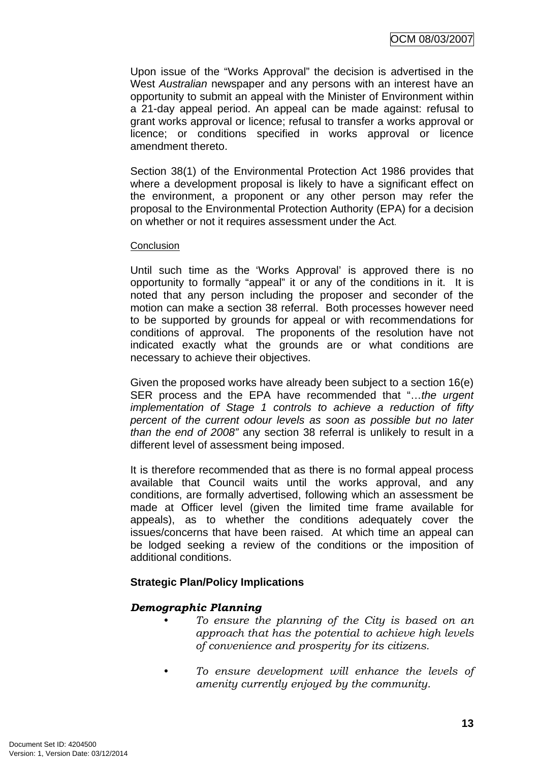Upon issue of the "Works Approval" the decision is advertised in the West *Australian* newspaper and any persons with an interest have an opportunity to submit an appeal with the Minister of Environment within a 21-day appeal period. An appeal can be made against: refusal to grant works approval or licence; refusal to transfer a works approval or licence; or conditions specified in works approval or licence amendment thereto.

Section 38(1) of the Environmental Protection Act 1986 provides that where a development proposal is likely to have a significant effect on the environment, a proponent or any other person may refer the proposal to the Environmental Protection Authority (EPA) for a decision on whether or not it requires assessment under the Act.

#### Conclusion

Until such time as the 'Works Approval' is approved there is no opportunity to formally "appeal" it or any of the conditions in it. It is noted that any person including the proposer and seconder of the motion can make a section 38 referral. Both processes however need to be supported by grounds for appeal or with recommendations for conditions of approval. The proponents of the resolution have not indicated exactly what the grounds are or what conditions are necessary to achieve their objectives.

Given the proposed works have already been subject to a section 16(e) SER process and the EPA have recommended that "…*the urgent implementation of Stage 1 controls to achieve a reduction of fifty percent of the current odour levels as soon as possible but no later than the end of 2008"* any section 38 referral is unlikely to result in a different level of assessment being imposed.

It is therefore recommended that as there is no formal appeal process available that Council waits until the works approval, and any conditions, are formally advertised, following which an assessment be made at Officer level (given the limited time frame available for appeals), as to whether the conditions adequately cover the issues/concerns that have been raised. At which time an appeal can be lodged seeking a review of the conditions or the imposition of additional conditions.

## **Strategic Plan/Policy Implications**

## *Demographic Planning*

- *To ensure the planning of the City is based on an approach that has the potential to achieve high levels of convenience and prosperity for its citizens.*
- *To ensure development will enhance the levels of amenity currently enjoyed by the community.*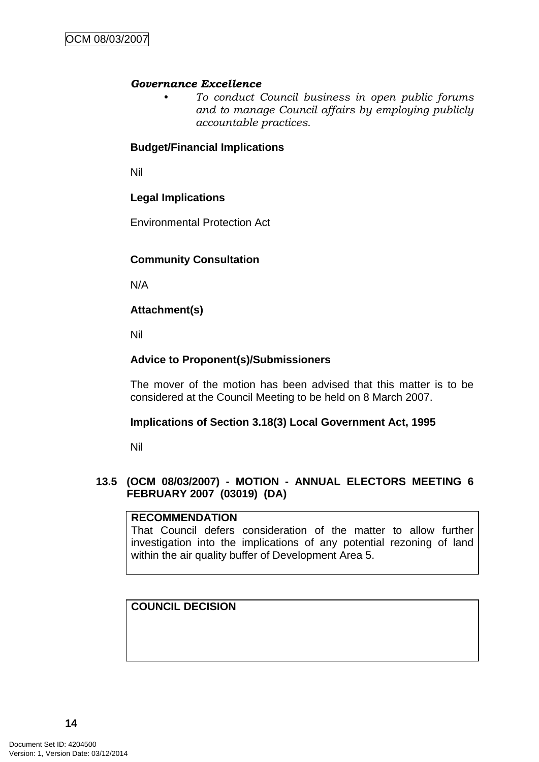#### *Governance Excellence*

*• To conduct Council business in open public forums and to manage Council affairs by employing publicly accountable practices.* 

## **Budget/Financial Implications**

Nil

# **Legal Implications**

Environmental Protection Act

# **Community Consultation**

N/A

# **Attachment(s)**

Nil

# **Advice to Proponent(s)/Submissioners**

The mover of the motion has been advised that this matter is to be considered at the Council Meeting to be held on 8 March 2007.

## **Implications of Section 3.18(3) Local Government Act, 1995**

Nil

## **13.5 (OCM 08/03/2007) - MOTION - ANNUAL ELECTORS MEETING 6 FEBRUARY 2007 (03019) (DA)**

#### **RECOMMENDATION**

That Council defers consideration of the matter to allow further investigation into the implications of any potential rezoning of land within the air quality buffer of Development Area 5.

## **COUNCIL DECISION**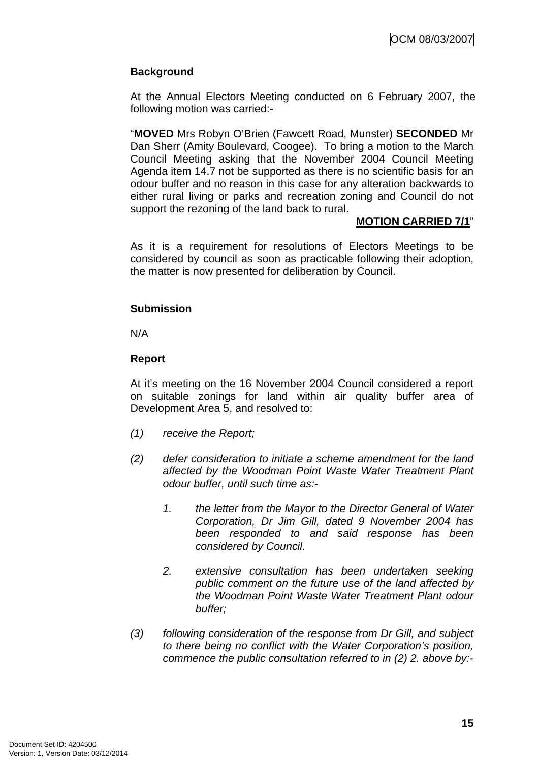# **Background**

At the Annual Electors Meeting conducted on 6 February 2007, the following motion was carried:-

"**MOVED** Mrs Robyn O'Brien (Fawcett Road, Munster) **SECONDED** Mr Dan Sherr (Amity Boulevard, Coogee). To bring a motion to the March Council Meeting asking that the November 2004 Council Meeting Agenda item 14.7 not be supported as there is no scientific basis for an odour buffer and no reason in this case for any alteration backwards to either rural living or parks and recreation zoning and Council do not support the rezoning of the land back to rural.

#### **MOTION CARRIED 7/1**"

As it is a requirement for resolutions of Electors Meetings to be considered by council as soon as practicable following their adoption, the matter is now presented for deliberation by Council.

## **Submission**

N/A

# **Report**

At it's meeting on the 16 November 2004 Council considered a report on suitable zonings for land within air quality buffer area of Development Area 5, and resolved to:

- *(1) receive the Report;*
- *(2) defer consideration to initiate a scheme amendment for the land affected by the Woodman Point Waste Water Treatment Plant odour buffer, until such time as:-* 
	- *1. the letter from the Mayor to the Director General of Water Corporation, Dr Jim Gill, dated 9 November 2004 has been responded to and said response has been considered by Council.*
	- *2. extensive consultation has been undertaken seeking public comment on the future use of the land affected by the Woodman Point Waste Water Treatment Plant odour buffer;*
- *(3) following consideration of the response from Dr Gill, and subject to there being no conflict with the Water Corporation's position, commence the public consultation referred to in (2) 2. above by:-*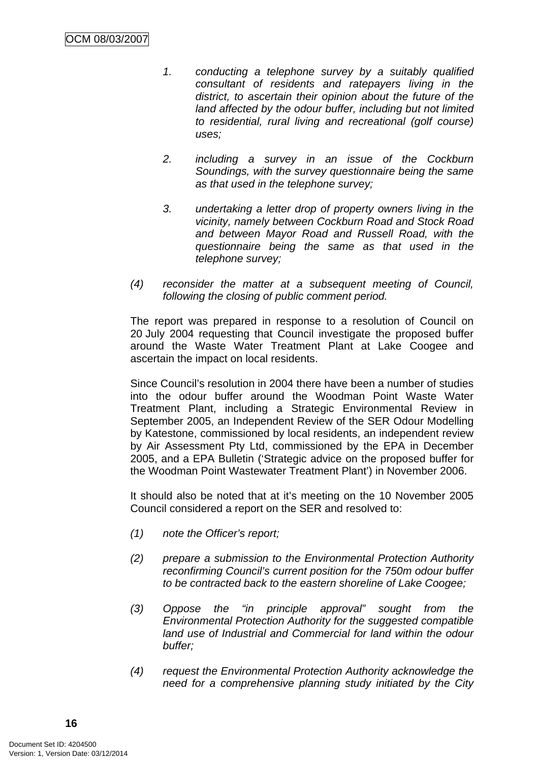- *1. conducting a telephone survey by a suitably qualified consultant of residents and ratepayers living in the district, to ascertain their opinion about the future of the land affected by the odour buffer, including but not limited to residential, rural living and recreational (golf course) uses;*
- *2. including a survey in an issue of the Cockburn Soundings, with the survey questionnaire being the same as that used in the telephone survey;*
- *3. undertaking a letter drop of property owners living in the vicinity, namely between Cockburn Road and Stock Road and between Mayor Road and Russell Road, with the questionnaire being the same as that used in the telephone survey;*
- *(4) reconsider the matter at a subsequent meeting of Council, following the closing of public comment period.*

The report was prepared in response to a resolution of Council on 20 July 2004 requesting that Council investigate the proposed buffer around the Waste Water Treatment Plant at Lake Coogee and ascertain the impact on local residents.

Since Council's resolution in 2004 there have been a number of studies into the odour buffer around the Woodman Point Waste Water Treatment Plant, including a Strategic Environmental Review in September 2005, an Independent Review of the SER Odour Modelling by Katestone, commissioned by local residents, an independent review by Air Assessment Pty Ltd, commissioned by the EPA in December 2005, and a EPA Bulletin ('Strategic advice on the proposed buffer for the Woodman Point Wastewater Treatment Plant') in November 2006.

It should also be noted that at it's meeting on the 10 November 2005 Council considered a report on the SER and resolved to:

- *(1) note the Officer's report;*
- *(2) prepare a submission to the Environmental Protection Authority reconfirming Council's current position for the 750m odour buffer to be contracted back to the eastern shoreline of Lake Coogee;*
- *(3) Oppose the "in principle approval" sought from the Environmental Protection Authority for the suggested compatible land use of Industrial and Commercial for land within the odour buffer;*
- *(4) request the Environmental Protection Authority acknowledge the need for a comprehensive planning study initiated by the City*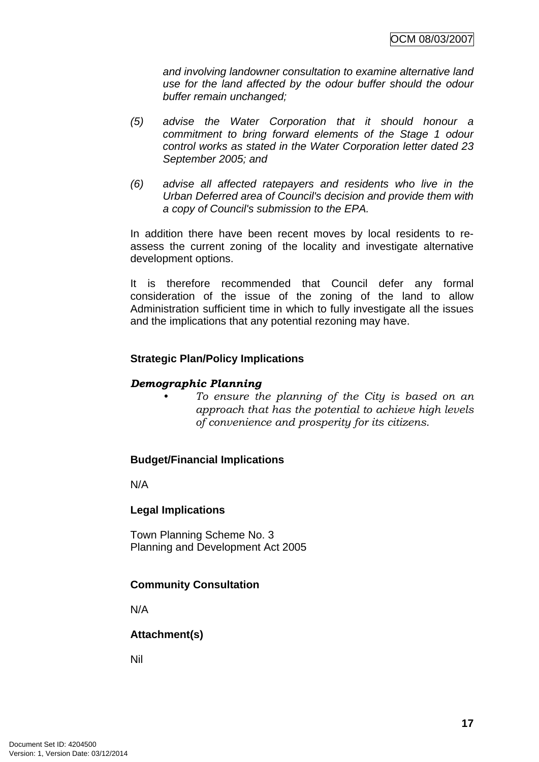*and involving landowner consultation to examine alternative land use for the land affected by the odour buffer should the odour buffer remain unchanged;* 

- *(5) advise the Water Corporation that it should honour a commitment to bring forward elements of the Stage 1 odour control works as stated in the Water Corporation letter dated 23 September 2005; and*
- *(6) advise all affected ratepayers and residents who live in the Urban Deferred area of Council's decision and provide them with a copy of Council's submission to the EPA.*

In addition there have been recent moves by local residents to reassess the current zoning of the locality and investigate alternative development options.

It is therefore recommended that Council defer any formal consideration of the issue of the zoning of the land to allow Administration sufficient time in which to fully investigate all the issues and the implications that any potential rezoning may have.

# **Strategic Plan/Policy Implications**

# *Demographic Planning*

*• To ensure the planning of the City is based on an approach that has the potential to achieve high levels of convenience and prosperity for its citizens.* 

# **Budget/Financial Implications**

N/A

## **Legal Implications**

Town Planning Scheme No. 3 Planning and Development Act 2005

# **Community Consultation**

N/A

# **Attachment(s)**

Nil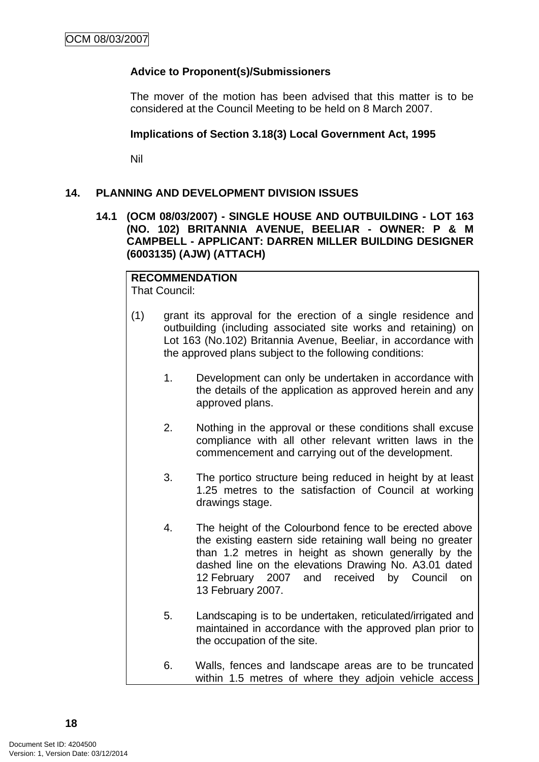# **Advice to Proponent(s)/Submissioners**

The mover of the motion has been advised that this matter is to be considered at the Council Meeting to be held on 8 March 2007.

## **Implications of Section 3.18(3) Local Government Act, 1995**

Nil

## **14. PLANNING AND DEVELOPMENT DIVISION ISSUES**

## **14.1 (OCM 08/03/2007) - SINGLE HOUSE AND OUTBUILDING - LOT 163 (NO. 102) BRITANNIA AVENUE, BEELIAR - OWNER: P & M CAMPBELL - APPLICANT: DARREN MILLER BUILDING DESIGNER (6003135) (AJW) (ATTACH)**

# **RECOMMENDATION**

That Council:

- (1) grant its approval for the erection of a single residence and outbuilding (including associated site works and retaining) on Lot 163 (No.102) Britannia Avenue, Beeliar, in accordance with the approved plans subject to the following conditions:
	- 1. Development can only be undertaken in accordance with the details of the application as approved herein and any approved plans.
	- 2. Nothing in the approval or these conditions shall excuse compliance with all other relevant written laws in the commencement and carrying out of the development.
	- 3. The portico structure being reduced in height by at least 1.25 metres to the satisfaction of Council at working drawings stage.
	- 4. The height of the Colourbond fence to be erected above the existing eastern side retaining wall being no greater than 1.2 metres in height as shown generally by the dashed line on the elevations Drawing No. A3.01 dated 12 February 2007 and received by Council on 13 February 2007.
	- 5. Landscaping is to be undertaken, reticulated/irrigated and maintained in accordance with the approved plan prior to the occupation of the site.
	- 6. Walls, fences and landscape areas are to be truncated within 1.5 metres of where they adjoin vehicle access

**18**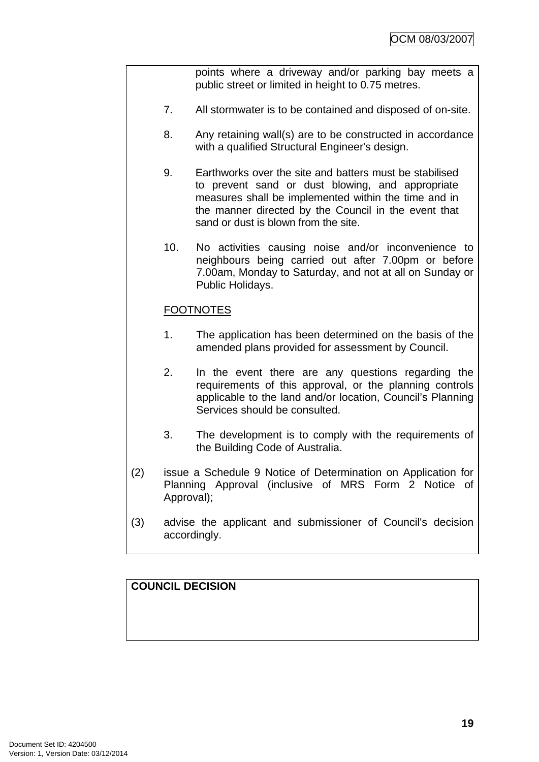points where a driveway and/or parking bay meets a public street or limited in height to 0.75 metres.

- 7. All stormwater is to be contained and disposed of on-site.
- 8. Any retaining wall(s) are to be constructed in accordance with a qualified Structural Engineer's design.
- 9. Earthworks over the site and batters must be stabilised to prevent sand or dust blowing, and appropriate measures shall be implemented within the time and in the manner directed by the Council in the event that sand or dust is blown from the site.
- 10. No activities causing noise and/or inconvenience to neighbours being carried out after 7.00pm or before 7.00am, Monday to Saturday, and not at all on Sunday or Public Holidays.

# **FOOTNOTES**

- 1. The application has been determined on the basis of the amended plans provided for assessment by Council.
- 2. In the event there are any questions regarding the requirements of this approval, or the planning controls applicable to the land and/or location, Council's Planning Services should be consulted.
- 3. The development is to comply with the requirements of the Building Code of Australia.
- (2) issue a Schedule 9 Notice of Determination on Application for Planning Approval (inclusive of MRS Form 2 Notice of Approval);
- (3) advise the applicant and submissioner of Council's decision accordingly.

# **COUNCIL DECISION**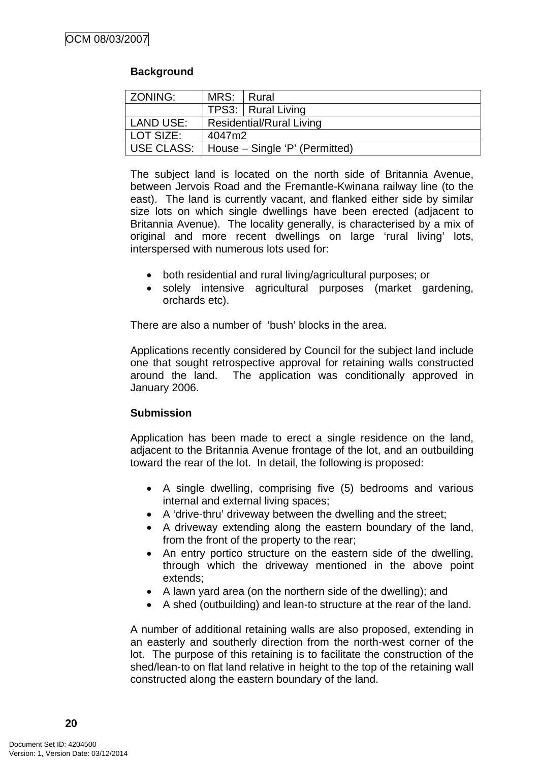# **Background**

| ZONING:    | MRS: Rural                     |  |
|------------|--------------------------------|--|
|            | TPS3:   Rural Living           |  |
| LAND USE:  | Residential/Rural Living       |  |
| LOT SIZE:  | 4047m2                         |  |
| USE CLASS: | House – Single 'P' (Permitted) |  |

The subject land is located on the north side of Britannia Avenue, between Jervois Road and the Fremantle-Kwinana railway line (to the east). The land is currently vacant, and flanked either side by similar size lots on which single dwellings have been erected (adjacent to Britannia Avenue). The locality generally, is characterised by a mix of original and more recent dwellings on large 'rural living' lots, interspersed with numerous lots used for:

- both residential and rural living/agricultural purposes; or
- solely intensive agricultural purposes (market gardening, orchards etc).

There are also a number of 'bush' blocks in the area.

Applications recently considered by Council for the subject land include one that sought retrospective approval for retaining walls constructed around the land. The application was conditionally approved in January 2006.

## **Submission**

Application has been made to erect a single residence on the land, adjacent to the Britannia Avenue frontage of the lot, and an outbuilding toward the rear of the lot. In detail, the following is proposed:

- A single dwelling, comprising five (5) bedrooms and various internal and external living spaces;
- A 'drive-thru' driveway between the dwelling and the street;
- A driveway extending along the eastern boundary of the land, from the front of the property to the rear;
- An entry portico structure on the eastern side of the dwelling, through which the driveway mentioned in the above point extends;
- A lawn yard area (on the northern side of the dwelling); and
- A shed (outbuilding) and lean-to structure at the rear of the land.

A number of additional retaining walls are also proposed, extending in an easterly and southerly direction from the north-west corner of the lot. The purpose of this retaining is to facilitate the construction of the shed/lean-to on flat land relative in height to the top of the retaining wall constructed along the eastern boundary of the land.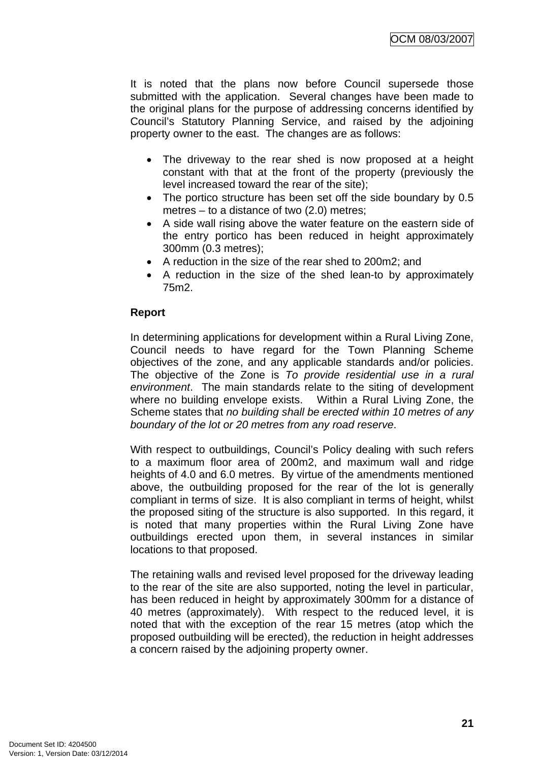It is noted that the plans now before Council supersede those submitted with the application. Several changes have been made to the original plans for the purpose of addressing concerns identified by Council's Statutory Planning Service, and raised by the adjoining property owner to the east. The changes are as follows:

- The driveway to the rear shed is now proposed at a height constant with that at the front of the property (previously the level increased toward the rear of the site);
- The portico structure has been set off the side boundary by 0.5 metres – to a distance of two (2.0) metres;
- A side wall rising above the water feature on the eastern side of the entry portico has been reduced in height approximately 300mm (0.3 metres);
- A reduction in the size of the rear shed to 200m2; and
- A reduction in the size of the shed lean-to by approximately 75m2.

# **Report**

In determining applications for development within a Rural Living Zone, Council needs to have regard for the Town Planning Scheme objectives of the zone, and any applicable standards and/or policies. The objective of the Zone is *To provide residential use in a rural environment*. The main standards relate to the siting of development where no building envelope exists. Within a Rural Living Zone, the Scheme states that *no building shall be erected within 10 metres of any boundary of the lot or 20 metres from any road reserve*.

With respect to outbuildings, Council's Policy dealing with such refers to a maximum floor area of 200m2, and maximum wall and ridge heights of 4.0 and 6.0 metres. By virtue of the amendments mentioned above, the outbuilding proposed for the rear of the lot is generally compliant in terms of size. It is also compliant in terms of height, whilst the proposed siting of the structure is also supported. In this regard, it is noted that many properties within the Rural Living Zone have outbuildings erected upon them, in several instances in similar locations to that proposed.

The retaining walls and revised level proposed for the driveway leading to the rear of the site are also supported, noting the level in particular, has been reduced in height by approximately 300mm for a distance of 40 metres (approximately). With respect to the reduced level, it is noted that with the exception of the rear 15 metres (atop which the proposed outbuilding will be erected), the reduction in height addresses a concern raised by the adjoining property owner.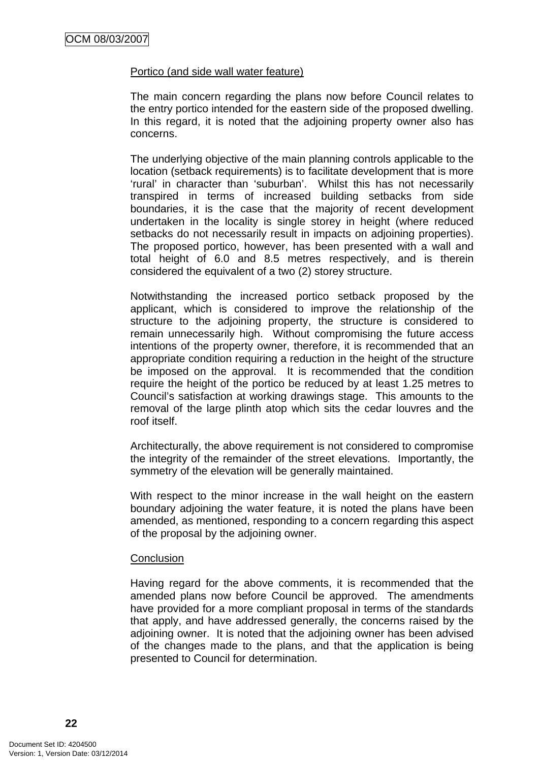#### Portico (and side wall water feature)

The main concern regarding the plans now before Council relates to the entry portico intended for the eastern side of the proposed dwelling. In this regard, it is noted that the adjoining property owner also has concerns.

The underlying objective of the main planning controls applicable to the location (setback requirements) is to facilitate development that is more 'rural' in character than 'suburban'. Whilst this has not necessarily transpired in terms of increased building setbacks from side boundaries, it is the case that the majority of recent development undertaken in the locality is single storey in height (where reduced setbacks do not necessarily result in impacts on adjoining properties). The proposed portico, however, has been presented with a wall and total height of 6.0 and 8.5 metres respectively, and is therein considered the equivalent of a two (2) storey structure.

Notwithstanding the increased portico setback proposed by the applicant, which is considered to improve the relationship of the structure to the adjoining property, the structure is considered to remain unnecessarily high. Without compromising the future access intentions of the property owner, therefore, it is recommended that an appropriate condition requiring a reduction in the height of the structure be imposed on the approval. It is recommended that the condition require the height of the portico be reduced by at least 1.25 metres to Council's satisfaction at working drawings stage. This amounts to the removal of the large plinth atop which sits the cedar louvres and the roof itself.

Architecturally, the above requirement is not considered to compromise the integrity of the remainder of the street elevations. Importantly, the symmetry of the elevation will be generally maintained.

With respect to the minor increase in the wall height on the eastern boundary adjoining the water feature, it is noted the plans have been amended, as mentioned, responding to a concern regarding this aspect of the proposal by the adjoining owner.

#### **Conclusion**

Having regard for the above comments, it is recommended that the amended plans now before Council be approved. The amendments have provided for a more compliant proposal in terms of the standards that apply, and have addressed generally, the concerns raised by the adjoining owner. It is noted that the adjoining owner has been advised of the changes made to the plans, and that the application is being presented to Council for determination.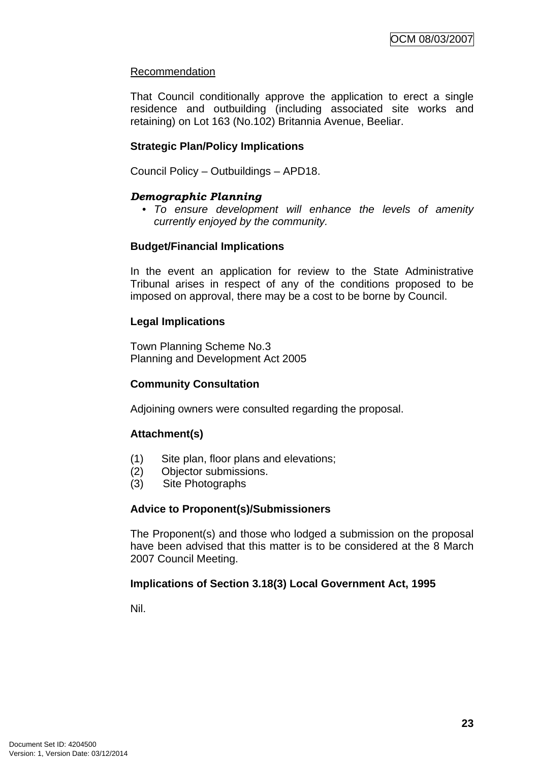# Recommendation

That Council conditionally approve the application to erect a single residence and outbuilding (including associated site works and retaining) on Lot 163 (No.102) Britannia Avenue, Beeliar.

# **Strategic Plan/Policy Implications**

Council Policy – Outbuildings – APD18.

# *Demographic Planning*

*• To ensure development will enhance the levels of amenity currently enjoyed by the community.* 

## **Budget/Financial Implications**

In the event an application for review to the State Administrative Tribunal arises in respect of any of the conditions proposed to be imposed on approval, there may be a cost to be borne by Council.

## **Legal Implications**

Town Planning Scheme No.3 Planning and Development Act 2005

## **Community Consultation**

Adjoining owners were consulted regarding the proposal.

## **Attachment(s)**

- (1) Site plan, floor plans and elevations;
- (2) Objector submissions.
- (3) Site Photographs

## **Advice to Proponent(s)/Submissioners**

The Proponent(s) and those who lodged a submission on the proposal have been advised that this matter is to be considered at the 8 March 2007 Council Meeting.

## **Implications of Section 3.18(3) Local Government Act, 1995**

Nil.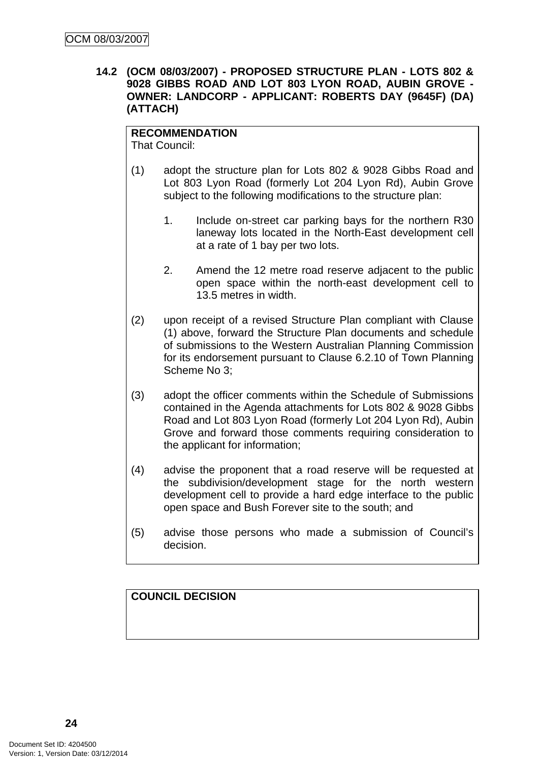**14.2 (OCM 08/03/2007) - PROPOSED STRUCTURE PLAN - LOTS 802 & 9028 GIBBS ROAD AND LOT 803 LYON ROAD, AUBIN GROVE - OWNER: LANDCORP - APPLICANT: ROBERTS DAY (9645F) (DA) (ATTACH)** 

# **RECOMMENDATION**

That Council:

- (1) adopt the structure plan for Lots 802 & 9028 Gibbs Road and Lot 803 Lyon Road (formerly Lot 204 Lyon Rd), Aubin Grove subject to the following modifications to the structure plan:
	- 1. Include on-street car parking bays for the northern R30 laneway lots located in the North-East development cell at a rate of 1 bay per two lots.
	- 2. Amend the 12 metre road reserve adjacent to the public open space within the north-east development cell to 13.5 metres in width.
- (2) upon receipt of a revised Structure Plan compliant with Clause (1) above, forward the Structure Plan documents and schedule of submissions to the Western Australian Planning Commission for its endorsement pursuant to Clause 6.2.10 of Town Planning Scheme No 3;
- (3) adopt the officer comments within the Schedule of Submissions contained in the Agenda attachments for Lots 802 & 9028 Gibbs Road and Lot 803 Lyon Road (formerly Lot 204 Lyon Rd), Aubin Grove and forward those comments requiring consideration to the applicant for information;
- (4) advise the proponent that a road reserve will be requested at the subdivision/development stage for the north western development cell to provide a hard edge interface to the public open space and Bush Forever site to the south; and
- (5) advise those persons who made a submission of Council's decision.

# **COUNCIL DECISION**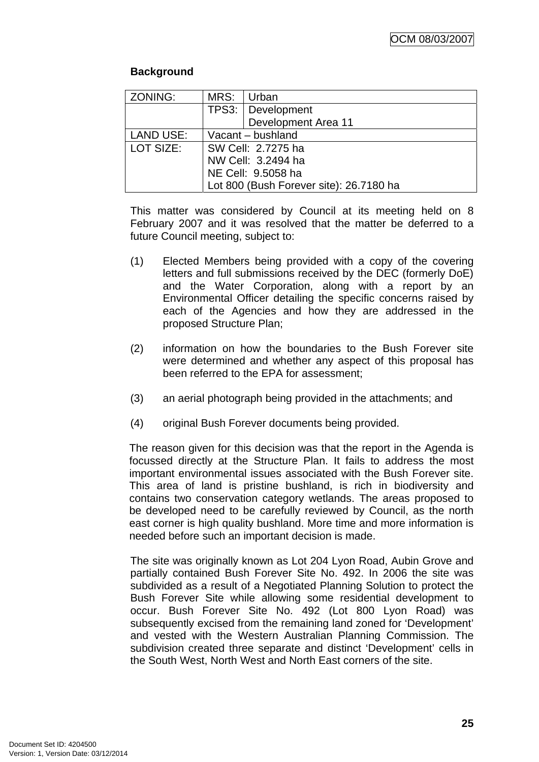# **Background**

| ZONING:                                 | MRS:               | Urban               |  |
|-----------------------------------------|--------------------|---------------------|--|
|                                         |                    | TPS3:   Development |  |
|                                         |                    | Development Area 11 |  |
| <b>LAND USE:</b>                        | Vacant - bushland  |                     |  |
| LOT SIZE:                               | SW Cell: 2.7275 ha |                     |  |
|                                         | NW Cell: 3.2494 ha |                     |  |
|                                         | NE Cell: 9.5058 ha |                     |  |
| Lot 800 (Bush Forever site): 26.7180 ha |                    |                     |  |

This matter was considered by Council at its meeting held on 8 February 2007 and it was resolved that the matter be deferred to a future Council meeting, subject to:

- (1) Elected Members being provided with a copy of the covering letters and full submissions received by the DEC (formerly DoE) and the Water Corporation, along with a report by an Environmental Officer detailing the specific concerns raised by each of the Agencies and how they are addressed in the proposed Structure Plan;
- (2) information on how the boundaries to the Bush Forever site were determined and whether any aspect of this proposal has been referred to the EPA for assessment;
- (3) an aerial photograph being provided in the attachments; and
- (4) original Bush Forever documents being provided.

The reason given for this decision was that the report in the Agenda is focussed directly at the Structure Plan. It fails to address the most important environmental issues associated with the Bush Forever site. This area of land is pristine bushland, is rich in biodiversity and contains two conservation category wetlands. The areas proposed to be developed need to be carefully reviewed by Council, as the north east corner is high quality bushland. More time and more information is needed before such an important decision is made.

The site was originally known as Lot 204 Lyon Road, Aubin Grove and partially contained Bush Forever Site No. 492. In 2006 the site was subdivided as a result of a Negotiated Planning Solution to protect the Bush Forever Site while allowing some residential development to occur. Bush Forever Site No. 492 (Lot 800 Lyon Road) was subsequently excised from the remaining land zoned for 'Development' and vested with the Western Australian Planning Commission. The subdivision created three separate and distinct 'Development' cells in the South West, North West and North East corners of the site.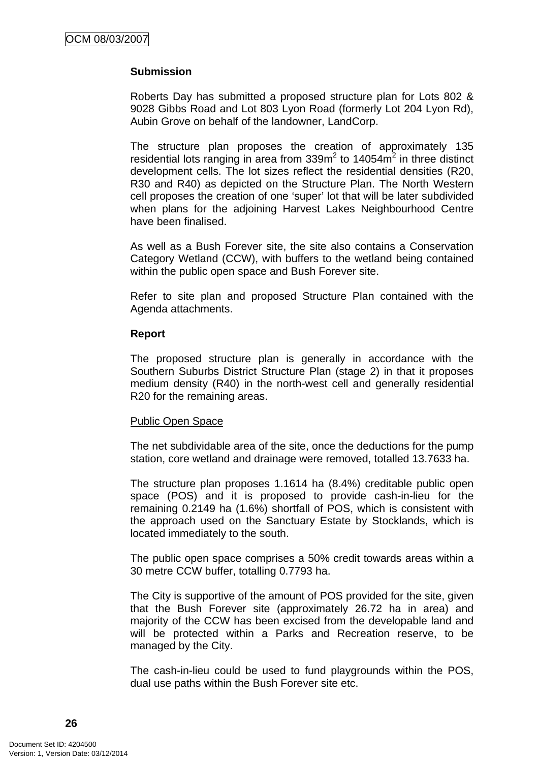# **Submission**

Roberts Day has submitted a proposed structure plan for Lots 802 & 9028 Gibbs Road and Lot 803 Lyon Road (formerly Lot 204 Lyon Rd), Aubin Grove on behalf of the landowner, LandCorp.

The structure plan proposes the creation of approximately 135 residential lots ranging in area from  $339m^2$  to 14054 $m^2$  in three distinct development cells. The lot sizes reflect the residential densities (R20, R30 and R40) as depicted on the Structure Plan. The North Western cell proposes the creation of one 'super' lot that will be later subdivided when plans for the adjoining Harvest Lakes Neighbourhood Centre have been finalised.

As well as a Bush Forever site, the site also contains a Conservation Category Wetland (CCW), with buffers to the wetland being contained within the public open space and Bush Forever site.

Refer to site plan and proposed Structure Plan contained with the Agenda attachments.

#### **Report**

The proposed structure plan is generally in accordance with the Southern Suburbs District Structure Plan (stage 2) in that it proposes medium density (R40) in the north-west cell and generally residential R20 for the remaining areas.

#### Public Open Space

The net subdividable area of the site, once the deductions for the pump station, core wetland and drainage were removed, totalled 13.7633 ha.

The structure plan proposes 1.1614 ha (8.4%) creditable public open space (POS) and it is proposed to provide cash-in-lieu for the remaining 0.2149 ha (1.6%) shortfall of POS, which is consistent with the approach used on the Sanctuary Estate by Stocklands, which is located immediately to the south.

The public open space comprises a 50% credit towards areas within a 30 metre CCW buffer, totalling 0.7793 ha.

The City is supportive of the amount of POS provided for the site, given that the Bush Forever site (approximately 26.72 ha in area) and majority of the CCW has been excised from the developable land and will be protected within a Parks and Recreation reserve, to be managed by the City.

The cash-in-lieu could be used to fund playgrounds within the POS, dual use paths within the Bush Forever site etc.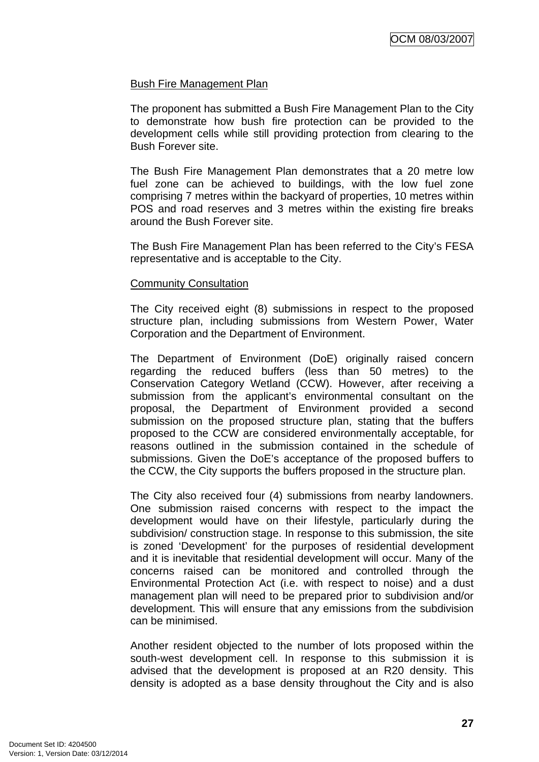## Bush Fire Management Plan

The proponent has submitted a Bush Fire Management Plan to the City to demonstrate how bush fire protection can be provided to the development cells while still providing protection from clearing to the Bush Forever site.

The Bush Fire Management Plan demonstrates that a 20 metre low fuel zone can be achieved to buildings, with the low fuel zone comprising 7 metres within the backyard of properties, 10 metres within POS and road reserves and 3 metres within the existing fire breaks around the Bush Forever site.

The Bush Fire Management Plan has been referred to the City's FESA representative and is acceptable to the City.

#### Community Consultation

The City received eight (8) submissions in respect to the proposed structure plan, including submissions from Western Power, Water Corporation and the Department of Environment.

The Department of Environment (DoE) originally raised concern regarding the reduced buffers (less than 50 metres) to the Conservation Category Wetland (CCW). However, after receiving a submission from the applicant's environmental consultant on the proposal, the Department of Environment provided a second submission on the proposed structure plan, stating that the buffers proposed to the CCW are considered environmentally acceptable, for reasons outlined in the submission contained in the schedule of submissions. Given the DoE's acceptance of the proposed buffers to the CCW, the City supports the buffers proposed in the structure plan.

The City also received four (4) submissions from nearby landowners. One submission raised concerns with respect to the impact the development would have on their lifestyle, particularly during the subdivision/ construction stage. In response to this submission, the site is zoned 'Development' for the purposes of residential development and it is inevitable that residential development will occur. Many of the concerns raised can be monitored and controlled through the Environmental Protection Act (i.e. with respect to noise) and a dust management plan will need to be prepared prior to subdivision and/or development. This will ensure that any emissions from the subdivision can be minimised.

Another resident objected to the number of lots proposed within the south-west development cell. In response to this submission it is advised that the development is proposed at an R20 density. This density is adopted as a base density throughout the City and is also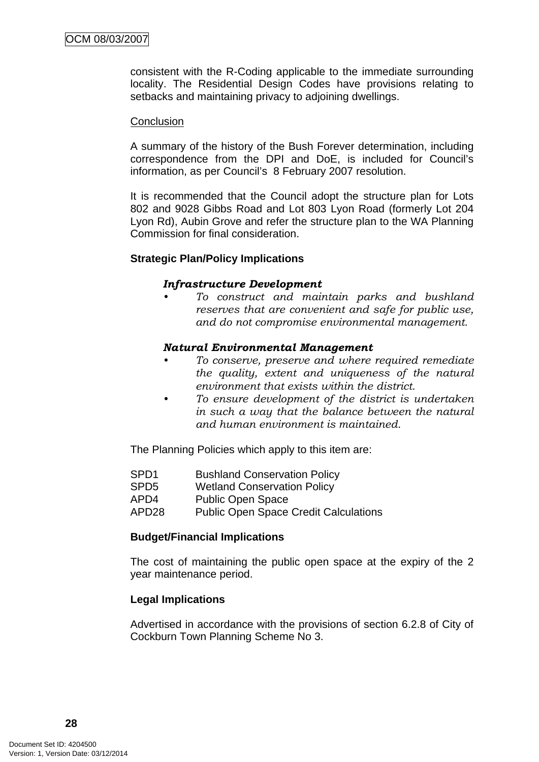consistent with the R-Coding applicable to the immediate surrounding locality. The Residential Design Codes have provisions relating to setbacks and maintaining privacy to adjoining dwellings.

#### **Conclusion**

A summary of the history of the Bush Forever determination, including correspondence from the DPI and DoE, is included for Council's information, as per Council's 8 February 2007 resolution.

It is recommended that the Council adopt the structure plan for Lots 802 and 9028 Gibbs Road and Lot 803 Lyon Road (formerly Lot 204 Lyon Rd), Aubin Grove and refer the structure plan to the WA Planning Commission for final consideration.

## **Strategic Plan/Policy Implications**

#### *Infrastructure Development*

*• To construct and maintain parks and bushland reserves that are convenient and safe for public use, and do not compromise environmental management.* 

#### *Natural Environmental Management*

- *To conserve, preserve and where required remediate the quality, extent and uniqueness of the natural environment that exists within the district.*
- *To ensure development of the district is undertaken in such a way that the balance between the natural and human environment is maintained.*

The Planning Policies which apply to this item are:

- SPD1 Bushland Conservation Policy
- SPD5 Wetland Conservation Policy
- APD4 Public Open Space
- APD28 Public Open Space Credit Calculations

## **Budget/Financial Implications**

The cost of maintaining the public open space at the expiry of the 2 year maintenance period.

## **Legal Implications**

Advertised in accordance with the provisions of section 6.2.8 of City of Cockburn Town Planning Scheme No 3.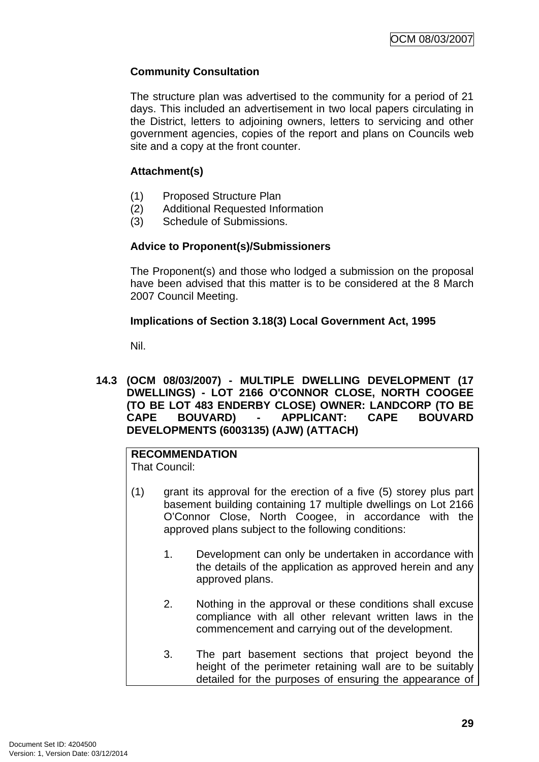# **Community Consultation**

The structure plan was advertised to the community for a period of 21 days. This included an advertisement in two local papers circulating in the District, letters to adjoining owners, letters to servicing and other government agencies, copies of the report and plans on Councils web site and a copy at the front counter.

# **Attachment(s)**

- (1) Proposed Structure Plan
- (2) Additional Requested Information
- (3) Schedule of Submissions.

# **Advice to Proponent(s)/Submissioners**

The Proponent(s) and those who lodged a submission on the proposal have been advised that this matter is to be considered at the 8 March 2007 Council Meeting.

# **Implications of Section 3.18(3) Local Government Act, 1995**

Nil.

**14.3 (OCM 08/03/2007) - MULTIPLE DWELLING DEVELOPMENT (17 DWELLINGS) - LOT 2166 O'CONNOR CLOSE, NORTH COOGEE (TO BE LOT 483 ENDERBY CLOSE) OWNER: LANDCORP (TO BE CAPE BOUVARD) - APPLICANT: CAPE BOUVARD DEVELOPMENTS (6003135) (AJW) (ATTACH)** 

# **RECOMMENDATION**

That Council:

- (1) grant its approval for the erection of a five (5) storey plus part basement building containing 17 multiple dwellings on Lot 2166 O'Connor Close, North Coogee, in accordance with the approved plans subject to the following conditions:
	- 1. Development can only be undertaken in accordance with the details of the application as approved herein and any approved plans.
	- 2. Nothing in the approval or these conditions shall excuse compliance with all other relevant written laws in the commencement and carrying out of the development.
	- 3. The part basement sections that project beyond the height of the perimeter retaining wall are to be suitably detailed for the purposes of ensuring the appearance of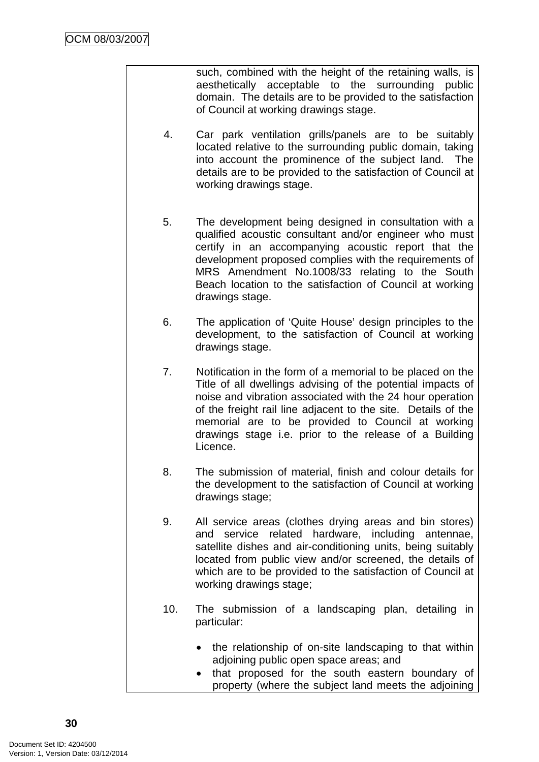such, combined with the height of the retaining walls, is aesthetically acceptable to the surrounding public domain. The details are to be provided to the satisfaction of Council at working drawings stage.

- 4. Car park ventilation grills/panels are to be suitably located relative to the surrounding public domain, taking into account the prominence of the subject land. The details are to be provided to the satisfaction of Council at working drawings stage.
- 5. The development being designed in consultation with a qualified acoustic consultant and/or engineer who must certify in an accompanying acoustic report that the development proposed complies with the requirements of MRS Amendment No.1008/33 relating to the South Beach location to the satisfaction of Council at working drawings stage.
- 6. The application of 'Quite House' design principles to the development, to the satisfaction of Council at working drawings stage.
- 7. Notification in the form of a memorial to be placed on the Title of all dwellings advising of the potential impacts of noise and vibration associated with the 24 hour operation of the freight rail line adjacent to the site. Details of the memorial are to be provided to Council at working drawings stage i.e. prior to the release of a Building Licence.
- 8. The submission of material, finish and colour details for the development to the satisfaction of Council at working drawings stage;
- 9. All service areas (clothes drying areas and bin stores) and service related hardware, including antennae, satellite dishes and air-conditioning units, being suitably located from public view and/or screened, the details of which are to be provided to the satisfaction of Council at working drawings stage;
- 10. The submission of a landscaping plan, detailing in particular:
	- the relationship of on-site landscaping to that within adjoining public open space areas; and
	- that proposed for the south eastern boundary of property (where the subject land meets the adjoining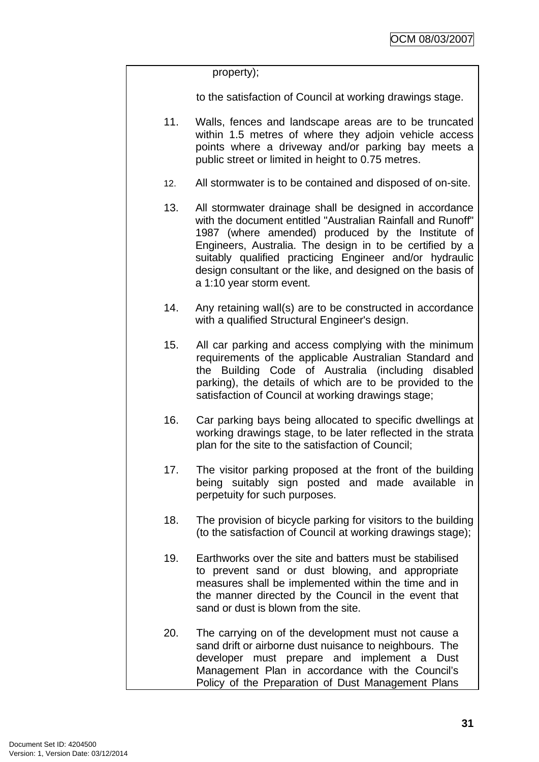property);

to the satisfaction of Council at working drawings stage.

- 11. Walls, fences and landscape areas are to be truncated within 1.5 metres of where they adjoin vehicle access points where a driveway and/or parking bay meets a public street or limited in height to 0.75 metres.
- 12. All stormwater is to be contained and disposed of on-site.
- 13. All stormwater drainage shall be designed in accordance with the document entitled "Australian Rainfall and Runoff" 1987 (where amended) produced by the Institute of Engineers, Australia. The design in to be certified by a suitably qualified practicing Engineer and/or hydraulic design consultant or the like, and designed on the basis of a 1:10 year storm event.
- 14. Any retaining wall(s) are to be constructed in accordance with a qualified Structural Engineer's design.
- 15. All car parking and access complying with the minimum requirements of the applicable Australian Standard and the Building Code of Australia (including disabled parking), the details of which are to be provided to the satisfaction of Council at working drawings stage;
- 16. Car parking bays being allocated to specific dwellings at working drawings stage, to be later reflected in the strata plan for the site to the satisfaction of Council;
- 17. The visitor parking proposed at the front of the building being suitably sign posted and made available in perpetuity for such purposes.
- 18. The provision of bicycle parking for visitors to the building (to the satisfaction of Council at working drawings stage);
- 19. Earthworks over the site and batters must be stabilised to prevent sand or dust blowing, and appropriate measures shall be implemented within the time and in the manner directed by the Council in the event that sand or dust is blown from the site.
- 20. The carrying on of the development must not cause a sand drift or airborne dust nuisance to neighbours. The developer must prepare and implement a Dust Management Plan in accordance with the Council's Policy of the Preparation of Dust Management Plans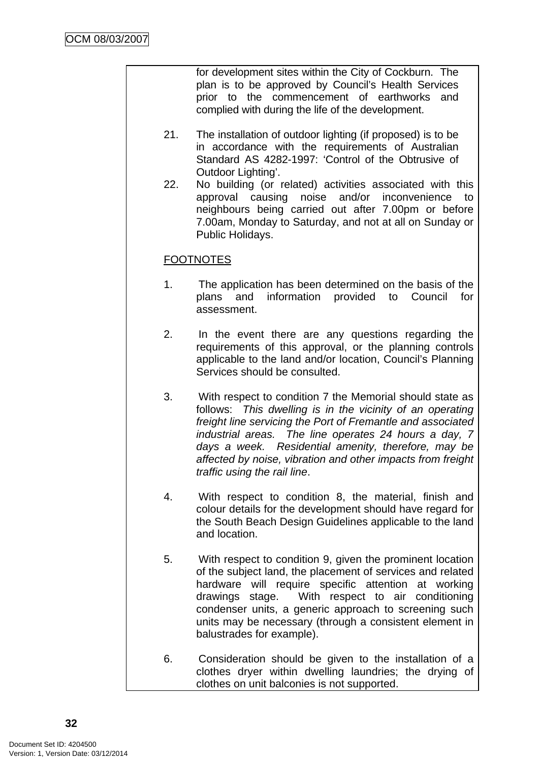for development sites within the City of Cockburn. The plan is to be approved by Council's Health Services prior to the commencement of earthworks and complied with during the life of the development.

- 21. The installation of outdoor lighting (if proposed) is to be in accordance with the requirements of Australian Standard AS 4282-1997: 'Control of the Obtrusive of Outdoor Lighting'.
- 22. No building (or related) activities associated with this approval causing noise and/or inconvenience to neighbours being carried out after 7.00pm or before 7.00am, Monday to Saturday, and not at all on Sunday or Public Holidays.

# **FOOTNOTES**

- 1. The application has been determined on the basis of the plans and information provided to Council for assessment.
- 2. In the event there are any questions regarding the requirements of this approval, or the planning controls applicable to the land and/or location, Council's Planning Services should be consulted.
- 3. With respect to condition 7 the Memorial should state as follows: *This dwelling is in the vicinity of an operating freight line servicing the Port of Fremantle and associated industrial areas. The line operates 24 hours a day, 7 days a week. Residential amenity, therefore, may be affected by noise, vibration and other impacts from freight traffic using the rail line*.
- 4. With respect to condition 8, the material, finish and colour details for the development should have regard for the South Beach Design Guidelines applicable to the land and location.
- 5. With respect to condition 9, given the prominent location of the subject land, the placement of services and related hardware will require specific attention at working drawings stage. With respect to air conditioning condenser units, a generic approach to screening such units may be necessary (through a consistent element in balustrades for example).
- 6. Consideration should be given to the installation of a clothes dryer within dwelling laundries; the drying of clothes on unit balconies is not supported.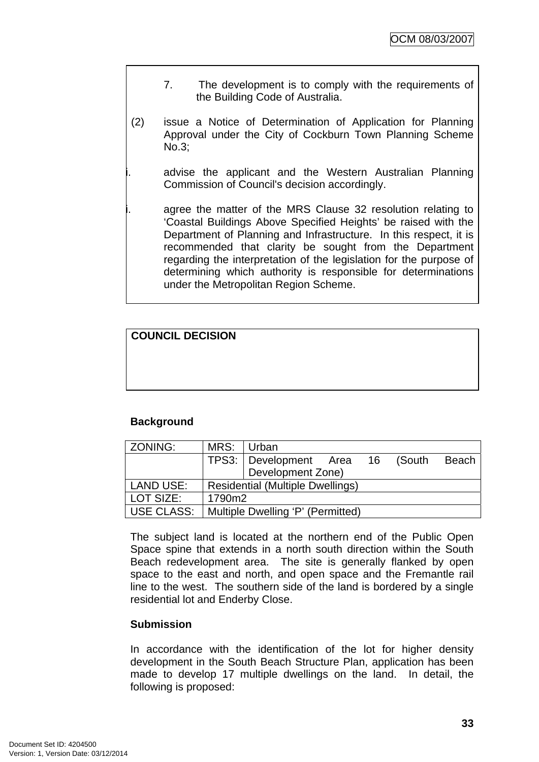- 7. The development is to comply with the requirements of the Building Code of Australia.
- (2) issue a Notice of Determination of Application for Planning Approval under the City of Cockburn Town Planning Scheme No.3;

advise the applicant and the Western Australian Planning Commission of Council's decision accordingly.

agree the matter of the MRS Clause 32 resolution relating to 'Coastal Buildings Above Specified Heights' be raised with the Department of Planning and Infrastructure. In this respect, it is recommended that clarity be sought from the Department regarding the interpretation of the legislation for the purpose of determining which authority is responsible for determinations under the Metropolitan Region Scheme.

# **COUNCIL DECISION**

### **Background**

| ZONING:    | MRS: Urban                              |                                   |  |           |       |
|------------|-----------------------------------------|-----------------------------------|--|-----------|-------|
|            |                                         | TPS3: Development Area            |  | 16 (South | Beach |
|            |                                         | Development Zone)                 |  |           |       |
| LAND USE:  | <b>Residential (Multiple Dwellings)</b> |                                   |  |           |       |
| LOT SIZE:  | 1790m2                                  |                                   |  |           |       |
| USE CLASS: |                                         | Multiple Dwelling 'P' (Permitted) |  |           |       |

The subject land is located at the northern end of the Public Open Space spine that extends in a north south direction within the South Beach redevelopment area. The site is generally flanked by open space to the east and north, and open space and the Fremantle rail line to the west. The southern side of the land is bordered by a single residential lot and Enderby Close.

### **Submission**

In accordance with the identification of the lot for higher density development in the South Beach Structure Plan, application has been made to develop 17 multiple dwellings on the land. In detail, the following is proposed: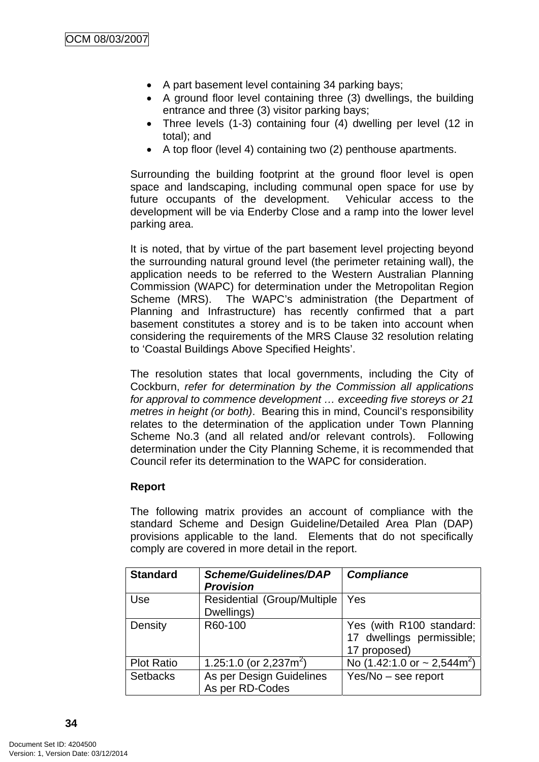- A part basement level containing 34 parking bays;
- A ground floor level containing three (3) dwellings, the building entrance and three (3) visitor parking bays;
- Three levels (1-3) containing four (4) dwelling per level (12 in total); and
- A top floor (level 4) containing two (2) penthouse apartments.

Surrounding the building footprint at the ground floor level is open space and landscaping, including communal open space for use by future occupants of the development. Vehicular access to the development will be via Enderby Close and a ramp into the lower level parking area.

It is noted, that by virtue of the part basement level projecting beyond the surrounding natural ground level (the perimeter retaining wall), the application needs to be referred to the Western Australian Planning Commission (WAPC) for determination under the Metropolitan Region Scheme (MRS). The WAPC's administration (the Department of Planning and Infrastructure) has recently confirmed that a part basement constitutes a storey and is to be taken into account when considering the requirements of the MRS Clause 32 resolution relating to 'Coastal Buildings Above Specified Heights'.

The resolution states that local governments, including the City of Cockburn, *refer for determination by the Commission all applications for approval to commence development … exceeding five storeys or 21 metres in height (or both)*. Bearing this in mind, Council's responsibility relates to the determination of the application under Town Planning Scheme No.3 (and all related and/or relevant controls). Following determination under the City Planning Scheme, it is recommended that Council refer its determination to the WAPC for consideration.

### **Report**

The following matrix provides an account of compliance with the standard Scheme and Design Guideline/Detailed Area Plan (DAP) provisions applicable to the land. Elements that do not specifically comply are covered in more detail in the report.

| <b>Standard</b>   | <b>Scheme/Guidelines/DAP</b><br><b>Provision</b> | <b>Compliance</b>                                                     |
|-------------------|--------------------------------------------------|-----------------------------------------------------------------------|
| Use               | Residential (Group/Multiple<br>Dwellings)        | Yes                                                                   |
| Density           | R60-100                                          | Yes (with R100 standard:<br>17 dwellings permissible;<br>17 proposed) |
| <b>Plot Ratio</b> | 1.25:1.0 (or 2,237m <sup>2</sup> )               | No $(1.42:1.0 \text{ or } -2.544 \text{ m}^2)$                        |
| <b>Setbacks</b>   | As per Design Guidelines<br>As per RD-Codes      | $Yes/No - see report$                                                 |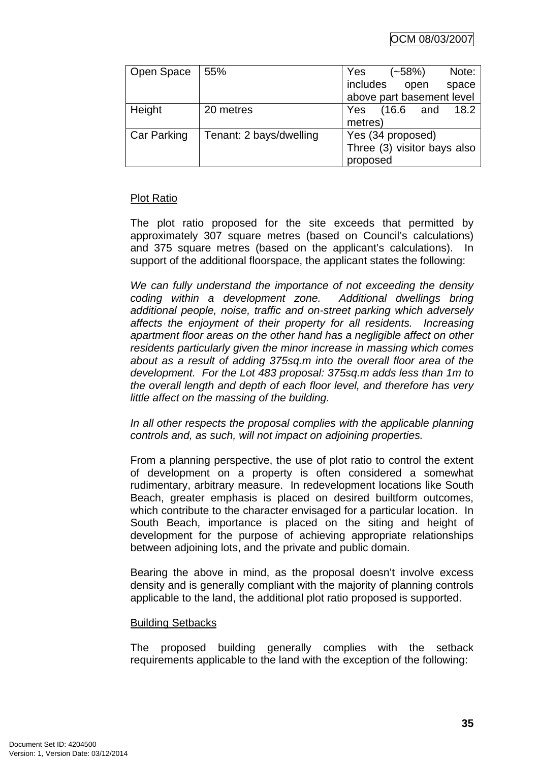| Open Space         | 55%                     | Yes<br>Note:<br>$(-58%)$    |
|--------------------|-------------------------|-----------------------------|
|                    |                         | includes open<br>space      |
|                    |                         | above part basement level   |
| Height             | 20 metres               | Yes (16.6 and<br>18.2       |
|                    |                         | metres)                     |
| <b>Car Parking</b> | Tenant: 2 bays/dwelling | Yes (34 proposed)           |
|                    |                         | Three (3) visitor bays also |
|                    |                         | proposed                    |

### Plot Ratio

The plot ratio proposed for the site exceeds that permitted by approximately 307 square metres (based on Council's calculations) and 375 square metres (based on the applicant's calculations). In support of the additional floorspace, the applicant states the following:

*We can fully understand the importance of not exceeding the density coding within a development zone. Additional dwellings bring additional people, noise, traffic and on-street parking which adversely affects the enjoyment of their property for all residents. Increasing apartment floor areas on the other hand has a negligible affect on other residents particularly given the minor increase in massing which comes about as a result of adding 375sq.m into the overall floor area of the development. For the Lot 483 proposal: 375sq.m adds less than 1m to the overall length and depth of each floor level, and therefore has very little affect on the massing of the building.* 

In all other respects the proposal complies with the applicable planning *controls and, as such, will not impact on adjoining properties.* 

From a planning perspective, the use of plot ratio to control the extent of development on a property is often considered a somewhat rudimentary, arbitrary measure. In redevelopment locations like South Beach, greater emphasis is placed on desired builtform outcomes, which contribute to the character envisaged for a particular location. In South Beach, importance is placed on the siting and height of development for the purpose of achieving appropriate relationships between adjoining lots, and the private and public domain.

Bearing the above in mind, as the proposal doesn't involve excess density and is generally compliant with the majority of planning controls applicable to the land, the additional plot ratio proposed is supported.

### Building Setbacks

The proposed building generally complies with the setback requirements applicable to the land with the exception of the following: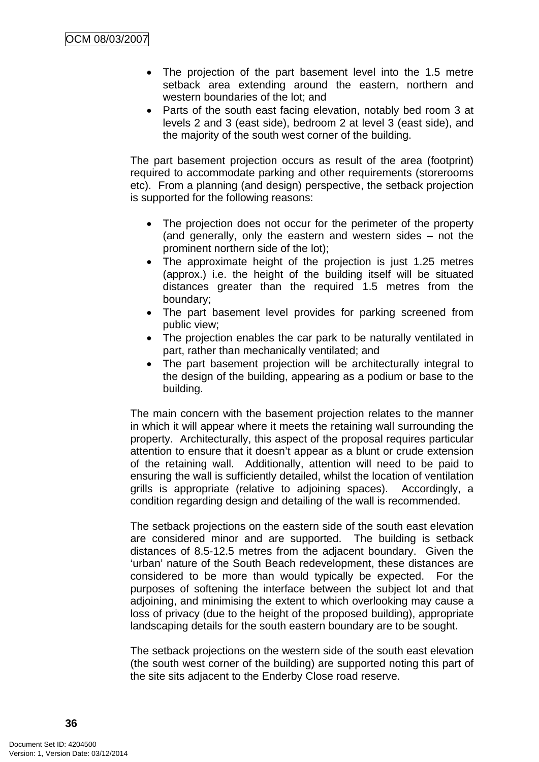- The projection of the part basement level into the 1.5 metre setback area extending around the eastern, northern and western boundaries of the lot; and
- Parts of the south east facing elevation, notably bed room 3 at levels 2 and 3 (east side), bedroom 2 at level 3 (east side), and the majority of the south west corner of the building.

The part basement projection occurs as result of the area (footprint) required to accommodate parking and other requirements (storerooms etc). From a planning (and design) perspective, the setback projection is supported for the following reasons:

- The projection does not occur for the perimeter of the property (and generally, only the eastern and western sides – not the prominent northern side of the lot);
- The approximate height of the projection is just 1.25 metres (approx.) i.e. the height of the building itself will be situated distances greater than the required 1.5 metres from the boundary;
- The part basement level provides for parking screened from public view;
- The projection enables the car park to be naturally ventilated in part, rather than mechanically ventilated; and
- The part basement projection will be architecturally integral to the design of the building, appearing as a podium or base to the building.

The main concern with the basement projection relates to the manner in which it will appear where it meets the retaining wall surrounding the property. Architecturally, this aspect of the proposal requires particular attention to ensure that it doesn't appear as a blunt or crude extension of the retaining wall. Additionally, attention will need to be paid to ensuring the wall is sufficiently detailed, whilst the location of ventilation grills is appropriate (relative to adjoining spaces). Accordingly, a condition regarding design and detailing of the wall is recommended.

The setback projections on the eastern side of the south east elevation are considered minor and are supported. The building is setback distances of 8.5-12.5 metres from the adjacent boundary. Given the 'urban' nature of the South Beach redevelopment, these distances are considered to be more than would typically be expected. For the purposes of softening the interface between the subject lot and that adjoining, and minimising the extent to which overlooking may cause a loss of privacy (due to the height of the proposed building), appropriate landscaping details for the south eastern boundary are to be sought.

The setback projections on the western side of the south east elevation (the south west corner of the building) are supported noting this part of the site sits adjacent to the Enderby Close road reserve.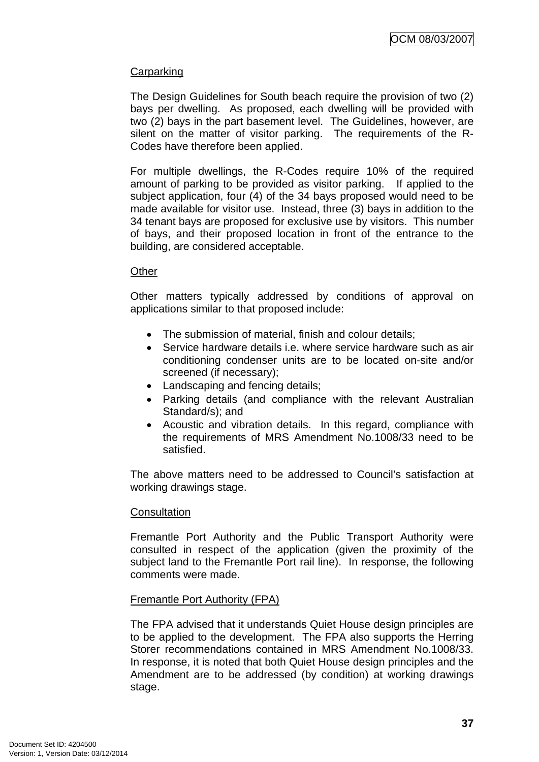### **Carparking**

The Design Guidelines for South beach require the provision of two (2) bays per dwelling. As proposed, each dwelling will be provided with two (2) bays in the part basement level. The Guidelines, however, are silent on the matter of visitor parking. The requirements of the R-Codes have therefore been applied.

For multiple dwellings, the R-Codes require 10% of the required amount of parking to be provided as visitor parking. If applied to the subject application, four (4) of the 34 bays proposed would need to be made available for visitor use. Instead, three (3) bays in addition to the 34 tenant bays are proposed for exclusive use by visitors. This number of bays, and their proposed location in front of the entrance to the building, are considered acceptable.

#### **Other**

Other matters typically addressed by conditions of approval on applications similar to that proposed include:

- The submission of material, finish and colour details:
- Service hardware details i.e. where service hardware such as air conditioning condenser units are to be located on-site and/or screened (if necessary);
- Landscaping and fencing details;
- Parking details (and compliance with the relevant Australian Standard/s); and
- Acoustic and vibration details. In this regard, compliance with the requirements of MRS Amendment No.1008/33 need to be satisfied.

The above matters need to be addressed to Council's satisfaction at working drawings stage.

### **Consultation**

Fremantle Port Authority and the Public Transport Authority were consulted in respect of the application (given the proximity of the subject land to the Fremantle Port rail line). In response, the following comments were made.

### Fremantle Port Authority (FPA)

The FPA advised that it understands Quiet House design principles are to be applied to the development. The FPA also supports the Herring Storer recommendations contained in MRS Amendment No.1008/33. In response, it is noted that both Quiet House design principles and the Amendment are to be addressed (by condition) at working drawings stage.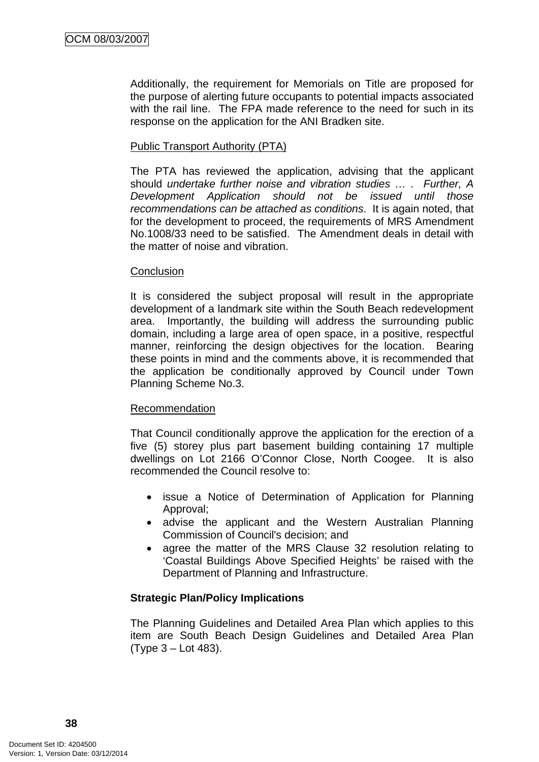Additionally, the requirement for Memorials on Title are proposed for the purpose of alerting future occupants to potential impacts associated with the rail line. The FPA made reference to the need for such in its response on the application for the ANI Bradken site.

### Public Transport Authority (PTA)

The PTA has reviewed the application, advising that the applicant should *undertake further noise and vibration studies … . Further, A Development Application should not be issued until those recommendations can be attached as conditions*. It is again noted, that for the development to proceed, the requirements of MRS Amendment No.1008/33 need to be satisfied. The Amendment deals in detail with the matter of noise and vibration.

#### **Conclusion**

It is considered the subject proposal will result in the appropriate development of a landmark site within the South Beach redevelopment area. Importantly, the building will address the surrounding public domain, including a large area of open space, in a positive, respectful manner, reinforcing the design objectives for the location. Bearing these points in mind and the comments above, it is recommended that the application be conditionally approved by Council under Town Planning Scheme No.3.

### Recommendation

That Council conditionally approve the application for the erection of a five (5) storey plus part basement building containing 17 multiple dwellings on Lot 2166 O'Connor Close, North Coogee. It is also recommended the Council resolve to:

- issue a Notice of Determination of Application for Planning Approval;
- advise the applicant and the Western Australian Planning Commission of Council's decision; and
- agree the matter of the MRS Clause 32 resolution relating to 'Coastal Buildings Above Specified Heights' be raised with the Department of Planning and Infrastructure.

# **Strategic Plan/Policy Implications**

The Planning Guidelines and Detailed Area Plan which applies to this item are South Beach Design Guidelines and Detailed Area Plan (Type 3 – Lot 483).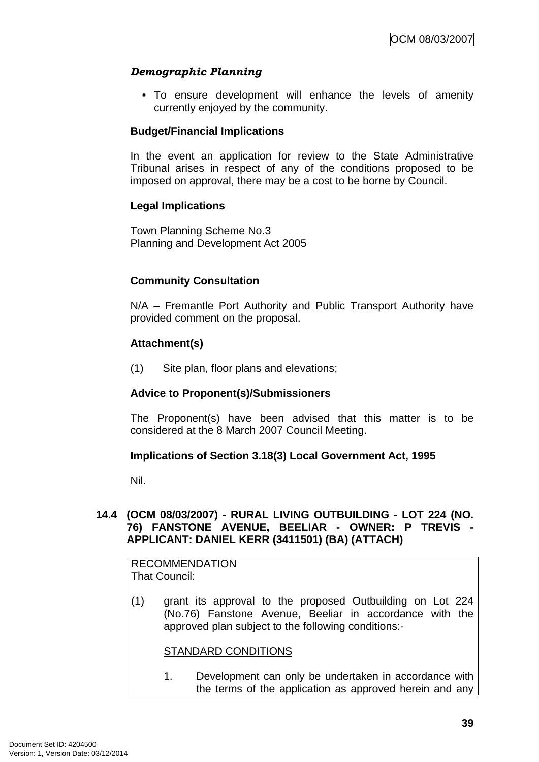# *Demographic Planning*

• To ensure development will enhance the levels of amenity currently enjoyed by the community.

### **Budget/Financial Implications**

In the event an application for review to the State Administrative Tribunal arises in respect of any of the conditions proposed to be imposed on approval, there may be a cost to be borne by Council.

### **Legal Implications**

Town Planning Scheme No.3 Planning and Development Act 2005

# **Community Consultation**

N/A – Fremantle Port Authority and Public Transport Authority have provided comment on the proposal.

### **Attachment(s)**

(1) Site plan, floor plans and elevations;

### **Advice to Proponent(s)/Submissioners**

The Proponent(s) have been advised that this matter is to be considered at the 8 March 2007 Council Meeting.

### **Implications of Section 3.18(3) Local Government Act, 1995**

Nil.

### **14.4 (OCM 08/03/2007) - RURAL LIVING OUTBUILDING - LOT 224 (NO. 76) FANSTONE AVENUE, BEELIAR - OWNER: P TREVIS - APPLICANT: DANIEL KERR (3411501) (BA) (ATTACH)**

RECOMMENDATION That Council:

(1) grant its approval to the proposed Outbuilding on Lot 224 (No.76) Fanstone Avenue, Beeliar in accordance with the approved plan subject to the following conditions:-

### STANDARD CONDITIONS

1. Development can only be undertaken in accordance with the terms of the application as approved herein and any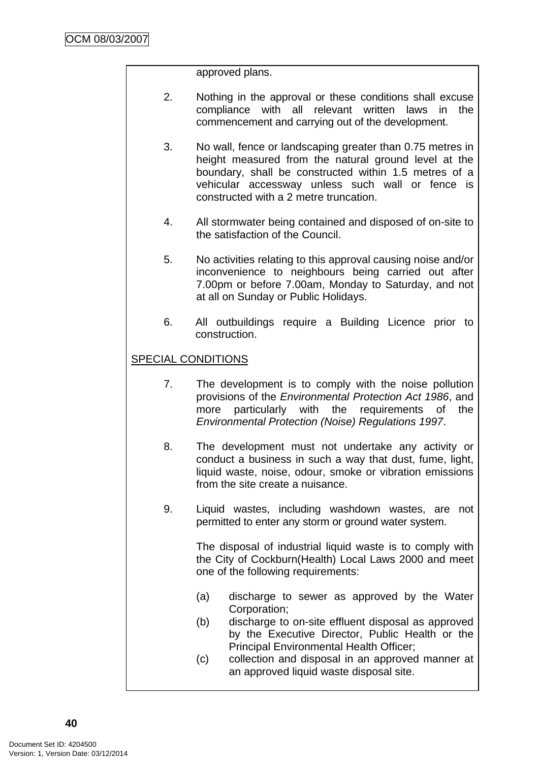approved plans.

- 2. Nothing in the approval or these conditions shall excuse compliance with all relevant written laws in the commencement and carrying out of the development.
- 3. No wall, fence or landscaping greater than 0.75 metres in height measured from the natural ground level at the boundary, shall be constructed within 1.5 metres of a vehicular accessway unless such wall or fence is constructed with a 2 metre truncation.
- 4. All stormwater being contained and disposed of on-site to the satisfaction of the Council.
- 5. No activities relating to this approval causing noise and/or inconvenience to neighbours being carried out after 7.00pm or before 7.00am, Monday to Saturday, and not at all on Sunday or Public Holidays.
- 6. All outbuildings require a Building Licence prior to construction.

# SPECIAL CONDITIONS

- 7. The development is to comply with the noise pollution provisions of the *Environmental Protection Act 1986*, and more particularly with the requirements of the *Environmental Protection (Noise) Regulations 1997*.
- 8. The development must not undertake any activity or conduct a business in such a way that dust, fume, light, liquid waste, noise, odour, smoke or vibration emissions from the site create a nuisance.
- 9. Liquid wastes, including washdown wastes, are not permitted to enter any storm or ground water system.

 The disposal of industrial liquid waste is to comply with the City of Cockburn(Health) Local Laws 2000 and meet one of the following requirements:

- (a) discharge to sewer as approved by the Water Corporation;
- (b) discharge to on-site effluent disposal as approved by the Executive Director, Public Health or the Principal Environmental Health Officer;
- (c) collection and disposal in an approved manner at an approved liquid waste disposal site.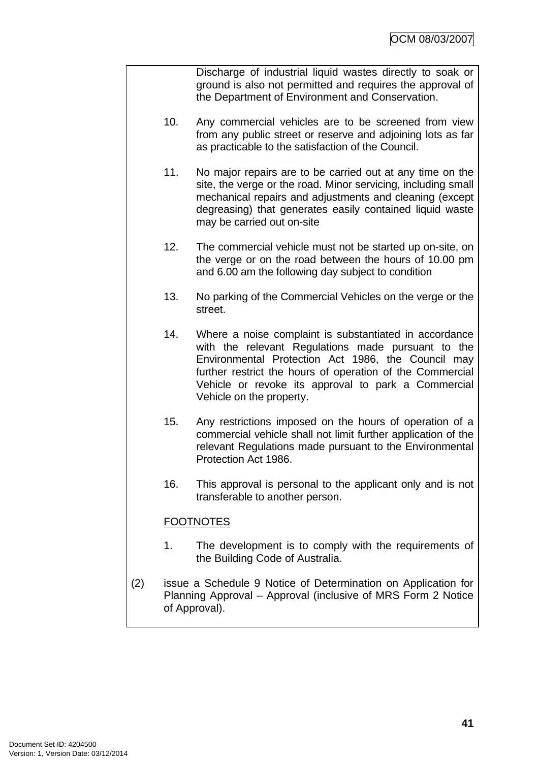Discharge of industrial liquid wastes directly to soak or ground is also not permitted and requires the approval of the Department of Environment and Conservation.

- 10. Any commercial vehicles are to be screened from view from any public street or reserve and adjoining lots as far as practicable to the satisfaction of the Council.
- 11. No major repairs are to be carried out at any time on the site, the verge or the road. Minor servicing, including small mechanical repairs and adjustments and cleaning (except degreasing) that generates easily contained liquid waste may be carried out on-site
- 12. The commercial vehicle must not be started up on-site, on the verge or on the road between the hours of 10.00 pm and 6.00 am the following day subject to condition
- 13. No parking of the Commercial Vehicles on the verge or the street.
- 14. Where a noise complaint is substantiated in accordance with the relevant Regulations made pursuant to the Environmental Protection Act 1986, the Council may further restrict the hours of operation of the Commercial Vehicle or revoke its approval to park a Commercial Vehicle on the property.
- 15. Any restrictions imposed on the hours of operation of a commercial vehicle shall not limit further application of the relevant Regulations made pursuant to the Environmental Protection Act 1986.
- 16. This approval is personal to the applicant only and is not transferable to another person.

# **FOOTNOTES**

- 1. The development is to comply with the requirements of the Building Code of Australia.
- (2) issue a Schedule 9 Notice of Determination on Application for Planning Approval – Approval (inclusive of MRS Form 2 Notice of Approval).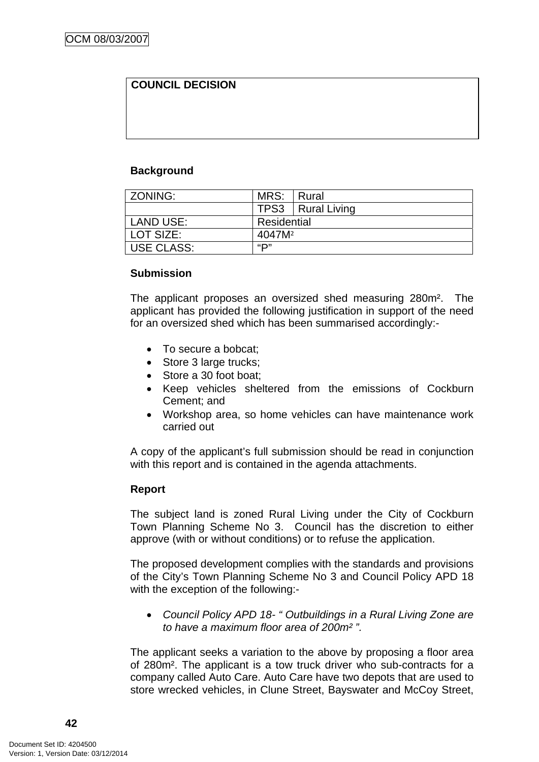# **COUNCIL DECISION**

### **Background**

| ZONING:           | MRS:               | l Rural             |
|-------------------|--------------------|---------------------|
|                   |                    | TPS3   Rural Living |
| LAND USE:         | Residential        |                     |
| l LOT SIZE:       | 4047M <sup>2</sup> |                     |
| <b>USE CLASS:</b> | "כו                |                     |

### **Submission**

The applicant proposes an oversized shed measuring 280m². The applicant has provided the following justification in support of the need for an oversized shed which has been summarised accordingly:-

- To secure a bobcat:
- Store 3 large trucks:
- Store a 30 foot boat;
- Keep vehicles sheltered from the emissions of Cockburn Cement; and
- Workshop area, so home vehicles can have maintenance work carried out

A copy of the applicant's full submission should be read in conjunction with this report and is contained in the agenda attachments.

### **Report**

The subject land is zoned Rural Living under the City of Cockburn Town Planning Scheme No 3. Council has the discretion to either approve (with or without conditions) or to refuse the application.

The proposed development complies with the standards and provisions of the City's Town Planning Scheme No 3 and Council Policy APD 18 with the exception of the following:-

• *Council Policy APD 18- " Outbuildings in a Rural Living Zone are to have a maximum floor area of 200m² ".* 

The applicant seeks a variation to the above by proposing a floor area of 280m². The applicant is a tow truck driver who sub-contracts for a company called Auto Care. Auto Care have two depots that are used to store wrecked vehicles, in Clune Street, Bayswater and McCoy Street,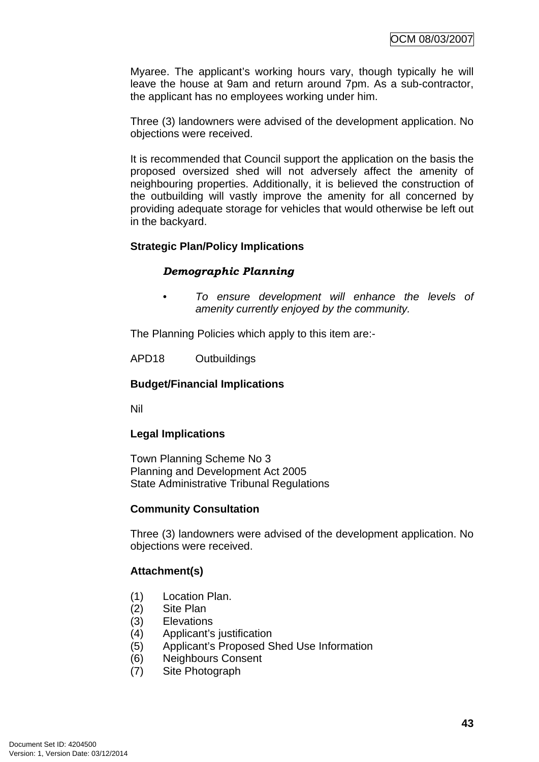Myaree. The applicant's working hours vary, though typically he will leave the house at 9am and return around 7pm. As a sub-contractor, the applicant has no employees working under him.

Three (3) landowners were advised of the development application. No objections were received.

It is recommended that Council support the application on the basis the proposed oversized shed will not adversely affect the amenity of neighbouring properties. Additionally, it is believed the construction of the outbuilding will vastly improve the amenity for all concerned by providing adequate storage for vehicles that would otherwise be left out in the backyard.

### **Strategic Plan/Policy Implications**

### *Demographic Planning*

*• To ensure development will enhance the levels of amenity currently enjoyed by the community.*

The Planning Policies which apply to this item are:-

APD18 Outbuildings

### **Budget/Financial Implications**

Nil

### **Legal Implications**

Town Planning Scheme No 3 Planning and Development Act 2005 State Administrative Tribunal Regulations

### **Community Consultation**

Three (3) landowners were advised of the development application. No objections were received.

### **Attachment(s)**

- (1) Location Plan.
- (2) Site Plan
- (3) Elevations
- (4) Applicant's justification
- (5) Applicant's Proposed Shed Use Information
- (6) Neighbours Consent
- (7) Site Photograph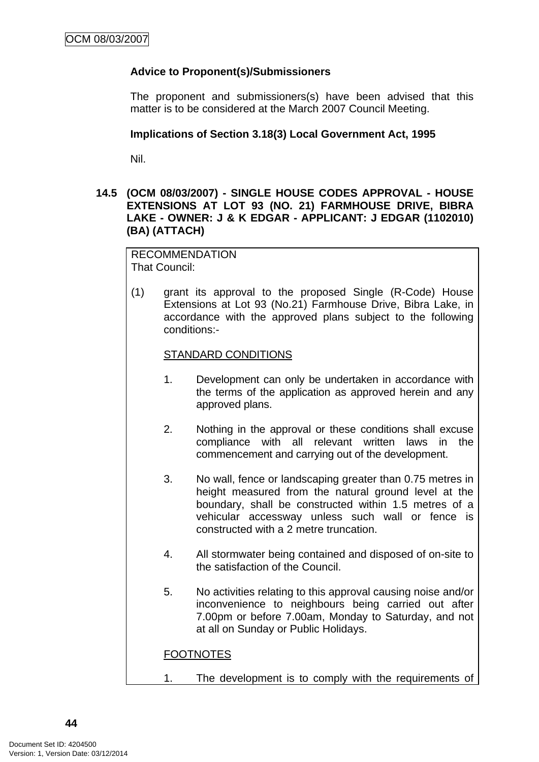# **Advice to Proponent(s)/Submissioners**

The proponent and submissioners(s) have been advised that this matter is to be considered at the March 2007 Council Meeting.

#### **Implications of Section 3.18(3) Local Government Act, 1995**

Nil.

### **14.5 (OCM 08/03/2007) - SINGLE HOUSE CODES APPROVAL - HOUSE EXTENSIONS AT LOT 93 (NO. 21) FARMHOUSE DRIVE, BIBRA LAKE - OWNER: J & K EDGAR - APPLICANT: J EDGAR (1102010) (BA) (ATTACH)**

RECOMMENDATION That Council:

(1) grant its approval to the proposed Single (R-Code) House Extensions at Lot 93 (No.21) Farmhouse Drive, Bibra Lake, in accordance with the approved plans subject to the following conditions:-

#### STANDARD CONDITIONS

- 1. Development can only be undertaken in accordance with the terms of the application as approved herein and any approved plans.
- 2. Nothing in the approval or these conditions shall excuse compliance with all relevant written laws in the commencement and carrying out of the development.
- 3. No wall, fence or landscaping greater than 0.75 metres in height measured from the natural ground level at the boundary, shall be constructed within 1.5 metres of a vehicular accessway unless such wall or fence is constructed with a 2 metre truncation.
- 4. All stormwater being contained and disposed of on-site to the satisfaction of the Council.
- 5. No activities relating to this approval causing noise and/or inconvenience to neighbours being carried out after 7.00pm or before 7.00am, Monday to Saturday, and not at all on Sunday or Public Holidays.

### **FOOTNOTES**

1. The development is to comply with the requirements of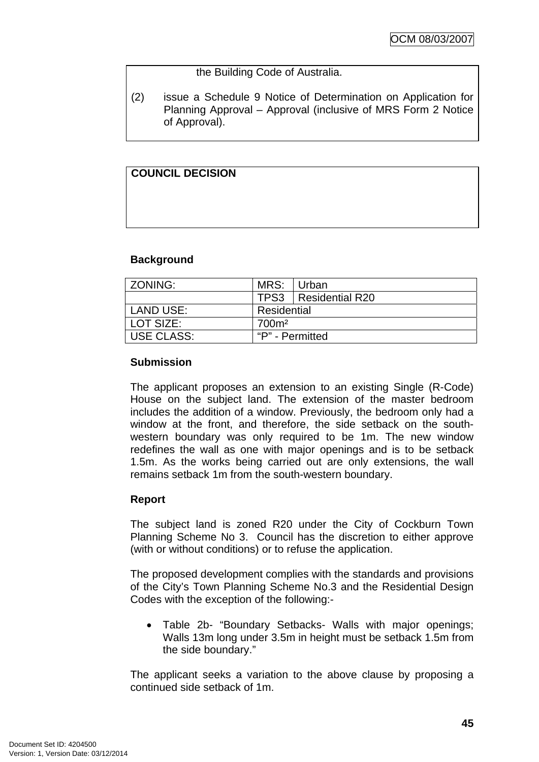### the Building Code of Australia.

(2) issue a Schedule 9 Notice of Determination on Application for Planning Approval – Approval (inclusive of MRS Form 2 Notice of Approval).

# **COUNCIL DECISION**

### **Background**

| ZONING:           | MRS:              | Urban                  |
|-------------------|-------------------|------------------------|
|                   |                   | TPS3   Residential R20 |
| LAND USE:         | Residential       |                        |
| LOT SIZE:         | 700m <sup>2</sup> |                        |
| <b>USE CLASS:</b> | "P" - Permitted   |                        |

### **Submission**

The applicant proposes an extension to an existing Single (R-Code) House on the subject land. The extension of the master bedroom includes the addition of a window. Previously, the bedroom only had a window at the front, and therefore, the side setback on the southwestern boundary was only required to be 1m. The new window redefines the wall as one with major openings and is to be setback 1.5m. As the works being carried out are only extensions, the wall remains setback 1m from the south-western boundary.

# **Report**

The subject land is zoned R20 under the City of Cockburn Town Planning Scheme No 3. Council has the discretion to either approve (with or without conditions) or to refuse the application.

The proposed development complies with the standards and provisions of the City's Town Planning Scheme No.3 and the Residential Design Codes with the exception of the following:-

• Table 2b- "Boundary Setbacks- Walls with major openings; Walls 13m long under 3.5m in height must be setback 1.5m from the side boundary."

The applicant seeks a variation to the above clause by proposing a continued side setback of 1m.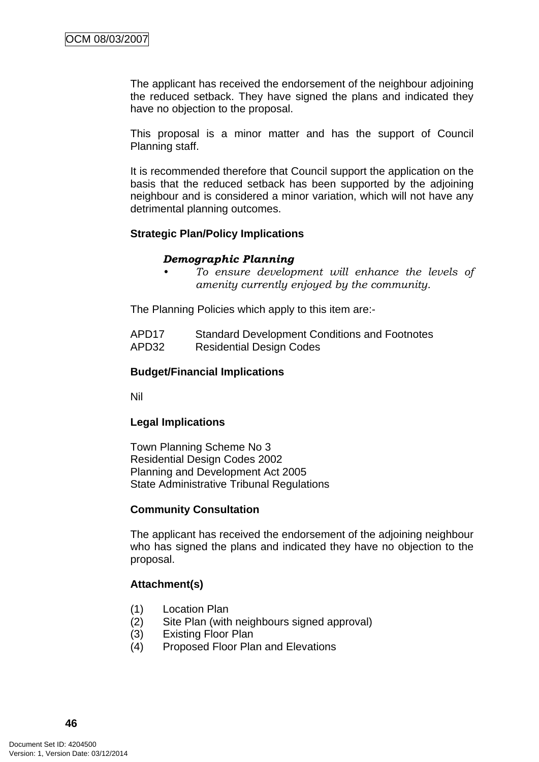The applicant has received the endorsement of the neighbour adjoining the reduced setback. They have signed the plans and indicated they have no objection to the proposal.

This proposal is a minor matter and has the support of Council Planning staff.

It is recommended therefore that Council support the application on the basis that the reduced setback has been supported by the adjoining neighbour and is considered a minor variation, which will not have any detrimental planning outcomes.

#### **Strategic Plan/Policy Implications**

#### *Demographic Planning*

*• To ensure development will enhance the levels of amenity currently enjoyed by the community.*

The Planning Policies which apply to this item are:-

| APD <sub>17</sub> | <b>Standard Development Conditions and Footnotes</b> |
|-------------------|------------------------------------------------------|
| APD32             | <b>Residential Design Codes</b>                      |

#### **Budget/Financial Implications**

Nil

### **Legal Implications**

Town Planning Scheme No 3 Residential Design Codes 2002 Planning and Development Act 2005 State Administrative Tribunal Regulations

#### **Community Consultation**

The applicant has received the endorsement of the adjoining neighbour who has signed the plans and indicated they have no objection to the proposal.

### **Attachment(s)**

- (1) Location Plan
- (2) Site Plan (with neighbours signed approval)
- (3) Existing Floor Plan
- (4) Proposed Floor Plan and Elevations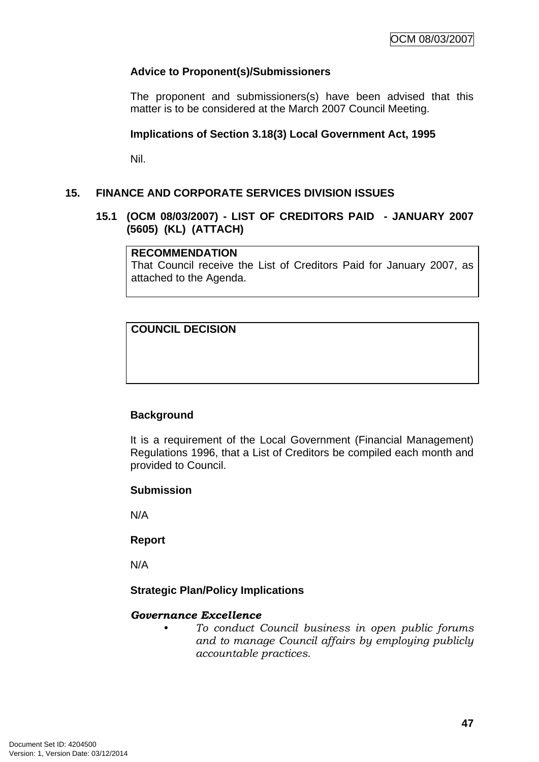### **Advice to Proponent(s)/Submissioners**

The proponent and submissioners(s) have been advised that this matter is to be considered at the March 2007 Council Meeting.

#### **Implications of Section 3.18(3) Local Government Act, 1995**

Nil.

### **15. FINANCE AND CORPORATE SERVICES DIVISION ISSUES**

#### **15.1 (OCM 08/03/2007) - LIST OF CREDITORS PAID - JANUARY 2007 (5605) (KL) (ATTACH)**

#### **RECOMMENDATION**

That Council receive the List of Creditors Paid for January 2007, as attached to the Agenda.

# **COUNCIL DECISION**

### **Background**

It is a requirement of the Local Government (Financial Management) Regulations 1996, that a List of Creditors be compiled each month and provided to Council.

#### **Submission**

N/A

#### **Report**

N/A

### **Strategic Plan/Policy Implications**

#### *Governance Excellence*

*• To conduct Council business in open public forums and to manage Council affairs by employing publicly accountable practices.*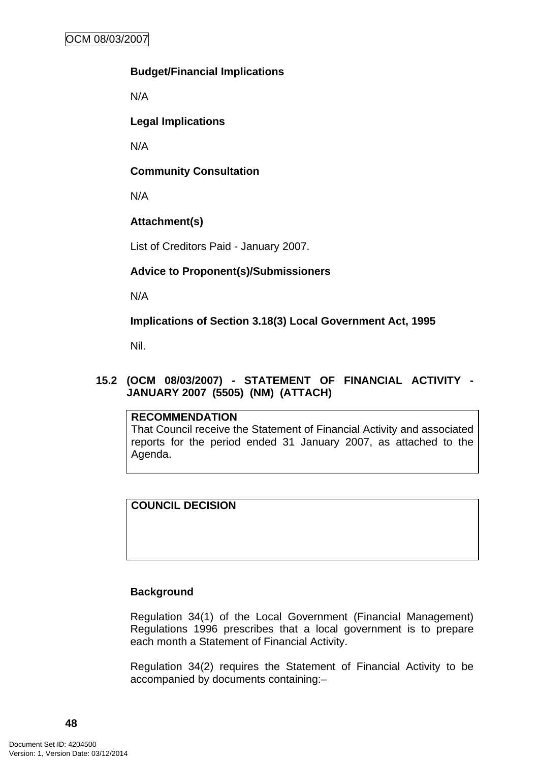### **Budget/Financial Implications**

N/A

**Legal Implications** 

N/A

### **Community Consultation**

N/A

# **Attachment(s)**

List of Creditors Paid - January 2007.

# **Advice to Proponent(s)/Submissioners**

N/A

**Implications of Section 3.18(3) Local Government Act, 1995**

Nil.

# **15.2 (OCM 08/03/2007) - STATEMENT OF FINANCIAL ACTIVITY - JANUARY 2007 (5505) (NM) (ATTACH)**

### **RECOMMENDATION**

That Council receive the Statement of Financial Activity and associated reports for the period ended 31 January 2007, as attached to the Agenda.

# **COUNCIL DECISION**

### **Background**

Regulation 34(1) of the Local Government (Financial Management) Regulations 1996 prescribes that a local government is to prepare each month a Statement of Financial Activity.

Regulation 34(2) requires the Statement of Financial Activity to be accompanied by documents containing:–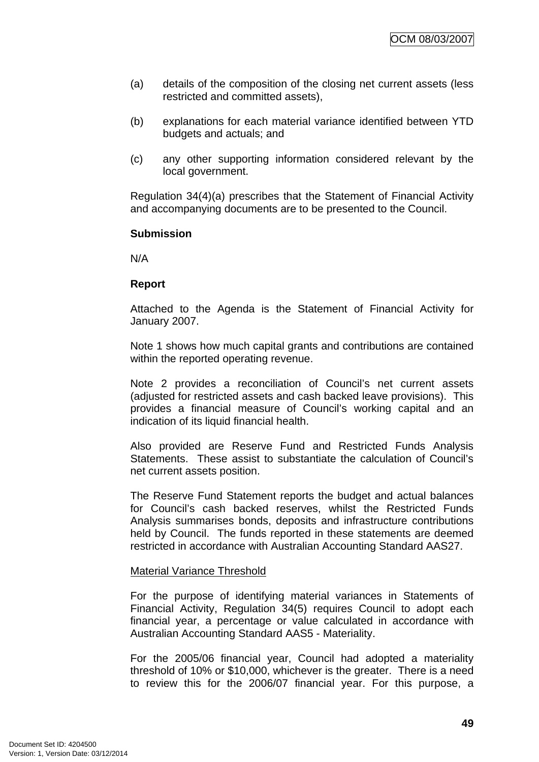- (a) details of the composition of the closing net current assets (less restricted and committed assets),
- (b) explanations for each material variance identified between YTD budgets and actuals; and
- (c) any other supporting information considered relevant by the local government.

Regulation 34(4)(a) prescribes that the Statement of Financial Activity and accompanying documents are to be presented to the Council.

#### **Submission**

N/A

#### **Report**

Attached to the Agenda is the Statement of Financial Activity for January 2007.

Note 1 shows how much capital grants and contributions are contained within the reported operating revenue.

Note 2 provides a reconciliation of Council's net current assets (adjusted for restricted assets and cash backed leave provisions). This provides a financial measure of Council's working capital and an indication of its liquid financial health.

Also provided are Reserve Fund and Restricted Funds Analysis Statements. These assist to substantiate the calculation of Council's net current assets position.

The Reserve Fund Statement reports the budget and actual balances for Council's cash backed reserves, whilst the Restricted Funds Analysis summarises bonds, deposits and infrastructure contributions held by Council. The funds reported in these statements are deemed restricted in accordance with Australian Accounting Standard AAS27.

#### Material Variance Threshold

For the purpose of identifying material variances in Statements of Financial Activity, Regulation 34(5) requires Council to adopt each financial year, a percentage or value calculated in accordance with Australian Accounting Standard AAS5 - Materiality.

For the 2005/06 financial year, Council had adopted a materiality threshold of 10% or \$10,000, whichever is the greater. There is a need to review this for the 2006/07 financial year. For this purpose, a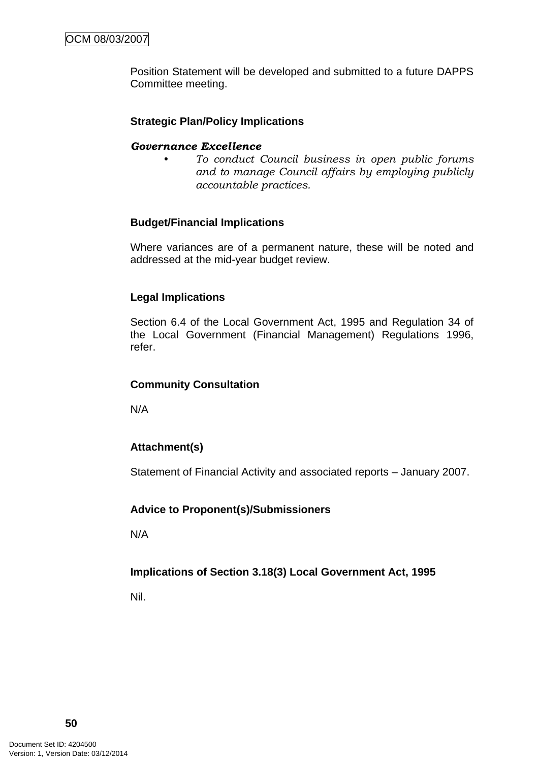Position Statement will be developed and submitted to a future DAPPS Committee meeting.

### **Strategic Plan/Policy Implications**

#### *Governance Excellence*

*• To conduct Council business in open public forums and to manage Council affairs by employing publicly accountable practices.* 

### **Budget/Financial Implications**

Where variances are of a permanent nature, these will be noted and addressed at the mid-year budget review.

### **Legal Implications**

Section 6.4 of the Local Government Act, 1995 and Regulation 34 of the Local Government (Financial Management) Regulations 1996, refer.

### **Community Consultation**

N/A

# **Attachment(s)**

Statement of Financial Activity and associated reports – January 2007.

### **Advice to Proponent(s)/Submissioners**

N/A

# **Implications of Section 3.18(3) Local Government Act, 1995**

Nil.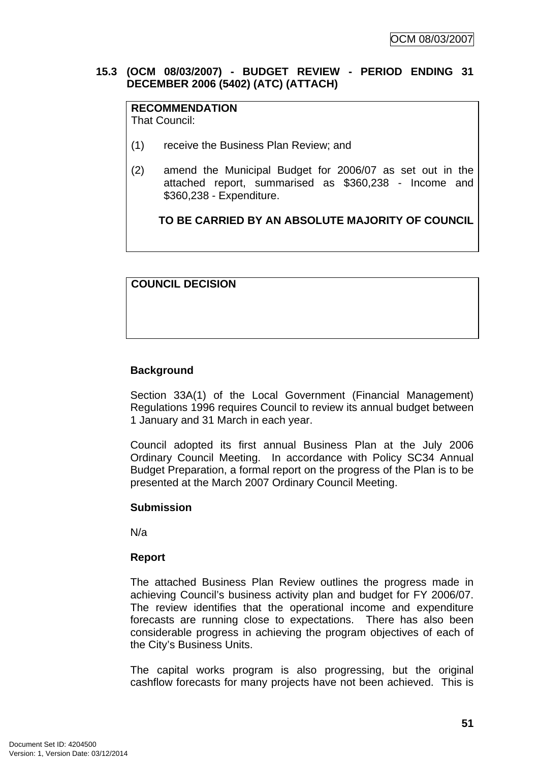### **15.3 (OCM 08/03/2007) - BUDGET REVIEW - PERIOD ENDING 31 DECEMBER 2006 (5402) (ATC) (ATTACH)**

#### **RECOMMENDATION** That Council:

(1) receive the Business Plan Review; and

(2) amend the Municipal Budget for 2006/07 as set out in the attached report, summarised as \$360,238 - Income and \$360,238 - Expenditure.

**TO BE CARRIED BY AN ABSOLUTE MAJORITY OF COUNCIL**

### **COUNCIL DECISION**

### **Background**

Section 33A(1) of the Local Government (Financial Management) Regulations 1996 requires Council to review its annual budget between 1 January and 31 March in each year.

Council adopted its first annual Business Plan at the July 2006 Ordinary Council Meeting. In accordance with Policy SC34 Annual Budget Preparation, a formal report on the progress of the Plan is to be presented at the March 2007 Ordinary Council Meeting.

### **Submission**

N/a

### **Report**

The attached Business Plan Review outlines the progress made in achieving Council's business activity plan and budget for FY 2006/07. The review identifies that the operational income and expenditure forecasts are running close to expectations. There has also been considerable progress in achieving the program objectives of each of the City's Business Units.

The capital works program is also progressing, but the original cashflow forecasts for many projects have not been achieved. This is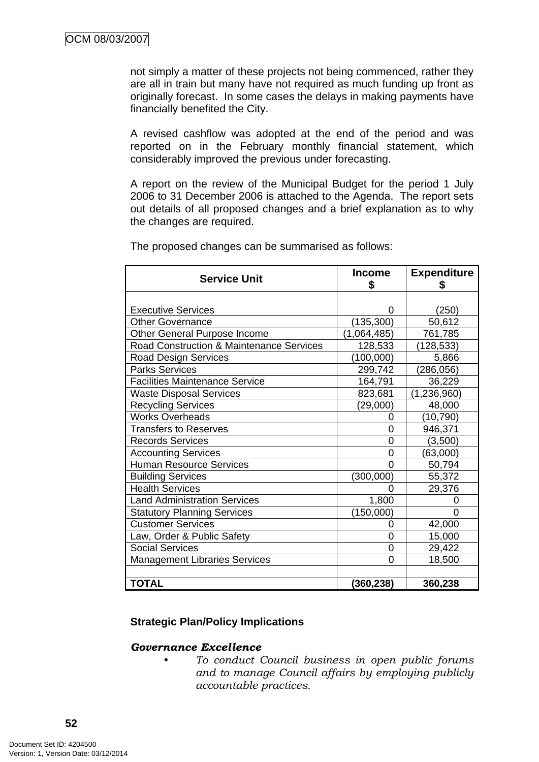not simply a matter of these projects not being commenced, rather they are all in train but many have not required as much funding up front as originally forecast. In some cases the delays in making payments have financially benefited the City.

A revised cashflow was adopted at the end of the period and was reported on in the February monthly financial statement, which considerably improved the previous under forecasting.

A report on the review of the Municipal Budget for the period 1 July 2006 to 31 December 2006 is attached to the Agenda. The report sets out details of all proposed changes and a brief explanation as to why the changes are required.

| <b>Service Unit</b>                      | <b>Income</b><br>\$ | <b>Expenditure</b><br>S |
|------------------------------------------|---------------------|-------------------------|
|                                          |                     |                         |
| <b>Executive Services</b>                |                     | (250)                   |
| <b>Other Governance</b>                  | (135, 300)          | 50,612                  |
| Other General Purpose Income             | 1,064,485)          | 761,785                 |
| Road Construction & Maintenance Services | 128,533             | (128,533)               |
| <b>Road Design Services</b>              | (100,000)           | 5,866                   |
| <b>Parks Services</b>                    | 299,742             | (286, 056)              |
| <b>Facilities Maintenance Service</b>    | 164,791             | 36,229                  |
| <b>Waste Disposal Services</b>           | 823,681             | (1, 236, 960)           |
| <b>Recycling Services</b>                | (29,000)            | 48,000                  |
| <b>Works Overheads</b>                   | 0                   | (10, 790)               |
| <b>Transfers to Reserves</b>             | 0                   | 946,371                 |
| <b>Records Services</b>                  | 0                   | (3,500)                 |
| <b>Accounting Services</b>               | 0                   | (63,000)                |
| <b>Human Resource Services</b>           | 0                   | 50,794                  |
| <b>Building Services</b>                 | (300,000)           | 55,372                  |
| <b>Health Services</b>                   | O                   | 29,376                  |
| <b>Land Administration Services</b>      | 1,800               |                         |
| <b>Statutory Planning Services</b>       | (150,000)           | 0                       |
| <b>Customer Services</b>                 | 0                   | 42,000                  |
| Law, Order & Public Safety               | $\overline{0}$      | 15,000                  |
| <b>Social Services</b>                   | 0                   | 29,422                  |
| <b>Management Libraries Services</b>     | 0                   | 18,500                  |
|                                          |                     |                         |
| <b>TOTAL</b>                             | (360,238)           | 360,238                 |

The proposed changes can be summarised as follows:

### **Strategic Plan/Policy Implications**

#### *Governance Excellence*

*• To conduct Council business in open public forums and to manage Council affairs by employing publicly accountable practices.*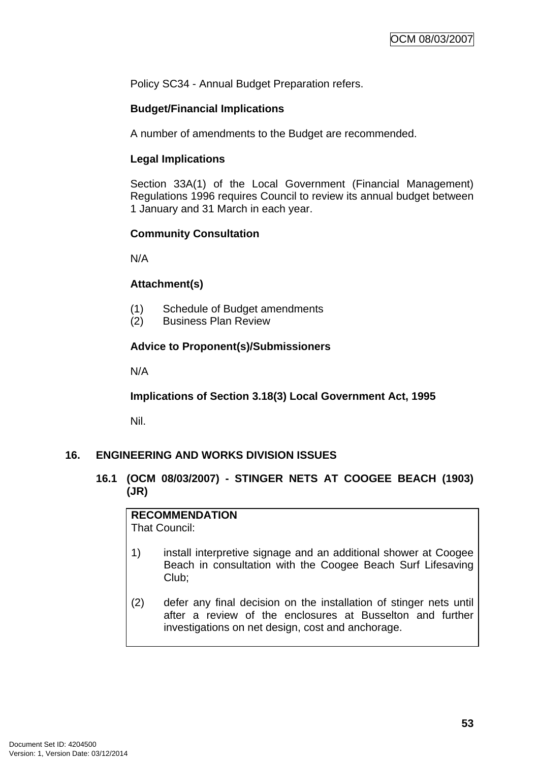Policy SC34 - Annual Budget Preparation refers.

# **Budget/Financial Implications**

A number of amendments to the Budget are recommended.

### **Legal Implications**

Section 33A(1) of the Local Government (Financial Management) Regulations 1996 requires Council to review its annual budget between 1 January and 31 March in each year.

# **Community Consultation**

N/A

# **Attachment(s)**

- (1) Schedule of Budget amendments
- (2) Business Plan Review

# **Advice to Proponent(s)/Submissioners**

N/A

**Implications of Section 3.18(3) Local Government Act, 1995**

Nil.

# **16. ENGINEERING AND WORKS DIVISION ISSUES**

### **16.1 (OCM 08/03/2007) - STINGER NETS AT COOGEE BEACH (1903) (JR)**

# **RECOMMENDATION**

That Council:

- 1) install interpretive signage and an additional shower at Coogee Beach in consultation with the Coogee Beach Surf Lifesaving Club;
- (2) defer any final decision on the installation of stinger nets until after a review of the enclosures at Busselton and further investigations on net design, cost and anchorage.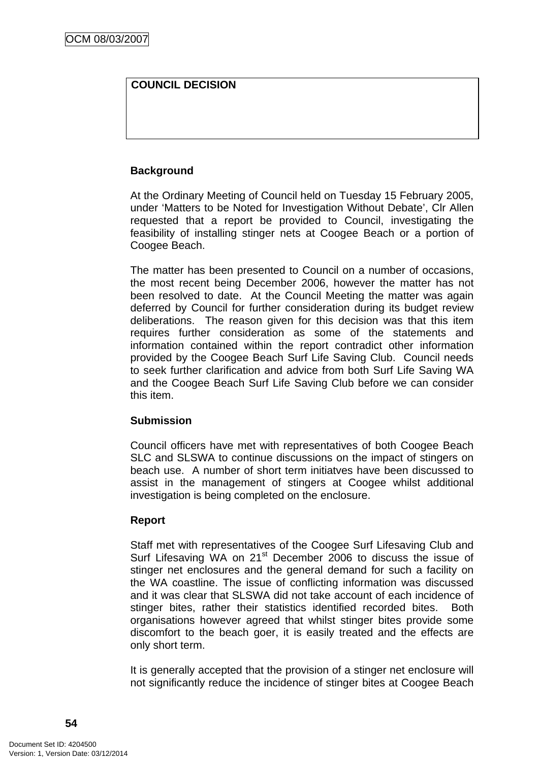# **COUNCIL DECISION**

### **Background**

At the Ordinary Meeting of Council held on Tuesday 15 February 2005, under 'Matters to be Noted for Investigation Without Debate', Clr Allen requested that a report be provided to Council, investigating the feasibility of installing stinger nets at Coogee Beach or a portion of Coogee Beach.

The matter has been presented to Council on a number of occasions, the most recent being December 2006, however the matter has not been resolved to date. At the Council Meeting the matter was again deferred by Council for further consideration during its budget review deliberations. The reason given for this decision was that this item requires further consideration as some of the statements and information contained within the report contradict other information provided by the Coogee Beach Surf Life Saving Club. Council needs to seek further clarification and advice from both Surf Life Saving WA and the Coogee Beach Surf Life Saving Club before we can consider this item.

### **Submission**

Council officers have met with representatives of both Coogee Beach SLC and SLSWA to continue discussions on the impact of stingers on beach use. A number of short term initiatves have been discussed to assist in the management of stingers at Coogee whilst additional investigation is being completed on the enclosure.

# **Report**

Staff met with representatives of the Coogee Surf Lifesaving Club and Surf Lifesaving WA on 21<sup>st</sup> December 2006 to discuss the issue of stinger net enclosures and the general demand for such a facility on the WA coastline. The issue of conflicting information was discussed and it was clear that SLSWA did not take account of each incidence of stinger bites, rather their statistics identified recorded bites. Both organisations however agreed that whilst stinger bites provide some discomfort to the beach goer, it is easily treated and the effects are only short term.

It is generally accepted that the provision of a stinger net enclosure will not significantly reduce the incidence of stinger bites at Coogee Beach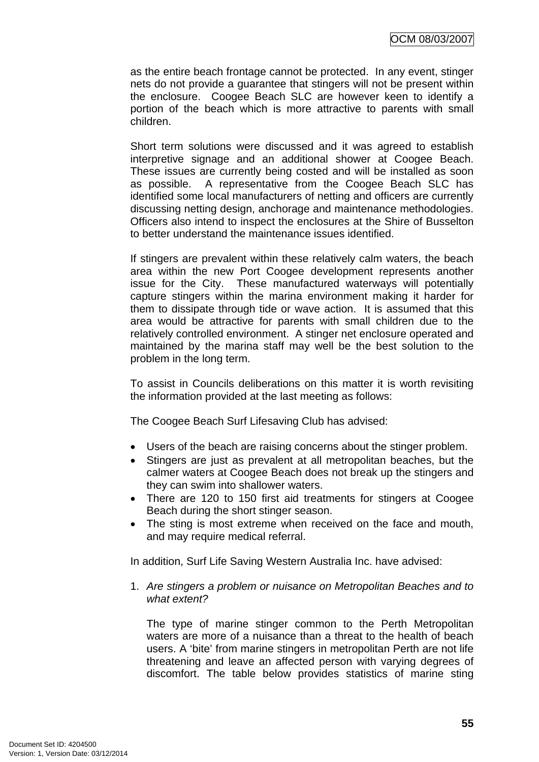as the entire beach frontage cannot be protected. In any event, stinger nets do not provide a guarantee that stingers will not be present within the enclosure. Coogee Beach SLC are however keen to identify a portion of the beach which is more attractive to parents with small children.

Short term solutions were discussed and it was agreed to establish interpretive signage and an additional shower at Coogee Beach. These issues are currently being costed and will be installed as soon as possible. A representative from the Coogee Beach SLC has identified some local manufacturers of netting and officers are currently discussing netting design, anchorage and maintenance methodologies. Officers also intend to inspect the enclosures at the Shire of Busselton to better understand the maintenance issues identified.

If stingers are prevalent within these relatively calm waters, the beach area within the new Port Coogee development represents another issue for the City. These manufactured waterways will potentially capture stingers within the marina environment making it harder for them to dissipate through tide or wave action. It is assumed that this area would be attractive for parents with small children due to the relatively controlled environment. A stinger net enclosure operated and maintained by the marina staff may well be the best solution to the problem in the long term.

To assist in Councils deliberations on this matter it is worth revisiting the information provided at the last meeting as follows:

The Coogee Beach Surf Lifesaving Club has advised:

- Users of the beach are raising concerns about the stinger problem.
- Stingers are just as prevalent at all metropolitan beaches, but the calmer waters at Coogee Beach does not break up the stingers and they can swim into shallower waters.
- There are 120 to 150 first aid treatments for stingers at Coogee Beach during the short stinger season.
- The sting is most extreme when received on the face and mouth, and may require medical referral.

In addition, Surf Life Saving Western Australia Inc. have advised:

1. *Are stingers a problem or nuisance on Metropolitan Beaches and to what extent?* 

The type of marine stinger common to the Perth Metropolitan waters are more of a nuisance than a threat to the health of beach users. A 'bite' from marine stingers in metropolitan Perth are not life threatening and leave an affected person with varying degrees of discomfort. The table below provides statistics of marine sting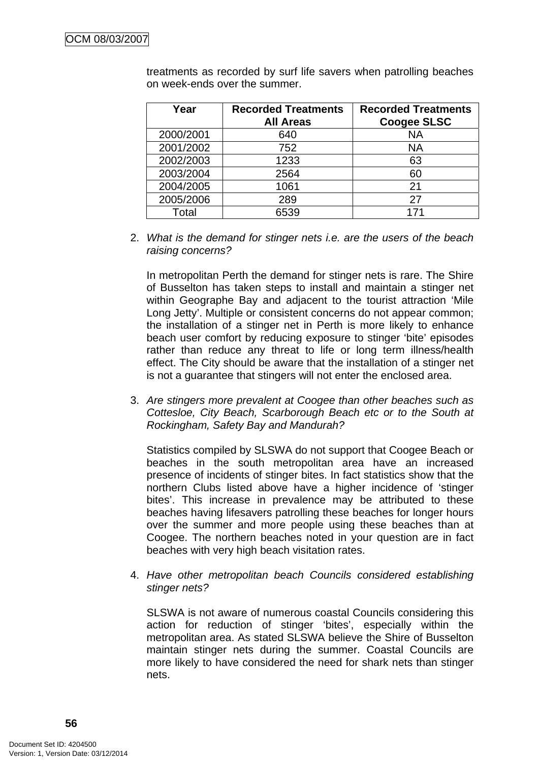| Year      | <b>Recorded Treatments</b><br><b>All Areas</b> | <b>Recorded Treatments</b><br><b>Coogee SLSC</b> |
|-----------|------------------------------------------------|--------------------------------------------------|
| 2000/2001 | 640                                            | NA                                               |
| 2001/2002 | 752                                            | <b>NA</b>                                        |
| 2002/2003 | 1233                                           | 63                                               |
| 2003/2004 | 2564                                           | 60                                               |
| 2004/2005 | 1061                                           | 21                                               |
| 2005/2006 | 289                                            | 27                                               |
| Total     | 6539                                           | 171                                              |

treatments as recorded by surf life savers when patrolling beaches on week-ends over the summer.

2. *What is the demand for stinger nets i.e. are the users of the beach raising concerns?* 

In metropolitan Perth the demand for stinger nets is rare. The Shire of Busselton has taken steps to install and maintain a stinger net within Geographe Bay and adjacent to the tourist attraction 'Mile Long Jetty'. Multiple or consistent concerns do not appear common; the installation of a stinger net in Perth is more likely to enhance beach user comfort by reducing exposure to stinger 'bite' episodes rather than reduce any threat to life or long term illness/health effect. The City should be aware that the installation of a stinger net is not a guarantee that stingers will not enter the enclosed area.

3. *Are stingers more prevalent at Coogee than other beaches such as Cottesloe, City Beach, Scarborough Beach etc or to the South at Rockingham, Safety Bay and Mandurah?* 

Statistics compiled by SLSWA do not support that Coogee Beach or beaches in the south metropolitan area have an increased presence of incidents of stinger bites. In fact statistics show that the northern Clubs listed above have a higher incidence of 'stinger bites'. This increase in prevalence may be attributed to these beaches having lifesavers patrolling these beaches for longer hours over the summer and more people using these beaches than at Coogee. The northern beaches noted in your question are in fact beaches with very high beach visitation rates.

4. *Have other metropolitan beach Councils considered establishing stinger nets?* 

SLSWA is not aware of numerous coastal Councils considering this action for reduction of stinger 'bites', especially within the metropolitan area. As stated SLSWA believe the Shire of Busselton maintain stinger nets during the summer. Coastal Councils are more likely to have considered the need for shark nets than stinger nets.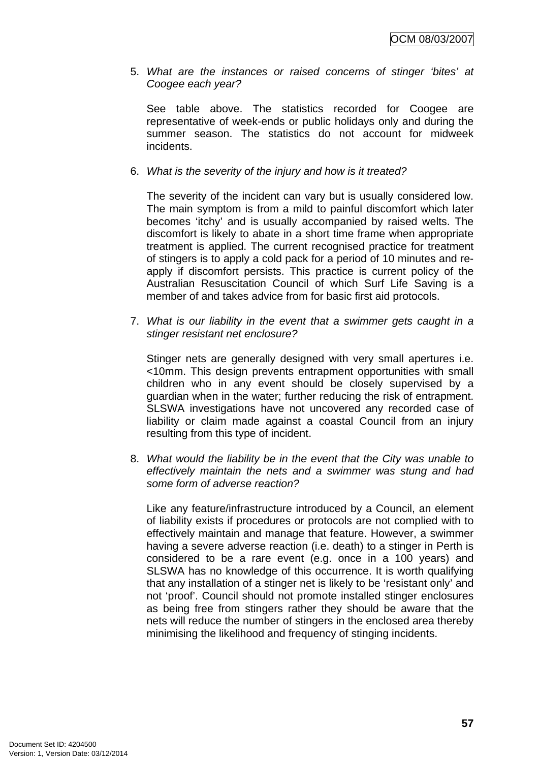5. *What are the instances or raised concerns of stinger 'bites' at Coogee each year?* 

See table above. The statistics recorded for Coogee are representative of week-ends or public holidays only and during the summer season. The statistics do not account for midweek incidents.

#### 6. *What is the severity of the injury and how is it treated?*

The severity of the incident can vary but is usually considered low. The main symptom is from a mild to painful discomfort which later becomes 'itchy' and is usually accompanied by raised welts. The discomfort is likely to abate in a short time frame when appropriate treatment is applied. The current recognised practice for treatment of stingers is to apply a cold pack for a period of 10 minutes and reapply if discomfort persists. This practice is current policy of the Australian Resuscitation Council of which Surf Life Saving is a member of and takes advice from for basic first aid protocols.

7. *What is our liability in the event that a swimmer gets caught in a stinger resistant net enclosure?* 

Stinger nets are generally designed with very small apertures i.e. <10mm. This design prevents entrapment opportunities with small children who in any event should be closely supervised by a guardian when in the water; further reducing the risk of entrapment. SLSWA investigations have not uncovered any recorded case of liability or claim made against a coastal Council from an injury resulting from this type of incident.

8. *What would the liability be in the event that the City was unable to effectively maintain the nets and a swimmer was stung and had some form of adverse reaction?*

Like any feature/infrastructure introduced by a Council, an element of liability exists if procedures or protocols are not complied with to effectively maintain and manage that feature. However, a swimmer having a severe adverse reaction (i.e. death) to a stinger in Perth is considered to be a rare event (e.g. once in a 100 years) and SLSWA has no knowledge of this occurrence. It is worth qualifying that any installation of a stinger net is likely to be 'resistant only' and not 'proof'. Council should not promote installed stinger enclosures as being free from stingers rather they should be aware that the nets will reduce the number of stingers in the enclosed area thereby minimising the likelihood and frequency of stinging incidents.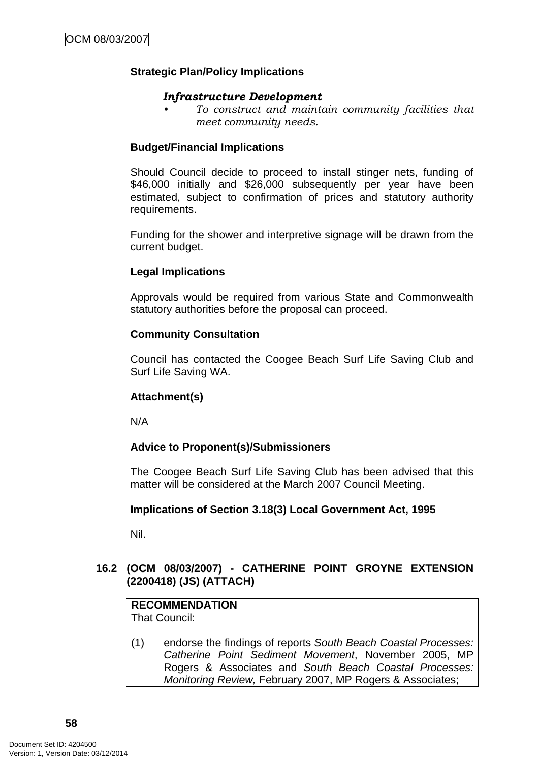### **Strategic Plan/Policy Implications**

#### *Infrastructure Development*

*• To construct and maintain community facilities that meet community needs.* 

### **Budget/Financial Implications**

Should Council decide to proceed to install stinger nets, funding of \$46,000 initially and \$26,000 subsequently per year have been estimated, subject to confirmation of prices and statutory authority requirements.

Funding for the shower and interpretive signage will be drawn from the current budget.

### **Legal Implications**

Approvals would be required from various State and Commonwealth statutory authorities before the proposal can proceed.

#### **Community Consultation**

Council has contacted the Coogee Beach Surf Life Saving Club and Surf Life Saving WA.

### **Attachment(s)**

N/A

### **Advice to Proponent(s)/Submissioners**

The Coogee Beach Surf Life Saving Club has been advised that this matter will be considered at the March 2007 Council Meeting.

#### **Implications of Section 3.18(3) Local Government Act, 1995**

Nil.

# **16.2 (OCM 08/03/2007) - CATHERINE POINT GROYNE EXTENSION (2200418) (JS) (ATTACH)**

**RECOMMENDATION** That Council:

(1) endorse the findings of reports *South Beach Coastal Processes: Catherine Point Sediment Movement*, November 2005, MP Rogers & Associates and *South Beach Coastal Processes: Monitoring Review,* February 2007, MP Rogers & Associates;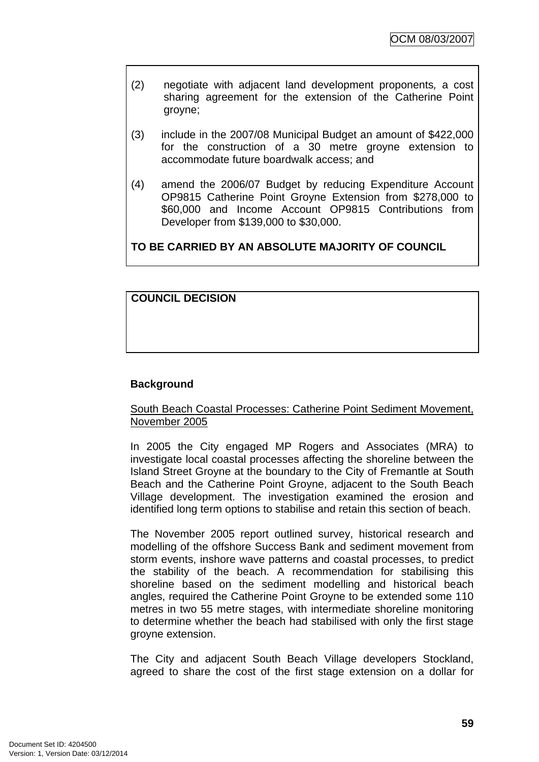- (2) negotiate with adjacent land development proponents*,* a cost sharing agreement for the extension of the Catherine Point groyne;
- (3) include in the 2007/08 Municipal Budget an amount of \$422,000 for the construction of a 30 metre groyne extension to accommodate future boardwalk access; and
- (4) amend the 2006/07 Budget by reducing Expenditure Account OP9815 Catherine Point Groyne Extension from \$278,000 to \$60,000 and Income Account OP9815 Contributions from Developer from \$139,000 to \$30,000.

# **TO BE CARRIED BY AN ABSOLUTE MAJORITY OF COUNCIL**

### **COUNCIL DECISION**

### **Background**

### South Beach Coastal Processes: Catherine Point Sediment Movement, November 2005

In 2005 the City engaged MP Rogers and Associates (MRA) to investigate local coastal processes affecting the shoreline between the Island Street Groyne at the boundary to the City of Fremantle at South Beach and the Catherine Point Groyne, adjacent to the South Beach Village development. The investigation examined the erosion and identified long term options to stabilise and retain this section of beach.

The November 2005 report outlined survey, historical research and modelling of the offshore Success Bank and sediment movement from storm events, inshore wave patterns and coastal processes, to predict the stability of the beach. A recommendation for stabilising this shoreline based on the sediment modelling and historical beach angles, required the Catherine Point Groyne to be extended some 110 metres in two 55 metre stages, with intermediate shoreline monitoring to determine whether the beach had stabilised with only the first stage groyne extension.

The City and adjacent South Beach Village developers Stockland, agreed to share the cost of the first stage extension on a dollar for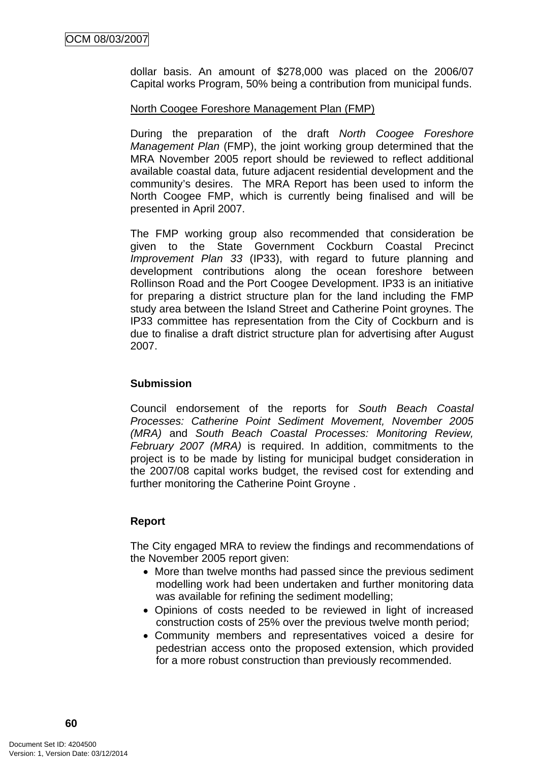dollar basis. An amount of \$278,000 was placed on the 2006/07 Capital works Program, 50% being a contribution from municipal funds.

#### North Coogee Foreshore Management Plan (FMP)

During the preparation of the draft *North Coogee Foreshore Management Plan* (FMP), the joint working group determined that the MRA November 2005 report should be reviewed to reflect additional available coastal data, future adjacent residential development and the community's desires. The MRA Report has been used to inform the North Coogee FMP, which is currently being finalised and will be presented in April 2007.

The FMP working group also recommended that consideration be given to the State Government Cockburn Coastal Precinct *Improvement Plan 33* (IP33), with regard to future planning and development contributions along the ocean foreshore between Rollinson Road and the Port Coogee Development. IP33 is an initiative for preparing a district structure plan for the land including the FMP study area between the Island Street and Catherine Point groynes. The IP33 committee has representation from the City of Cockburn and is due to finalise a draft district structure plan for advertising after August 2007.

### **Submission**

Council endorsement of the reports for *South Beach Coastal Processes: Catherine Point Sediment Movement, November 2005 (MRA)* and *South Beach Coastal Processes: Monitoring Review, February 2007 (MRA)* is required. In addition, commitments to the project is to be made by listing for municipal budget consideration in the 2007/08 capital works budget, the revised cost for extending and further monitoring the Catherine Point Groyne .

### **Report**

The City engaged MRA to review the findings and recommendations of the November 2005 report given:

- More than twelve months had passed since the previous sediment modelling work had been undertaken and further monitoring data was available for refining the sediment modelling;
- Opinions of costs needed to be reviewed in light of increased construction costs of 25% over the previous twelve month period;
- Community members and representatives voiced a desire for pedestrian access onto the proposed extension, which provided for a more robust construction than previously recommended.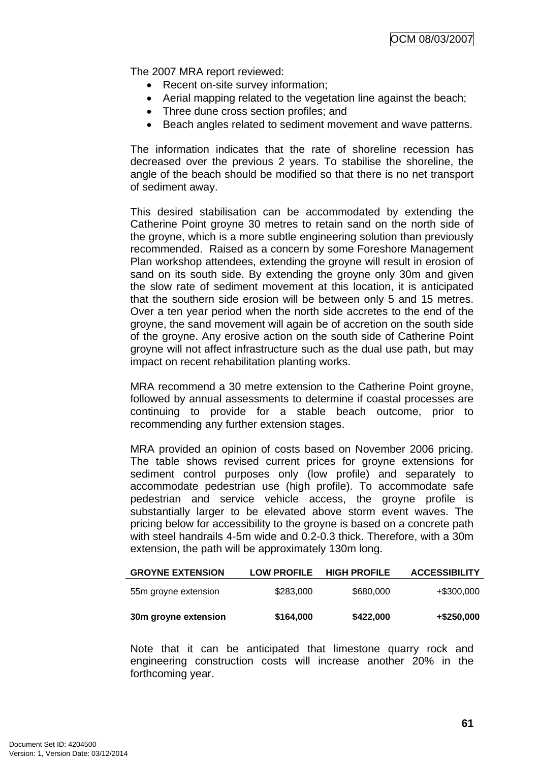The 2007 MRA report reviewed:

- Recent on-site survey information;
- Aerial mapping related to the vegetation line against the beach;
- Three dune cross section profiles; and
- Beach angles related to sediment movement and wave patterns.

The information indicates that the rate of shoreline recession has decreased over the previous 2 years. To stabilise the shoreline, the angle of the beach should be modified so that there is no net transport of sediment away.

This desired stabilisation can be accommodated by extending the Catherine Point groyne 30 metres to retain sand on the north side of the groyne, which is a more subtle engineering solution than previously recommended. Raised as a concern by some Foreshore Management Plan workshop attendees, extending the groyne will result in erosion of sand on its south side. By extending the groyne only 30m and given the slow rate of sediment movement at this location, it is anticipated that the southern side erosion will be between only 5 and 15 metres. Over a ten year period when the north side accretes to the end of the groyne, the sand movement will again be of accretion on the south side of the groyne. Any erosive action on the south side of Catherine Point groyne will not affect infrastructure such as the dual use path, but may impact on recent rehabilitation planting works.

MRA recommend a 30 metre extension to the Catherine Point groyne, followed by annual assessments to determine if coastal processes are continuing to provide for a stable beach outcome, prior to recommending any further extension stages.

MRA provided an opinion of costs based on November 2006 pricing. The table shows revised current prices for groyne extensions for sediment control purposes only (low profile) and separately to accommodate pedestrian use (high profile). To accommodate safe pedestrian and service vehicle access, the groyne profile is substantially larger to be elevated above storm event waves. The pricing below for accessibility to the groyne is based on a concrete path with steel handrails 4-5m wide and 0.2-0.3 thick. Therefore, with a 30m extension, the path will be approximately 130m long.

| <b>GROYNE EXTENSION</b> | <b>LOW PROFILE</b> | <b>HIGH PROFILE</b> | <b>ACCESSIBILITY</b> |
|-------------------------|--------------------|---------------------|----------------------|
| 55m groyne extension    | \$283,000          | \$680,000           | +\$300,000           |
| 30m groyne extension    | \$164,000          | \$422,000           | +\$250,000           |

Note that it can be anticipated that limestone quarry rock and engineering construction costs will increase another 20% in the forthcoming year.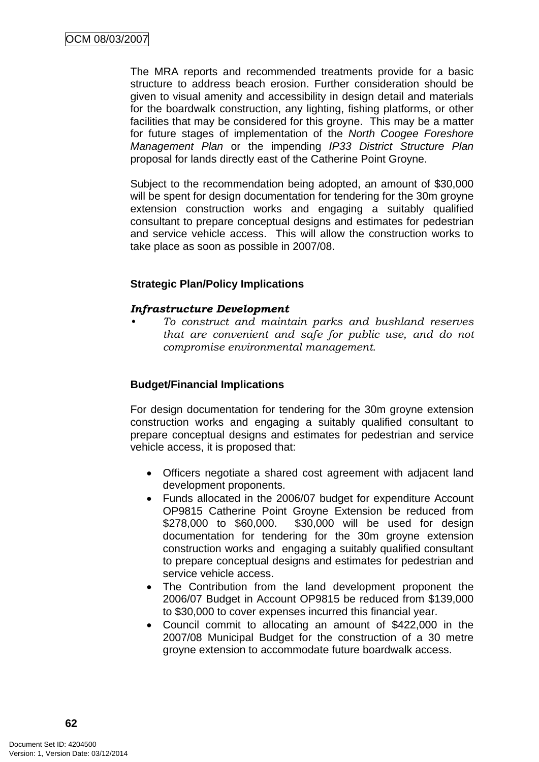The MRA reports and recommended treatments provide for a basic structure to address beach erosion. Further consideration should be given to visual amenity and accessibility in design detail and materials for the boardwalk construction, any lighting, fishing platforms, or other facilities that may be considered for this groyne. This may be a matter for future stages of implementation of the *North Coogee Foreshore Management Plan* or the impending *IP33 District Structure Plan* proposal for lands directly east of the Catherine Point Groyne.

Subject to the recommendation being adopted, an amount of \$30,000 will be spent for design documentation for tendering for the 30m groyne extension construction works and engaging a suitably qualified consultant to prepare conceptual designs and estimates for pedestrian and service vehicle access. This will allow the construction works to take place as soon as possible in 2007/08.

### **Strategic Plan/Policy Implications**

#### *Infrastructure Development*

*• To construct and maintain parks and bushland reserves that are convenient and safe for public use, and do not compromise environmental management.* 

### **Budget/Financial Implications**

For design documentation for tendering for the 30m groyne extension construction works and engaging a suitably qualified consultant to prepare conceptual designs and estimates for pedestrian and service vehicle access, it is proposed that:

- Officers negotiate a shared cost agreement with adjacent land development proponents.
- Funds allocated in the 2006/07 budget for expenditure Account OP9815 Catherine Point Groyne Extension be reduced from \$278,000 to \$60,000. \$30,000 will be used for design documentation for tendering for the 30m groyne extension construction works and engaging a suitably qualified consultant to prepare conceptual designs and estimates for pedestrian and service vehicle access.
- The Contribution from the land development proponent the 2006/07 Budget in Account OP9815 be reduced from \$139,000 to \$30,000 to cover expenses incurred this financial year.
- Council commit to allocating an amount of \$422,000 in the 2007/08 Municipal Budget for the construction of a 30 metre groyne extension to accommodate future boardwalk access.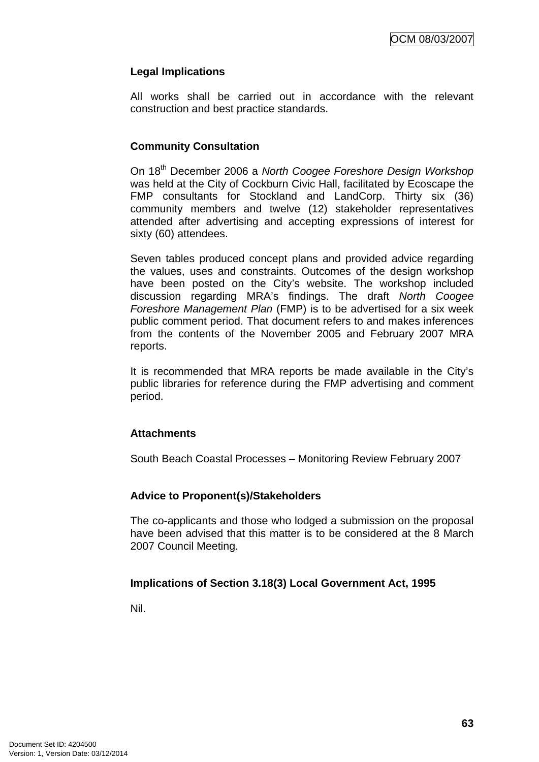# **Legal Implications**

All works shall be carried out in accordance with the relevant construction and best practice standards.

### **Community Consultation**

On 18th December 2006 a *North Coogee Foreshore Design Workshop* was held at the City of Cockburn Civic Hall, facilitated by Ecoscape the FMP consultants for Stockland and LandCorp. Thirty six (36) community members and twelve (12) stakeholder representatives attended after advertising and accepting expressions of interest for sixty (60) attendees.

Seven tables produced concept plans and provided advice regarding the values, uses and constraints. Outcomes of the design workshop have been posted on the City's website. The workshop included discussion regarding MRA's findings. The draft *North Coogee Foreshore Management Plan* (FMP) is to be advertised for a six week public comment period. That document refers to and makes inferences from the contents of the November 2005 and February 2007 MRA reports.

It is recommended that MRA reports be made available in the City's public libraries for reference during the FMP advertising and comment period.

### **Attachments**

South Beach Coastal Processes – Monitoring Review February 2007

# **Advice to Proponent(s)/Stakeholders**

The co-applicants and those who lodged a submission on the proposal have been advised that this matter is to be considered at the 8 March 2007 Council Meeting.

# **Implications of Section 3.18(3) Local Government Act, 1995**

Nil.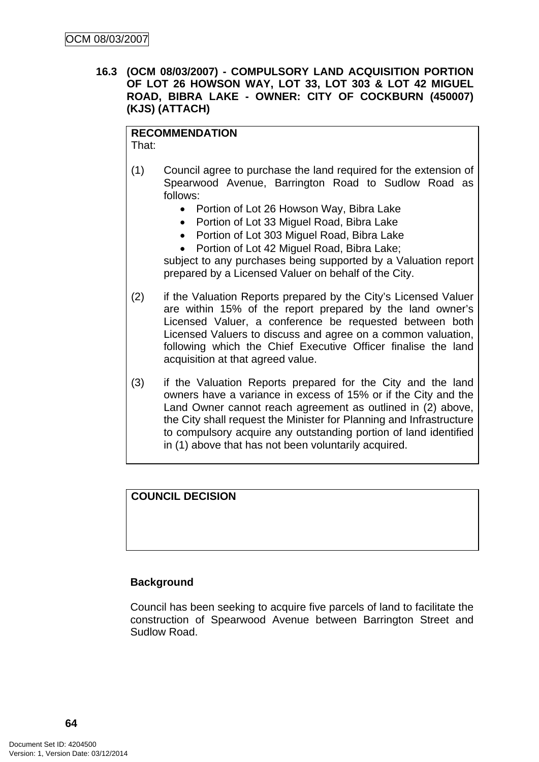**16.3 (OCM 08/03/2007) - COMPULSORY LAND ACQUISITION PORTION OF LOT 26 HOWSON WAY, LOT 33, LOT 303 & LOT 42 MIGUEL ROAD, BIBRA LAKE - OWNER: CITY OF COCKBURN (450007) (KJS) (ATTACH)** 

#### **RECOMMENDATION** That:

- (1) Council agree to purchase the land required for the extension of Spearwood Avenue, Barrington Road to Sudlow Road as follows:
	- Portion of Lot 26 Howson Way, Bibra Lake
	- Portion of Lot 33 Miguel Road, Bibra Lake
	- Portion of Lot 303 Miguel Road, Bibra Lake
	- Portion of Lot 42 Miguel Road, Bibra Lake:

subject to any purchases being supported by a Valuation report prepared by a Licensed Valuer on behalf of the City.

- (2) if the Valuation Reports prepared by the City's Licensed Valuer are within 15% of the report prepared by the land owner's Licensed Valuer, a conference be requested between both Licensed Valuers to discuss and agree on a common valuation, following which the Chief Executive Officer finalise the land acquisition at that agreed value.
- (3) if the Valuation Reports prepared for the City and the land owners have a variance in excess of 15% or if the City and the Land Owner cannot reach agreement as outlined in (2) above, the City shall request the Minister for Planning and Infrastructure to compulsory acquire any outstanding portion of land identified in (1) above that has not been voluntarily acquired.

# **COUNCIL DECISION**

### **Background**

Council has been seeking to acquire five parcels of land to facilitate the construction of Spearwood Avenue between Barrington Street and Sudlow Road.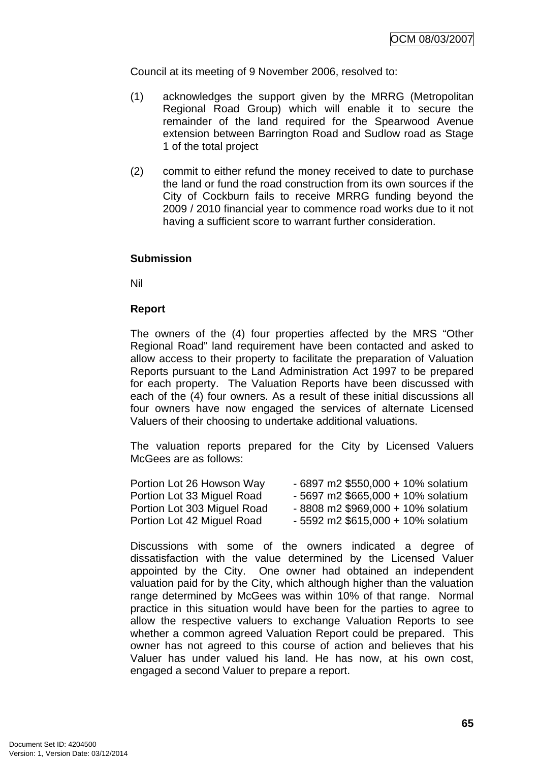Council at its meeting of 9 November 2006, resolved to:

- (1) acknowledges the support given by the MRRG (Metropolitan Regional Road Group) which will enable it to secure the remainder of the land required for the Spearwood Avenue extension between Barrington Road and Sudlow road as Stage 1 of the total project
- (2) commit to either refund the money received to date to purchase the land or fund the road construction from its own sources if the City of Cockburn fails to receive MRRG funding beyond the 2009 / 2010 financial year to commence road works due to it not having a sufficient score to warrant further consideration.

#### **Submission**

Nil

#### **Report**

The owners of the (4) four properties affected by the MRS "Other Regional Road" land requirement have been contacted and asked to allow access to their property to facilitate the preparation of Valuation Reports pursuant to the Land Administration Act 1997 to be prepared for each property. The Valuation Reports have been discussed with each of the (4) four owners. As a result of these initial discussions all four owners have now engaged the services of alternate Licensed Valuers of their choosing to undertake additional valuations.

The valuation reports prepared for the City by Licensed Valuers McGees are as follows:

| Portion Lot 26 Howson Way   | $-6897$ m2 \$550,000 + 10% solatium |
|-----------------------------|-------------------------------------|
| Portion Lot 33 Miguel Road  | $-5697$ m2 \$665,000 + 10% solatium |
| Portion Lot 303 Miguel Road | $-8808$ m2 \$969,000 + 10% solatium |
| Portion Lot 42 Miguel Road  | $-5592$ m2 \$615,000 + 10% solatium |

Discussions with some of the owners indicated a degree of dissatisfaction with the value determined by the Licensed Valuer appointed by the City. One owner had obtained an independent valuation paid for by the City, which although higher than the valuation range determined by McGees was within 10% of that range. Normal practice in this situation would have been for the parties to agree to allow the respective valuers to exchange Valuation Reports to see whether a common agreed Valuation Report could be prepared. This owner has not agreed to this course of action and believes that his Valuer has under valued his land. He has now, at his own cost, engaged a second Valuer to prepare a report.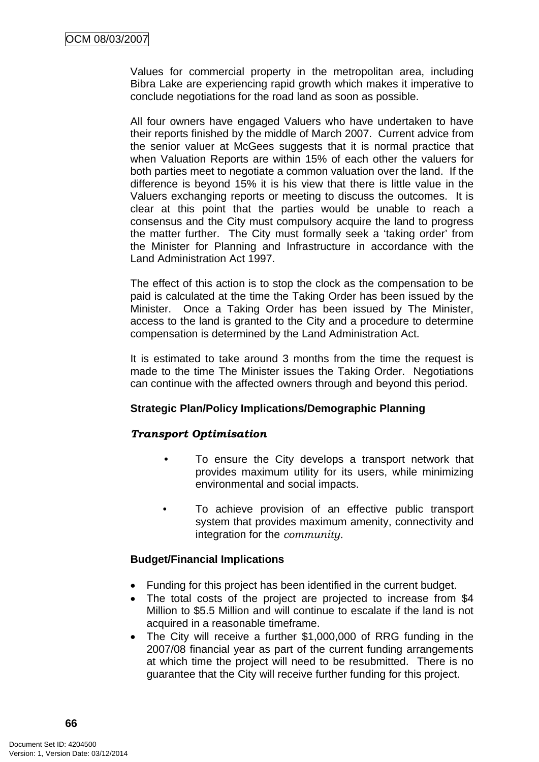Values for commercial property in the metropolitan area, including Bibra Lake are experiencing rapid growth which makes it imperative to conclude negotiations for the road land as soon as possible.

All four owners have engaged Valuers who have undertaken to have their reports finished by the middle of March 2007. Current advice from the senior valuer at McGees suggests that it is normal practice that when Valuation Reports are within 15% of each other the valuers for both parties meet to negotiate a common valuation over the land. If the difference is beyond 15% it is his view that there is little value in the Valuers exchanging reports or meeting to discuss the outcomes. It is clear at this point that the parties would be unable to reach a consensus and the City must compulsory acquire the land to progress the matter further. The City must formally seek a 'taking order' from the Minister for Planning and Infrastructure in accordance with the Land Administration Act 1997.

The effect of this action is to stop the clock as the compensation to be paid is calculated at the time the Taking Order has been issued by the Minister. Once a Taking Order has been issued by The Minister, access to the land is granted to the City and a procedure to determine compensation is determined by the Land Administration Act.

It is estimated to take around 3 months from the time the request is made to the time The Minister issues the Taking Order. Negotiations can continue with the affected owners through and beyond this period.

# **Strategic Plan/Policy Implications/Demographic Planning**

# *Transport Optimisation*

- To ensure the City develops a transport network that provides maximum utility for its users, while minimizing environmental and social impacts.
- To achieve provision of an effective public transport system that provides maximum amenity, connectivity and integration for the *community.*

# **Budget/Financial Implications**

- Funding for this project has been identified in the current budget.
- The total costs of the project are projected to increase from \$4 Million to \$5.5 Million and will continue to escalate if the land is not acquired in a reasonable timeframe.
- The City will receive a further \$1,000,000 of RRG funding in the 2007/08 financial year as part of the current funding arrangements at which time the project will need to be resubmitted. There is no guarantee that the City will receive further funding for this project.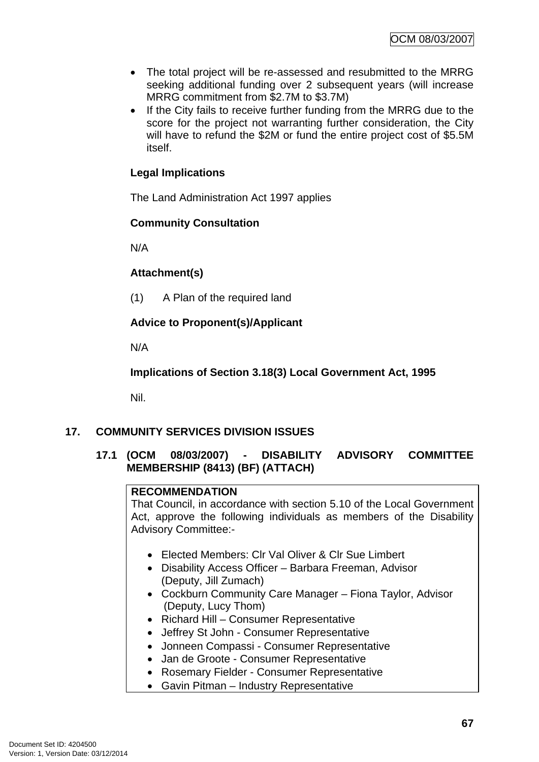- The total project will be re-assessed and resubmitted to the MRRG seeking additional funding over 2 subsequent years (will increase MRRG commitment from \$2.7M to \$3.7M)
- If the City fails to receive further funding from the MRRG due to the score for the project not warranting further consideration, the City will have to refund the \$2M or fund the entire project cost of \$5.5M itself.

# **Legal Implications**

The Land Administration Act 1997 applies

### **Community Consultation**

N/A

### **Attachment(s)**

(1) A Plan of the required land

# **Advice to Proponent(s)/Applicant**

N/A

**Implications of Section 3.18(3) Local Government Act, 1995**

Nil.

# **17. COMMUNITY SERVICES DIVISION ISSUES**

# **17.1 (OCM 08/03/2007) - DISABILITY ADVISORY COMMITTEE MEMBERSHIP (8413) (BF) (ATTACH)**

# **RECOMMENDATION**

That Council, in accordance with section 5.10 of the Local Government Act, approve the following individuals as members of the Disability Advisory Committee:-

- Elected Members: Clr Val Oliver & Clr Sue Limbert
- Disability Access Officer Barbara Freeman, Advisor (Deputy, Jill Zumach)
- Cockburn Community Care Manager Fiona Taylor, Advisor (Deputy, Lucy Thom)
- Richard Hill Consumer Representative
- Jeffrey St John Consumer Representative
- Jonneen Compassi Consumer Representative
- Jan de Groote Consumer Representative
- Rosemary Fielder Consumer Representative
- Gavin Pitman Industry Representative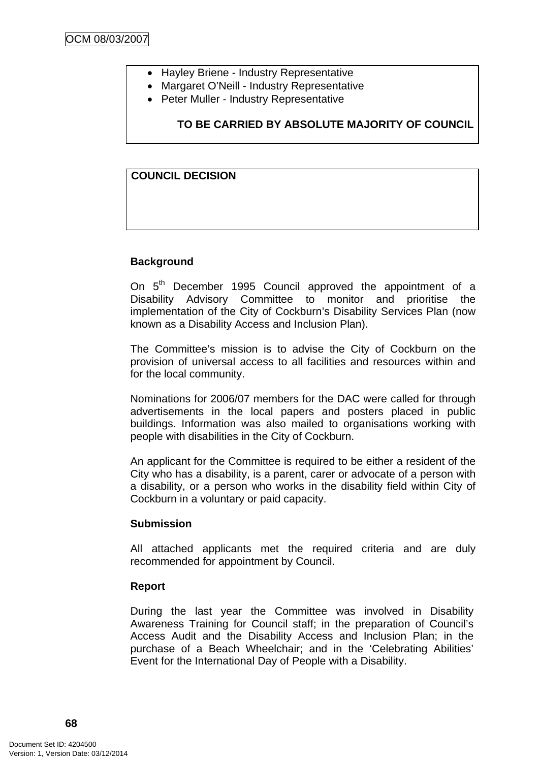- Hayley Briene Industry Representative
- Margaret O'Neill Industry Representative
- Peter Muller Industry Representative

# **TO BE CARRIED BY ABSOLUTE MAJORITY OF COUNCIL**

### **COUNCIL DECISION**

### **Background**

On 5<sup>th</sup> December 1995 Council approved the appointment of a Disability Advisory Committee to monitor and prioritise the implementation of the City of Cockburn's Disability Services Plan (now known as a Disability Access and Inclusion Plan).

The Committee's mission is to advise the City of Cockburn on the provision of universal access to all facilities and resources within and for the local community.

Nominations for 2006/07 members for the DAC were called for through advertisements in the local papers and posters placed in public buildings. Information was also mailed to organisations working with people with disabilities in the City of Cockburn.

An applicant for the Committee is required to be either a resident of the City who has a disability, is a parent, carer or advocate of a person with a disability, or a person who works in the disability field within City of Cockburn in a voluntary or paid capacity.

### **Submission**

All attached applicants met the required criteria and are duly recommended for appointment by Council.

### **Report**

During the last year the Committee was involved in Disability Awareness Training for Council staff; in the preparation of Council's Access Audit and the Disability Access and Inclusion Plan; in the purchase of a Beach Wheelchair; and in the 'Celebrating Abilities' Event for the International Day of People with a Disability.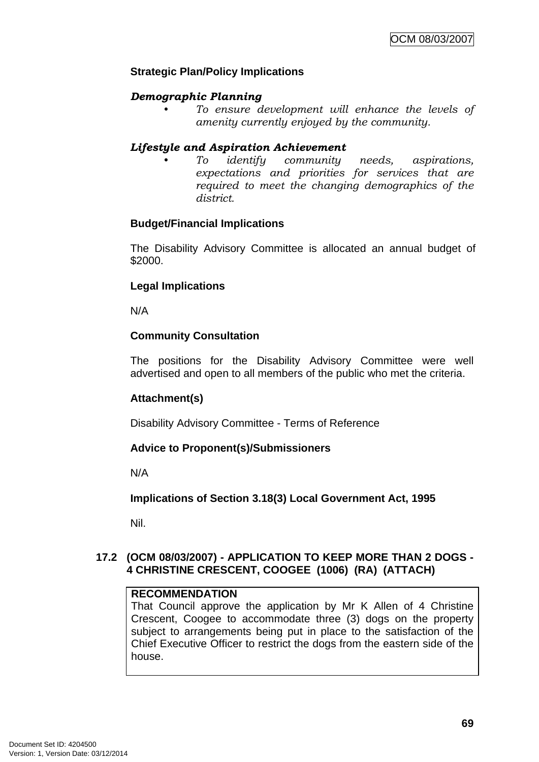# **Strategic Plan/Policy Implications**

## *Demographic Planning*

*• To ensure development will enhance the levels of amenity currently enjoyed by the community.*

## *Lifestyle and Aspiration Achievement*

*• To identify community needs, aspirations, expectations and priorities for services that are required to meet the changing demographics of the district.* 

## **Budget/Financial Implications**

The Disability Advisory Committee is allocated an annual budget of \$2000.

## **Legal Implications**

N/A

# **Community Consultation**

The positions for the Disability Advisory Committee were well advertised and open to all members of the public who met the criteria.

# **Attachment(s)**

Disability Advisory Committee - Terms of Reference

## **Advice to Proponent(s)/Submissioners**

N/A

## **Implications of Section 3.18(3) Local Government Act, 1995**

Nil.

# **17.2 (OCM 08/03/2007) - APPLICATION TO KEEP MORE THAN 2 DOGS - 4 CHRISTINE CRESCENT, COOGEE (1006) (RA) (ATTACH)**

## **RECOMMENDATION**

That Council approve the application by Mr K Allen of 4 Christine Crescent, Coogee to accommodate three (3) dogs on the property subject to arrangements being put in place to the satisfaction of the Chief Executive Officer to restrict the dogs from the eastern side of the house.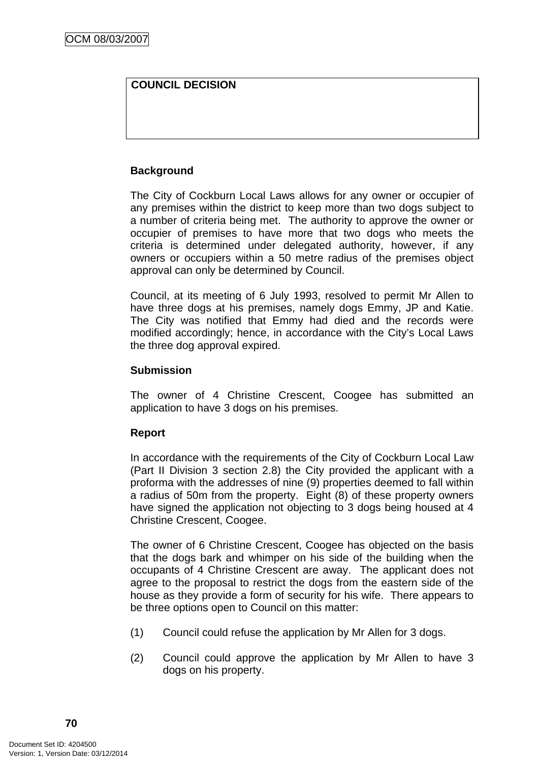# **COUNCIL DECISION**

# **Background**

The City of Cockburn Local Laws allows for any owner or occupier of any premises within the district to keep more than two dogs subject to a number of criteria being met. The authority to approve the owner or occupier of premises to have more that two dogs who meets the criteria is determined under delegated authority, however, if any owners or occupiers within a 50 metre radius of the premises object approval can only be determined by Council.

Council, at its meeting of 6 July 1993, resolved to permit Mr Allen to have three dogs at his premises, namely dogs Emmy, JP and Katie. The City was notified that Emmy had died and the records were modified accordingly; hence, in accordance with the City's Local Laws the three dog approval expired.

# **Submission**

The owner of 4 Christine Crescent, Coogee has submitted an application to have 3 dogs on his premises.

## **Report**

In accordance with the requirements of the City of Cockburn Local Law (Part II Division 3 section 2.8) the City provided the applicant with a proforma with the addresses of nine (9) properties deemed to fall within a radius of 50m from the property. Eight (8) of these property owners have signed the application not objecting to 3 dogs being housed at 4 Christine Crescent, Coogee.

The owner of 6 Christine Crescent, Coogee has objected on the basis that the dogs bark and whimper on his side of the building when the occupants of 4 Christine Crescent are away. The applicant does not agree to the proposal to restrict the dogs from the eastern side of the house as they provide a form of security for his wife. There appears to be three options open to Council on this matter:

- (1) Council could refuse the application by Mr Allen for 3 dogs.
- (2) Council could approve the application by Mr Allen to have 3 dogs on his property.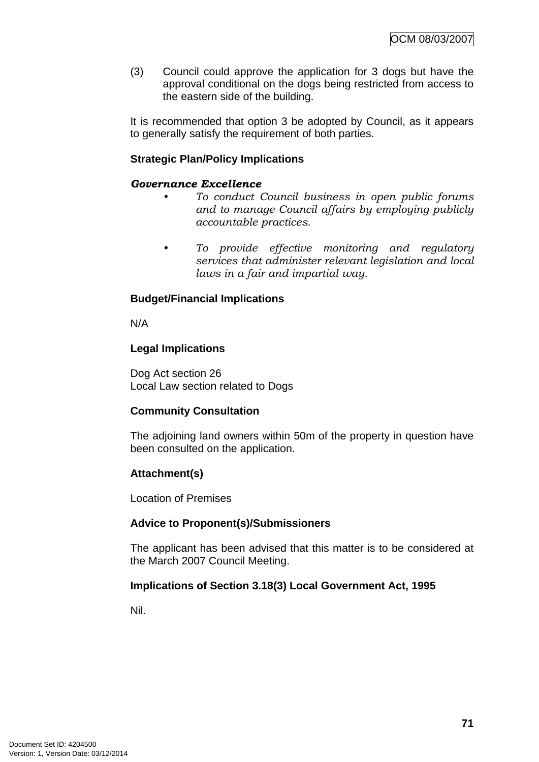(3) Council could approve the application for 3 dogs but have the approval conditional on the dogs being restricted from access to the eastern side of the building.

It is recommended that option 3 be adopted by Council, as it appears to generally satisfy the requirement of both parties.

## **Strategic Plan/Policy Implications**

#### *Governance Excellence*

- *To conduct Council business in open public forums and to manage Council affairs by employing publicly accountable practices.*
- *To provide effective monitoring and regulatory services that administer relevant legislation and local laws in a fair and impartial way.*

## **Budget/Financial Implications**

N/A

## **Legal Implications**

Dog Act section 26 Local Law section related to Dogs

## **Community Consultation**

The adjoining land owners within 50m of the property in question have been consulted on the application.

## **Attachment(s)**

Location of Premises

## **Advice to Proponent(s)/Submissioners**

The applicant has been advised that this matter is to be considered at the March 2007 Council Meeting.

## **Implications of Section 3.18(3) Local Government Act, 1995**

Nil.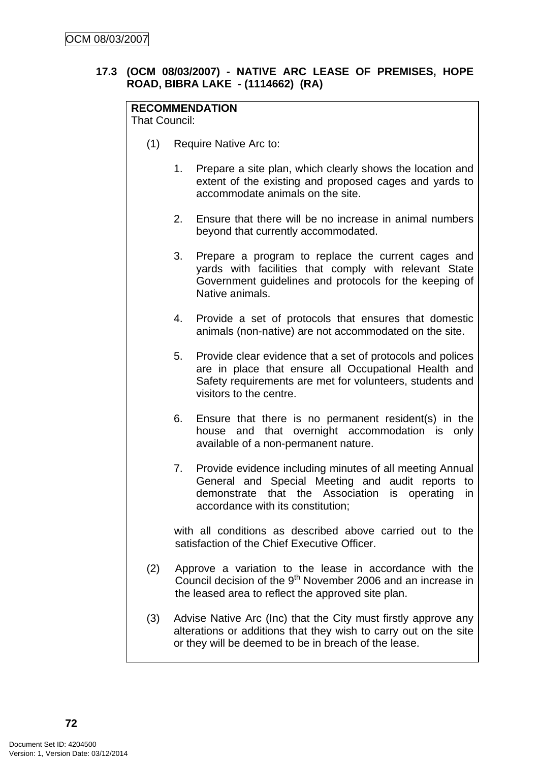# **17.3 (OCM 08/03/2007) - NATIVE ARC LEASE OF PREMISES, HOPE ROAD, BIBRA LAKE - (1114662) (RA)**

# **RECOMMENDATION**

That Council:

- (1) Require Native Arc to:
	- 1. Prepare a site plan, which clearly shows the location and extent of the existing and proposed cages and yards to accommodate animals on the site.
	- 2. Ensure that there will be no increase in animal numbers beyond that currently accommodated.
	- 3. Prepare a program to replace the current cages and yards with facilities that comply with relevant State Government guidelines and protocols for the keeping of Native animals.
	- 4. Provide a set of protocols that ensures that domestic animals (non-native) are not accommodated on the site.
	- 5. Provide clear evidence that a set of protocols and polices are in place that ensure all Occupational Health and Safety requirements are met for volunteers, students and visitors to the centre.
	- 6. Ensure that there is no permanent resident(s) in the house and that overnight accommodation is only available of a non-permanent nature.
	- 7. Provide evidence including minutes of all meeting Annual General and Special Meeting and audit reports to demonstrate that the Association is operating in accordance with its constitution;

with all conditions as described above carried out to the satisfaction of the Chief Executive Officer.

- (2) Approve a variation to the lease in accordance with the Council decision of the 9th November 2006 and an increase in the leased area to reflect the approved site plan.
- (3) Advise Native Arc (Inc) that the City must firstly approve any alterations or additions that they wish to carry out on the site or they will be deemed to be in breach of the lease.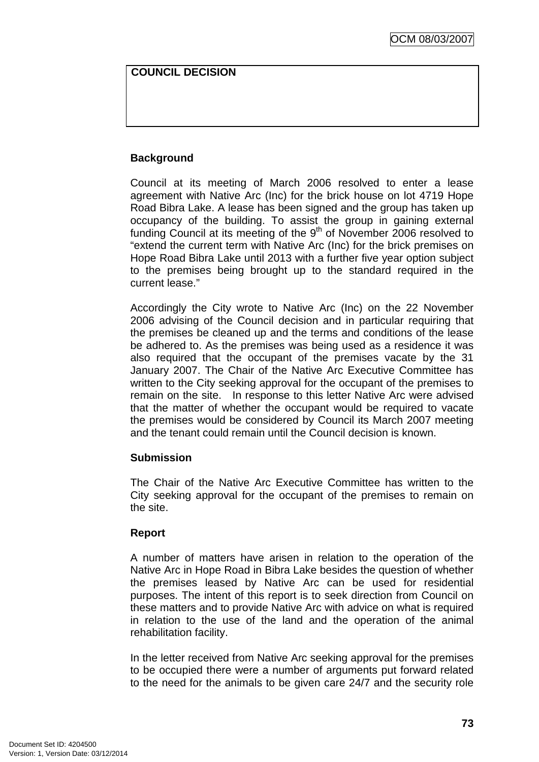## **COUNCIL DECISION**

# **Background**

Council at its meeting of March 2006 resolved to enter a lease agreement with Native Arc (Inc) for the brick house on lot 4719 Hope Road Bibra Lake. A lease has been signed and the group has taken up occupancy of the building. To assist the group in gaining external funding Council at its meeting of the 9<sup>th</sup> of November 2006 resolved to "extend the current term with Native Arc (Inc) for the brick premises on Hope Road Bibra Lake until 2013 with a further five year option subject to the premises being brought up to the standard required in the current lease."

Accordingly the City wrote to Native Arc (Inc) on the 22 November 2006 advising of the Council decision and in particular requiring that the premises be cleaned up and the terms and conditions of the lease be adhered to. As the premises was being used as a residence it was also required that the occupant of the premises vacate by the 31 January 2007. The Chair of the Native Arc Executive Committee has written to the City seeking approval for the occupant of the premises to remain on the site. In response to this letter Native Arc were advised that the matter of whether the occupant would be required to vacate the premises would be considered by Council its March 2007 meeting and the tenant could remain until the Council decision is known.

## **Submission**

The Chair of the Native Arc Executive Committee has written to the City seeking approval for the occupant of the premises to remain on the site.

# **Report**

A number of matters have arisen in relation to the operation of the Native Arc in Hope Road in Bibra Lake besides the question of whether the premises leased by Native Arc can be used for residential purposes. The intent of this report is to seek direction from Council on these matters and to provide Native Arc with advice on what is required in relation to the use of the land and the operation of the animal rehabilitation facility.

In the letter received from Native Arc seeking approval for the premises to be occupied there were a number of arguments put forward related to the need for the animals to be given care 24/7 and the security role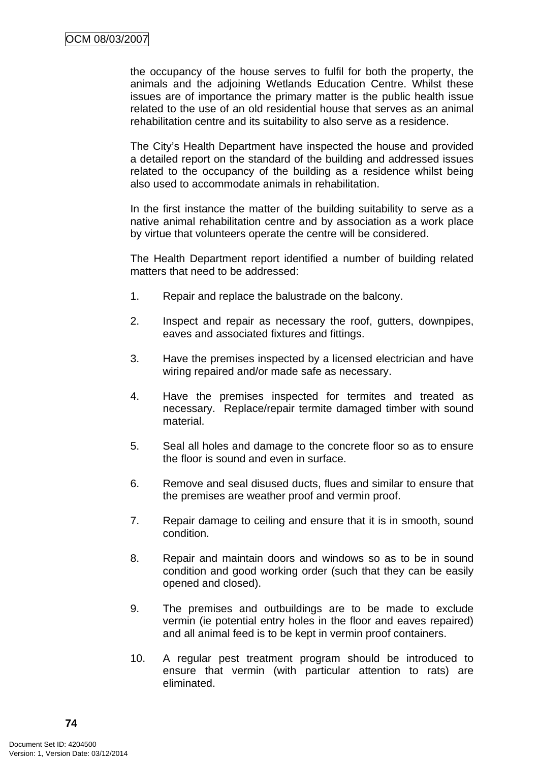the occupancy of the house serves to fulfil for both the property, the animals and the adjoining Wetlands Education Centre. Whilst these issues are of importance the primary matter is the public health issue related to the use of an old residential house that serves as an animal rehabilitation centre and its suitability to also serve as a residence.

The City's Health Department have inspected the house and provided a detailed report on the standard of the building and addressed issues related to the occupancy of the building as a residence whilst being also used to accommodate animals in rehabilitation.

In the first instance the matter of the building suitability to serve as a native animal rehabilitation centre and by association as a work place by virtue that volunteers operate the centre will be considered.

The Health Department report identified a number of building related matters that need to be addressed:

- 1. Repair and replace the balustrade on the balcony.
- 2. Inspect and repair as necessary the roof, gutters, downpipes, eaves and associated fixtures and fittings.
- 3. Have the premises inspected by a licensed electrician and have wiring repaired and/or made safe as necessary.
- 4. Have the premises inspected for termites and treated as necessary. Replace/repair termite damaged timber with sound material.
- 5. Seal all holes and damage to the concrete floor so as to ensure the floor is sound and even in surface.
- 6. Remove and seal disused ducts, flues and similar to ensure that the premises are weather proof and vermin proof.
- 7. Repair damage to ceiling and ensure that it is in smooth, sound condition.
- 8. Repair and maintain doors and windows so as to be in sound condition and good working order (such that they can be easily opened and closed).
- 9. The premises and outbuildings are to be made to exclude vermin (ie potential entry holes in the floor and eaves repaired) and all animal feed is to be kept in vermin proof containers.
- 10. A regular pest treatment program should be introduced to ensure that vermin (with particular attention to rats) are eliminated.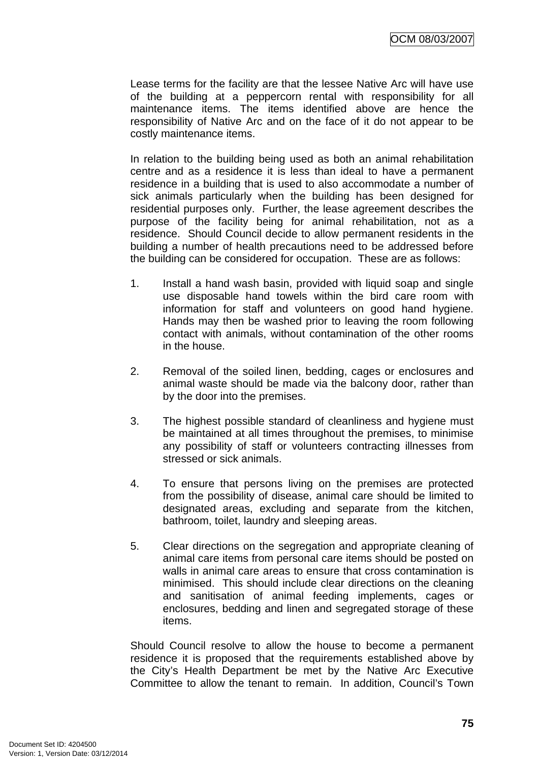Lease terms for the facility are that the lessee Native Arc will have use of the building at a peppercorn rental with responsibility for all maintenance items. The items identified above are hence the responsibility of Native Arc and on the face of it do not appear to be costly maintenance items.

In relation to the building being used as both an animal rehabilitation centre and as a residence it is less than ideal to have a permanent residence in a building that is used to also accommodate a number of sick animals particularly when the building has been designed for residential purposes only. Further, the lease agreement describes the purpose of the facility being for animal rehabilitation, not as a residence. Should Council decide to allow permanent residents in the building a number of health precautions need to be addressed before the building can be considered for occupation. These are as follows:

- 1. Install a hand wash basin, provided with liquid soap and single use disposable hand towels within the bird care room with information for staff and volunteers on good hand hygiene. Hands may then be washed prior to leaving the room following contact with animals, without contamination of the other rooms in the house.
- 2. Removal of the soiled linen, bedding, cages or enclosures and animal waste should be made via the balcony door, rather than by the door into the premises.
- 3. The highest possible standard of cleanliness and hygiene must be maintained at all times throughout the premises, to minimise any possibility of staff or volunteers contracting illnesses from stressed or sick animals.
- 4. To ensure that persons living on the premises are protected from the possibility of disease, animal care should be limited to designated areas, excluding and separate from the kitchen, bathroom, toilet, laundry and sleeping areas.
- 5. Clear directions on the segregation and appropriate cleaning of animal care items from personal care items should be posted on walls in animal care areas to ensure that cross contamination is minimised. This should include clear directions on the cleaning and sanitisation of animal feeding implements, cages or enclosures, bedding and linen and segregated storage of these items.

Should Council resolve to allow the house to become a permanent residence it is proposed that the requirements established above by the City's Health Department be met by the Native Arc Executive Committee to allow the tenant to remain. In addition, Council's Town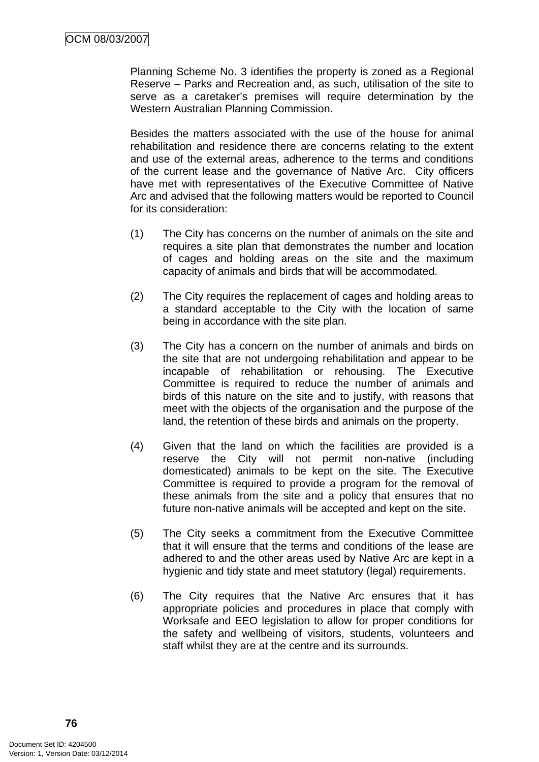Planning Scheme No. 3 identifies the property is zoned as a Regional Reserve – Parks and Recreation and, as such, utilisation of the site to serve as a caretaker's premises will require determination by the Western Australian Planning Commission.

Besides the matters associated with the use of the house for animal rehabilitation and residence there are concerns relating to the extent and use of the external areas, adherence to the terms and conditions of the current lease and the governance of Native Arc. City officers have met with representatives of the Executive Committee of Native Arc and advised that the following matters would be reported to Council for its consideration:

- (1) The City has concerns on the number of animals on the site and requires a site plan that demonstrates the number and location of cages and holding areas on the site and the maximum capacity of animals and birds that will be accommodated.
- (2) The City requires the replacement of cages and holding areas to a standard acceptable to the City with the location of same being in accordance with the site plan.
- (3) The City has a concern on the number of animals and birds on the site that are not undergoing rehabilitation and appear to be incapable of rehabilitation or rehousing. The Executive Committee is required to reduce the number of animals and birds of this nature on the site and to justify, with reasons that meet with the objects of the organisation and the purpose of the land, the retention of these birds and animals on the property.
- (4) Given that the land on which the facilities are provided is a reserve the City will not permit non-native (including domesticated) animals to be kept on the site. The Executive Committee is required to provide a program for the removal of these animals from the site and a policy that ensures that no future non-native animals will be accepted and kept on the site.
- (5) The City seeks a commitment from the Executive Committee that it will ensure that the terms and conditions of the lease are adhered to and the other areas used by Native Arc are kept in a hygienic and tidy state and meet statutory (legal) requirements.
- (6) The City requires that the Native Arc ensures that it has appropriate policies and procedures in place that comply with Worksafe and EEO legislation to allow for proper conditions for the safety and wellbeing of visitors, students, volunteers and staff whilst they are at the centre and its surrounds.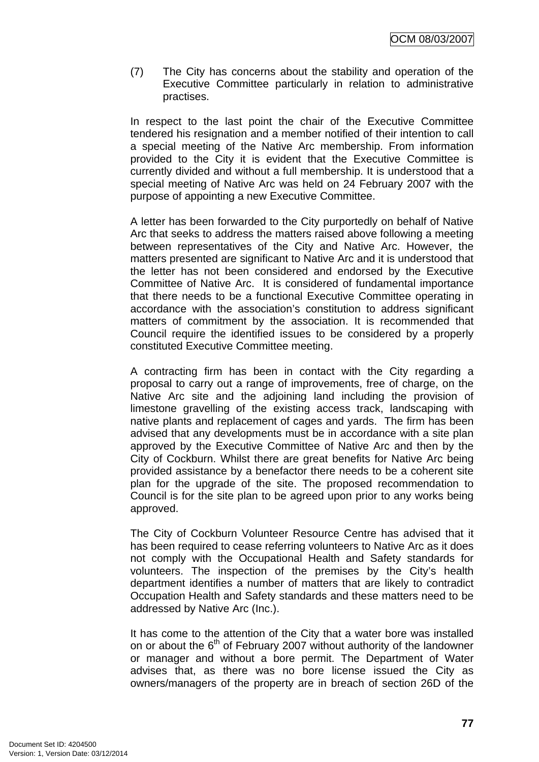(7) The City has concerns about the stability and operation of the Executive Committee particularly in relation to administrative practises.

In respect to the last point the chair of the Executive Committee tendered his resignation and a member notified of their intention to call a special meeting of the Native Arc membership. From information provided to the City it is evident that the Executive Committee is currently divided and without a full membership. It is understood that a special meeting of Native Arc was held on 24 February 2007 with the purpose of appointing a new Executive Committee.

A letter has been forwarded to the City purportedly on behalf of Native Arc that seeks to address the matters raised above following a meeting between representatives of the City and Native Arc. However, the matters presented are significant to Native Arc and it is understood that the letter has not been considered and endorsed by the Executive Committee of Native Arc. It is considered of fundamental importance that there needs to be a functional Executive Committee operating in accordance with the association's constitution to address significant matters of commitment by the association. It is recommended that Council require the identified issues to be considered by a properly constituted Executive Committee meeting.

A contracting firm has been in contact with the City regarding a proposal to carry out a range of improvements, free of charge, on the Native Arc site and the adjoining land including the provision of limestone gravelling of the existing access track, landscaping with native plants and replacement of cages and yards. The firm has been advised that any developments must be in accordance with a site plan approved by the Executive Committee of Native Arc and then by the City of Cockburn. Whilst there are great benefits for Native Arc being provided assistance by a benefactor there needs to be a coherent site plan for the upgrade of the site. The proposed recommendation to Council is for the site plan to be agreed upon prior to any works being approved.

The City of Cockburn Volunteer Resource Centre has advised that it has been required to cease referring volunteers to Native Arc as it does not comply with the Occupational Health and Safety standards for volunteers. The inspection of the premises by the City's health department identifies a number of matters that are likely to contradict Occupation Health and Safety standards and these matters need to be addressed by Native Arc (Inc.).

It has come to the attention of the City that a water bore was installed on or about the  $6<sup>th</sup>$  of February 2007 without authority of the landowner or manager and without a bore permit. The Department of Water advises that, as there was no bore license issued the City as owners/managers of the property are in breach of section 26D of the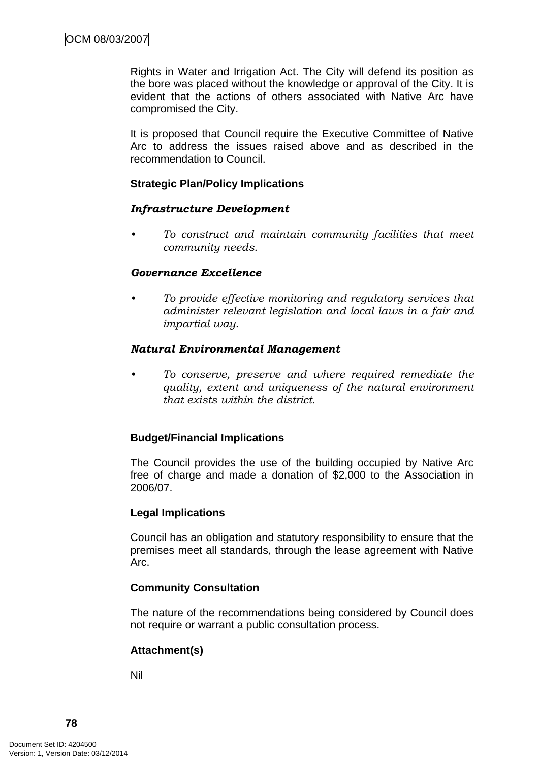Rights in Water and Irrigation Act. The City will defend its position as the bore was placed without the knowledge or approval of the City. It is evident that the actions of others associated with Native Arc have compromised the City.

 It is proposed that Council require the Executive Committee of Native Arc to address the issues raised above and as described in the recommendation to Council.

# **Strategic Plan/Policy Implications**

## *Infrastructure Development*

*• To construct and maintain community facilities that meet community needs.* 

## *Governance Excellence*

*• To provide effective monitoring and regulatory services that administer relevant legislation and local laws in a fair and impartial way.* 

## *Natural Environmental Management*

*• To conserve, preserve and where required remediate the quality, extent and uniqueness of the natural environment that exists within the district.* 

## **Budget/Financial Implications**

The Council provides the use of the building occupied by Native Arc free of charge and made a donation of \$2,000 to the Association in 2006/07.

## **Legal Implications**

Council has an obligation and statutory responsibility to ensure that the premises meet all standards, through the lease agreement with Native Arc.

## **Community Consultation**

The nature of the recommendations being considered by Council does not require or warrant a public consultation process.

## **Attachment(s)**

Nil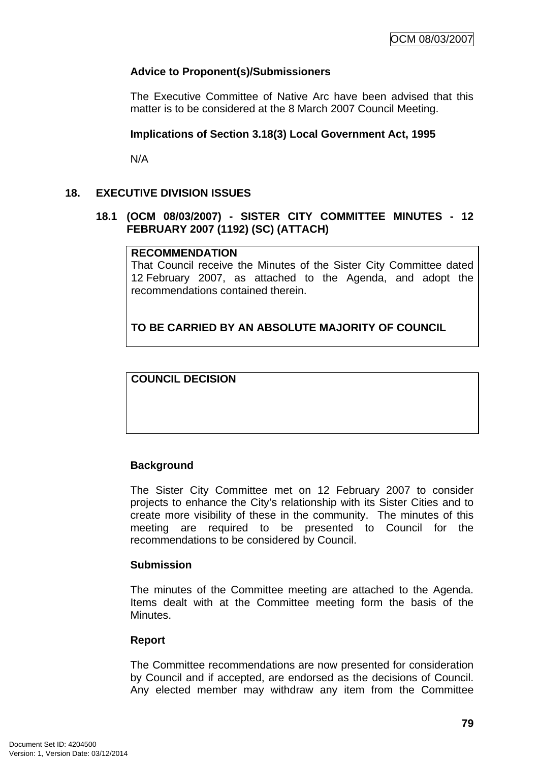# **Advice to Proponent(s)/Submissioners**

The Executive Committee of Native Arc have been advised that this matter is to be considered at the 8 March 2007 Council Meeting.

## **Implications of Section 3.18(3) Local Government Act, 1995**

N/A

## **18. EXECUTIVE DIVISION ISSUES**

## **18.1 (OCM 08/03/2007) - SISTER CITY COMMITTEE MINUTES - 12 FEBRUARY 2007 (1192) (SC) (ATTACH)**

### **RECOMMENDATION**

That Council receive the Minutes of the Sister City Committee dated 12 February 2007, as attached to the Agenda, and adopt the recommendations contained therein.

# **TO BE CARRIED BY AN ABSOLUTE MAJORITY OF COUNCIL**

**COUNCIL DECISION**

## **Background**

The Sister City Committee met on 12 February 2007 to consider projects to enhance the City's relationship with its Sister Cities and to create more visibility of these in the community. The minutes of this meeting are required to be presented to Council for the recommendations to be considered by Council.

## **Submission**

The minutes of the Committee meeting are attached to the Agenda. Items dealt with at the Committee meeting form the basis of the Minutes.

#### **Report**

The Committee recommendations are now presented for consideration by Council and if accepted, are endorsed as the decisions of Council. Any elected member may withdraw any item from the Committee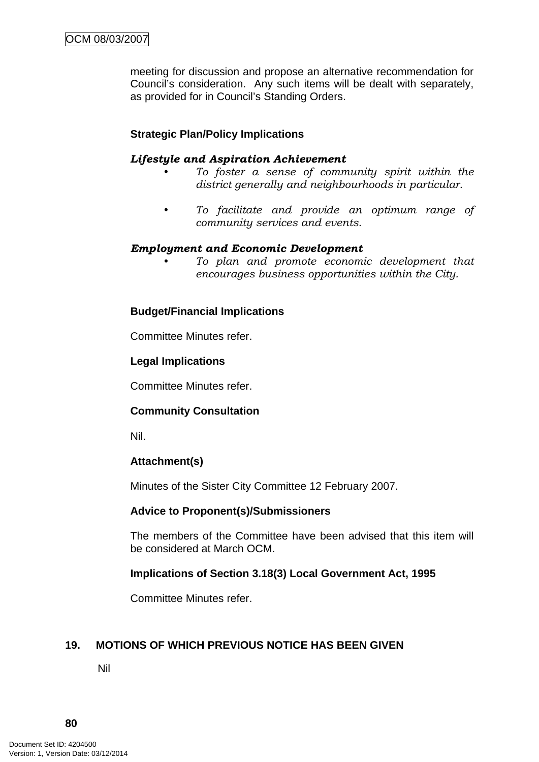meeting for discussion and propose an alternative recommendation for Council's consideration. Any such items will be dealt with separately, as provided for in Council's Standing Orders.

# **Strategic Plan/Policy Implications**

### *Lifestyle and Aspiration Achievement*

- *To foster a sense of community spirit within the district generally and neighbourhoods in particular.*
- *To facilitate and provide an optimum range of community services and events.*

### *Employment and Economic Development*

*• To plan and promote economic development that encourages business opportunities within the City.* 

### **Budget/Financial Implications**

Committee Minutes refer.

### **Legal Implications**

Committee Minutes refer.

## **Community Consultation**

Nil.

## **Attachment(s)**

Minutes of the Sister City Committee 12 February 2007.

#### **Advice to Proponent(s)/Submissioners**

The members of the Committee have been advised that this item will be considered at March OCM.

## **Implications of Section 3.18(3) Local Government Act, 1995**

Committee Minutes refer.

## **19. MOTIONS OF WHICH PREVIOUS NOTICE HAS BEEN GIVEN**

Nil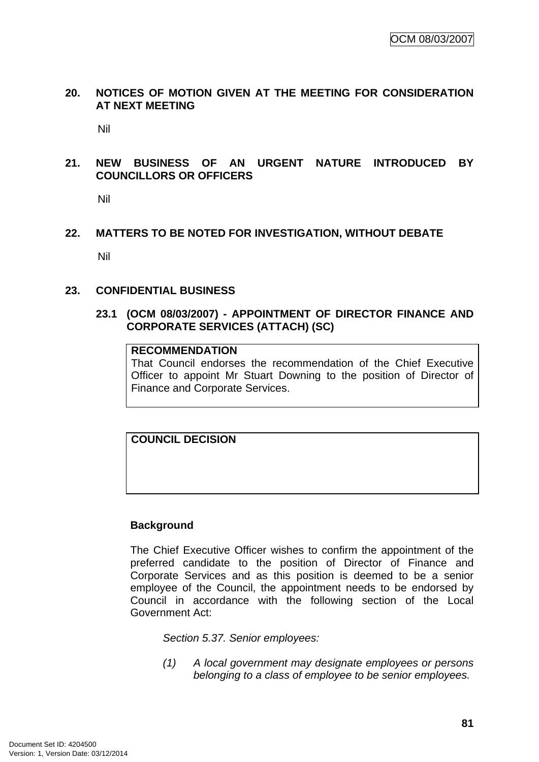## **20. NOTICES OF MOTION GIVEN AT THE MEETING FOR CONSIDERATION AT NEXT MEETING**

Nil

## **21. NEW BUSINESS OF AN URGENT NATURE INTRODUCED BY COUNCILLORS OR OFFICERS**

Nil

## **22. MATTERS TO BE NOTED FOR INVESTIGATION, WITHOUT DEBATE**

Nil

### **23. CONFIDENTIAL BUSINESS**

### **23.1 (OCM 08/03/2007) - APPOINTMENT OF DIRECTOR FINANCE AND CORPORATE SERVICES (ATTACH) (SC)**

# **RECOMMENDATION**

That Council endorses the recommendation of the Chief Executive Officer to appoint Mr Stuart Downing to the position of Director of Finance and Corporate Services.

**COUNCIL DECISION**

## **Background**

The Chief Executive Officer wishes to confirm the appointment of the preferred candidate to the position of Director of Finance and Corporate Services and as this position is deemed to be a senior employee of the Council, the appointment needs to be endorsed by Council in accordance with the following section of the Local Government Act:

*Section 5.37. Senior employees:* 

*(1) A local government may designate employees or persons belonging to a class of employee to be senior employees.*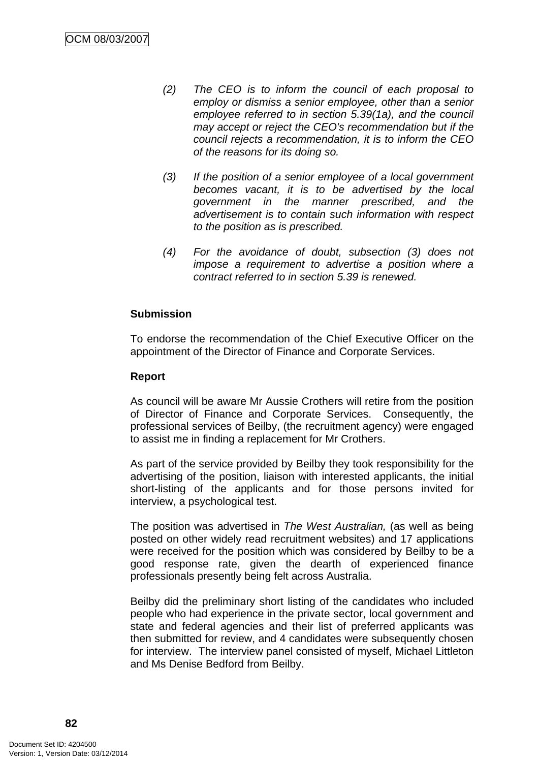- *(2) The CEO is to inform the council of each proposal to employ or dismiss a senior employee, other than a senior employee referred to in section 5.39(1a), and the council may accept or reject the CEO's recommendation but if the council rejects a recommendation, it is to inform the CEO of the reasons for its doing so.*
- *(3) If the position of a senior employee of a local government becomes vacant, it is to be advertised by the local government in the manner prescribed, and the advertisement is to contain such information with respect to the position as is prescribed.*
- *(4) For the avoidance of doubt, subsection (3) does not impose a requirement to advertise a position where a contract referred to in section 5.39 is renewed.*

# **Submission**

To endorse the recommendation of the Chief Executive Officer on the appointment of the Director of Finance and Corporate Services.

## **Report**

As council will be aware Mr Aussie Crothers will retire from the position of Director of Finance and Corporate Services. Consequently, the professional services of Beilby, (the recruitment agency) were engaged to assist me in finding a replacement for Mr Crothers.

As part of the service provided by Beilby they took responsibility for the advertising of the position, liaison with interested applicants, the initial short-listing of the applicants and for those persons invited for interview, a psychological test.

The position was advertised in *The West Australian,* (as well as being posted on other widely read recruitment websites) and 17 applications were received for the position which was considered by Beilby to be a good response rate, given the dearth of experienced finance professionals presently being felt across Australia.

Beilby did the preliminary short listing of the candidates who included people who had experience in the private sector, local government and state and federal agencies and their list of preferred applicants was then submitted for review, and 4 candidates were subsequently chosen for interview. The interview panel consisted of myself, Michael Littleton and Ms Denise Bedford from Beilby.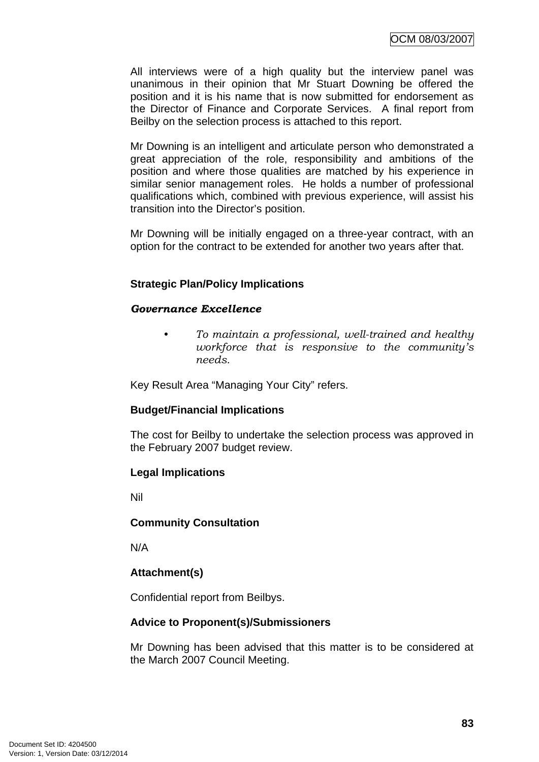All interviews were of a high quality but the interview panel was unanimous in their opinion that Mr Stuart Downing be offered the position and it is his name that is now submitted for endorsement as the Director of Finance and Corporate Services. A final report from Beilby on the selection process is attached to this report.

Mr Downing is an intelligent and articulate person who demonstrated a great appreciation of the role, responsibility and ambitions of the position and where those qualities are matched by his experience in similar senior management roles. He holds a number of professional qualifications which, combined with previous experience, will assist his transition into the Director's position.

Mr Downing will be initially engaged on a three-year contract, with an option for the contract to be extended for another two years after that.

# **Strategic Plan/Policy Implications**

### *Governance Excellence*

*• To maintain a professional, well-trained and healthy workforce that is responsive to the community's needs.* 

Key Result Area "Managing Your City" refers.

## **Budget/Financial Implications**

The cost for Beilby to undertake the selection process was approved in the February 2007 budget review.

## **Legal Implications**

Nil

## **Community Consultation**

N/A

# **Attachment(s)**

Confidential report from Beilbys.

## **Advice to Proponent(s)/Submissioners**

Mr Downing has been advised that this matter is to be considered at the March 2007 Council Meeting.